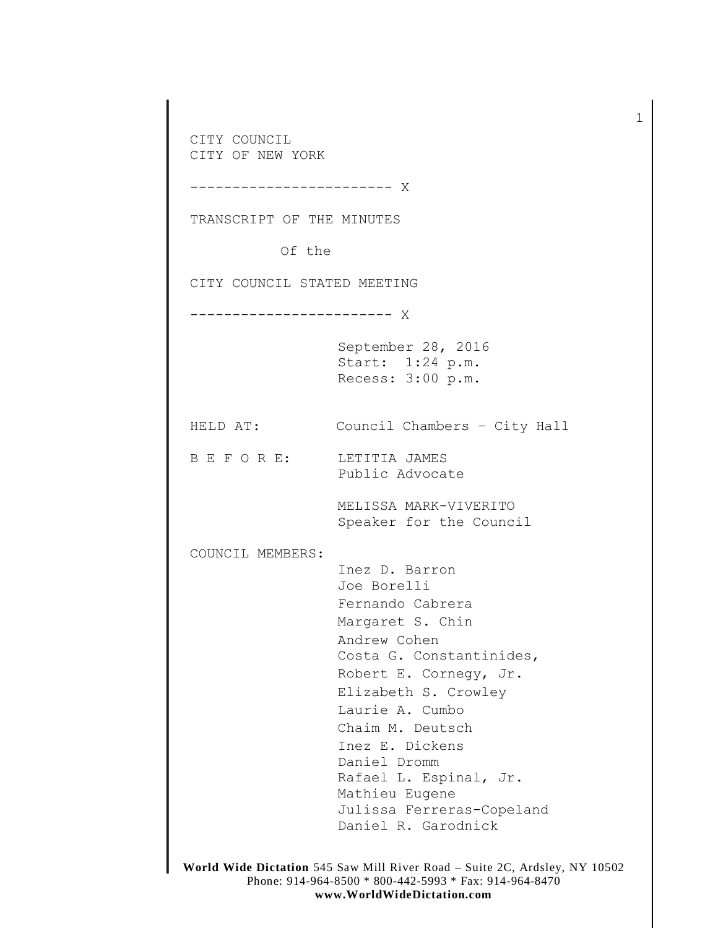CITY COUNCIL CITY OF NEW YORK ------------------------ X TRANSCRIPT OF THE MINUTES Of the CITY COUNCIL STATED MEETING ------------------------ X September 28, 2016 Start: 1:24 p.m. Recess: 3:00 p.m. HELD AT: Council Chambers – City Hall B E F O R E: LETITIA JAMES Public Advocate MELISSA MARK-VIVERITO Speaker for the Council COUNCIL MEMBERS: Inez D. Barron Joe Borelli Fernando Cabrera Margaret S. Chin Andrew Cohen Costa G. Constantinides, Robert E. Cornegy, Jr. Elizabeth S. Crowley Laurie A. Cumbo Chaim M. Deutsch Inez E. Dickens Daniel Dromm Rafael L. Espinal, Jr. Mathieu Eugene Julissa Ferreras-Copeland Daniel R. Garodnick

1

**World Wide Dictation** 545 Saw Mill River Road – Suite 2C, Ardsley, NY 10502 Phone: 914-964-8500 \* 800-442-5993 \* Fax: 914-964-8470 **www.WorldWideDictation.com**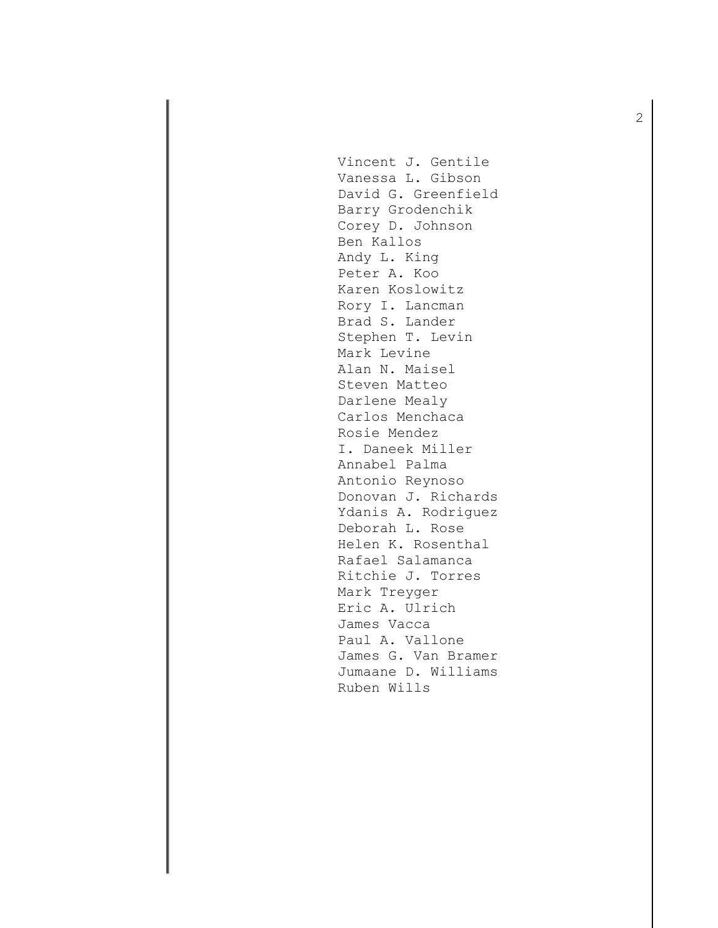Vincent J. Gentile Vanessa L. Gibson David G. Greenfield Barry Grodenchik Corey D. Johnson Ben Kallos Andy L. King Peter A. Koo Karen Koslowitz Rory I. Lancman Brad S. Lander Stephen T. Levin Mark Levine Alan N. Maisel Steven Matteo Darlene Mealy Carlos Menchaca Rosie Mendez I. Daneek Miller Annabel Palma Antonio Reynoso Donovan J. Richards Ydanis A. Rodriguez Deborah L. Rose Helen K. Rosenthal Rafael Salamanca Ritchie J. Torres Mark Treyger Eric A. Ulrich James Vacca Paul A. Vallone James G. Van Bramer Jumaane D. Williams Ruben Wills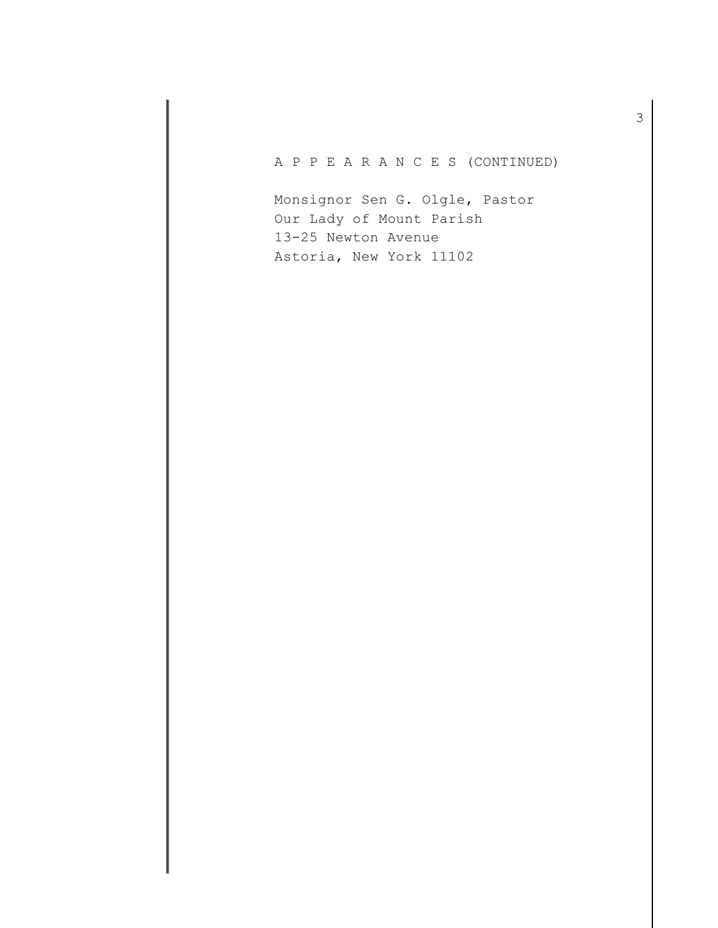A P P E A R A N C E S (CONTINUED)

Monsignor Sen G. Olgle, Pastor Our Lady of Mount Parish 13-25 Newton Avenue Astoria, New York 11102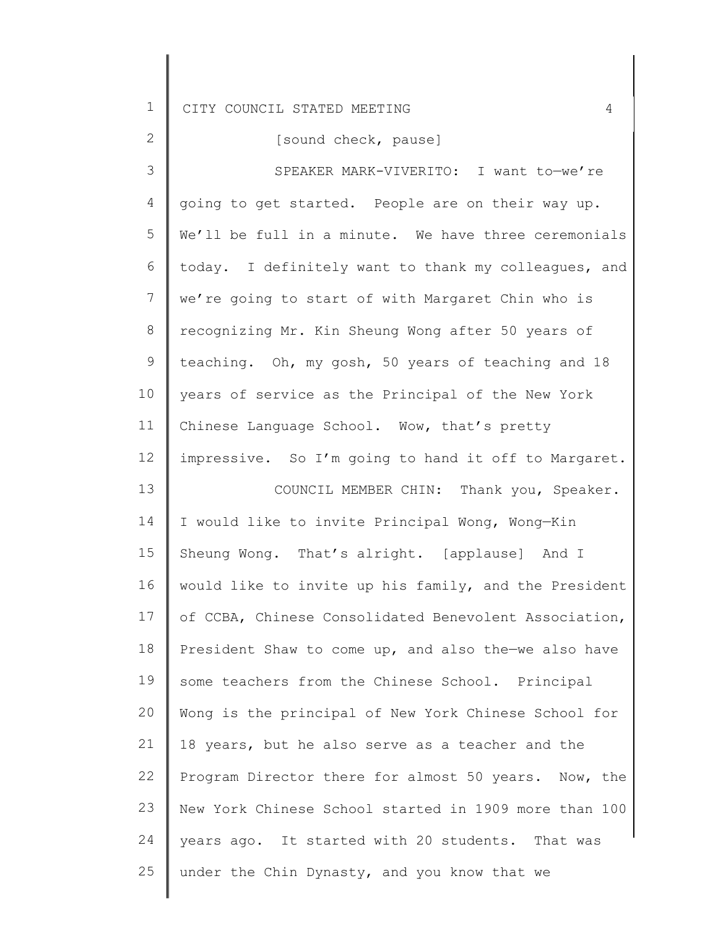| $\overline{2}$ | [sound check, pause]                                  |
|----------------|-------------------------------------------------------|
| 3              | SPEAKER MARK-VIVERITO: I want to-we're                |
| 4              | going to get started. People are on their way up.     |
| 5              | We'll be full in a minute. We have three ceremonials  |
| 6              | today. I definitely want to thank my colleagues, and  |
| $\overline{7}$ | we're going to start of with Margaret Chin who is     |
| 8              | recognizing Mr. Kin Sheung Wong after 50 years of     |
| 9              | teaching. Oh, my gosh, 50 years of teaching and 18    |
| 10             | years of service as the Principal of the New York     |
| 11             | Chinese Language School. Wow, that's pretty           |
| 12             | impressive. So I'm going to hand it off to Margaret.  |
| 13             | COUNCIL MEMBER CHIN: Thank you, Speaker.              |
| 14             | I would like to invite Principal Wong, Wong-Kin       |
| 15             | Sheung Wong. That's alright. [applause] And I         |
| 16             | would like to invite up his family, and the President |
| 17             | of CCBA, Chinese Consolidated Benevolent Association, |
| 18             | President Shaw to come up, and also the-we also have  |
| 19             | some teachers from the Chinese School. Principal      |
| 20             | Wong is the principal of New York Chinese School for  |
| 21             | 18 years, but he also serve as a teacher and the      |
| 22             | Program Director there for almost 50 years. Now, the  |
| 23             | New York Chinese School started in 1909 more than 100 |
| 24             | years ago. It started with 20 students. That was      |
| 25             | under the Chin Dynasty, and you know that we          |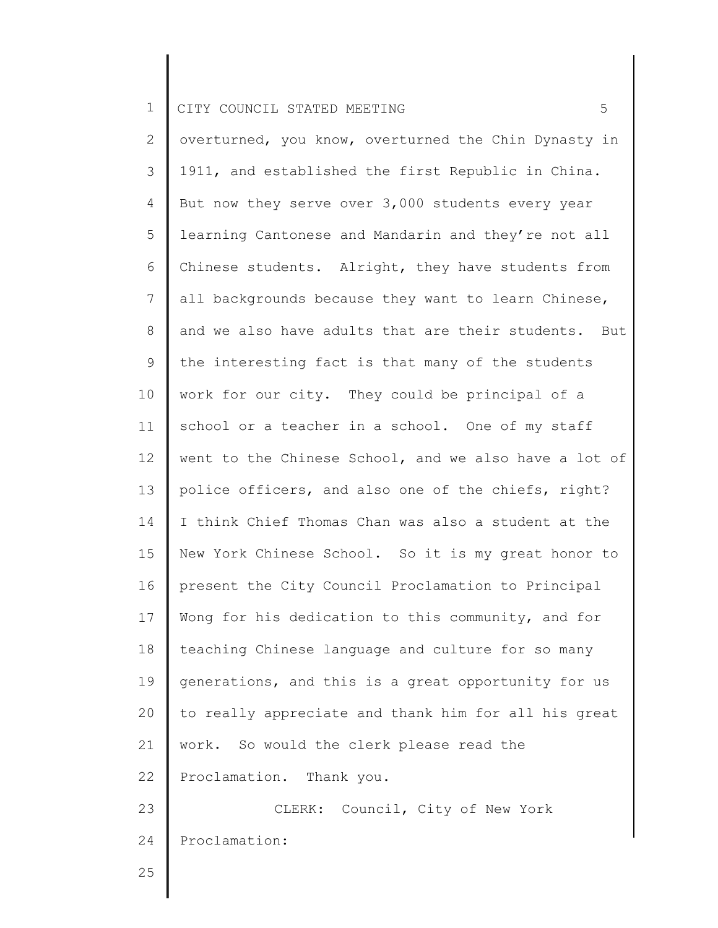2 3 4 5 6 7 8 9 10 11 12 13 14 15 16 17 18 19 20 21 22 23 24 overturned, you know, overturned the Chin Dynasty in 1911, and established the first Republic in China. But now they serve over 3,000 students every year learning Cantonese and Mandarin and they're not all Chinese students. Alright, they have students from all backgrounds because they want to learn Chinese, and we also have adults that are their students. But the interesting fact is that many of the students work for our city. They could be principal of a school or a teacher in a school. One of my staff went to the Chinese School, and we also have a lot of police officers, and also one of the chiefs, right? I think Chief Thomas Chan was also a student at the New York Chinese School. So it is my great honor to present the City Council Proclamation to Principal Wong for his dedication to this community, and for teaching Chinese language and culture for so many generations, and this is a great opportunity for us to really appreciate and thank him for all his great work. So would the clerk please read the Proclamation. Thank you. CLERK: Council, City of New York Proclamation: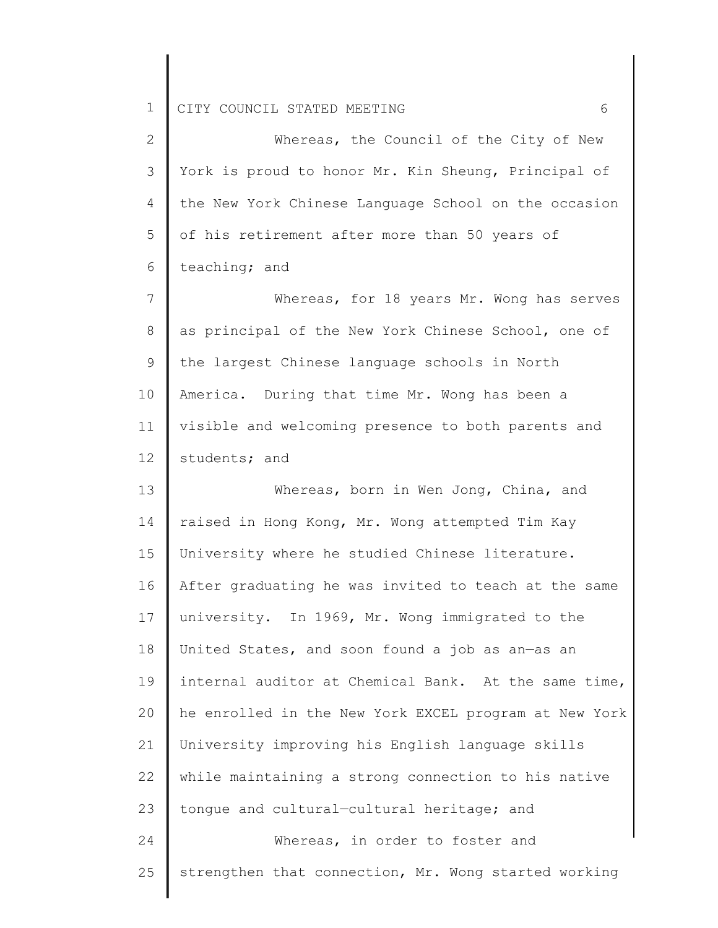| $\mathbf{2}^{\prime}$ | Whereas, the Council of the City of New               |
|-----------------------|-------------------------------------------------------|
| 3                     | York is proud to honor Mr. Kin Sheung, Principal of   |
| 4                     | the New York Chinese Language School on the occasion  |
| 5                     | of his retirement after more than 50 years of         |
| 6                     | teaching; and                                         |
| 7                     | Whereas, for 18 years Mr. Wong has serves             |
| 8                     | as principal of the New York Chinese School, one of   |
| 9                     | the largest Chinese language schools in North         |
| 10                    | America. During that time Mr. Wong has been a         |
| 11                    | visible and welcoming presence to both parents and    |
| 12                    | students; and                                         |
| 13                    | Whereas, born in Wen Jong, China, and                 |
| 14                    | raised in Hong Kong, Mr. Wong attempted Tim Kay       |
| 15                    | University where he studied Chinese literature.       |
| 16                    | After graduating he was invited to teach at the same  |
| 17                    | university. In 1969, Mr. Wong immigrated to the       |
| 18                    | United States, and soon found a job as an-as an       |
| 19                    | internal auditor at Chemical Bank. At the same time,  |
| 20                    | he enrolled in the New York EXCEL program at New York |
| 21                    | University improving his English language skills      |
| 22                    | while maintaining a strong connection to his native   |
| 23                    | tongue and cultural-cultural heritage; and            |
| 24                    | Whereas, in order to foster and                       |
| 25                    | strengthen that connection, Mr. Wong started working  |
|                       |                                                       |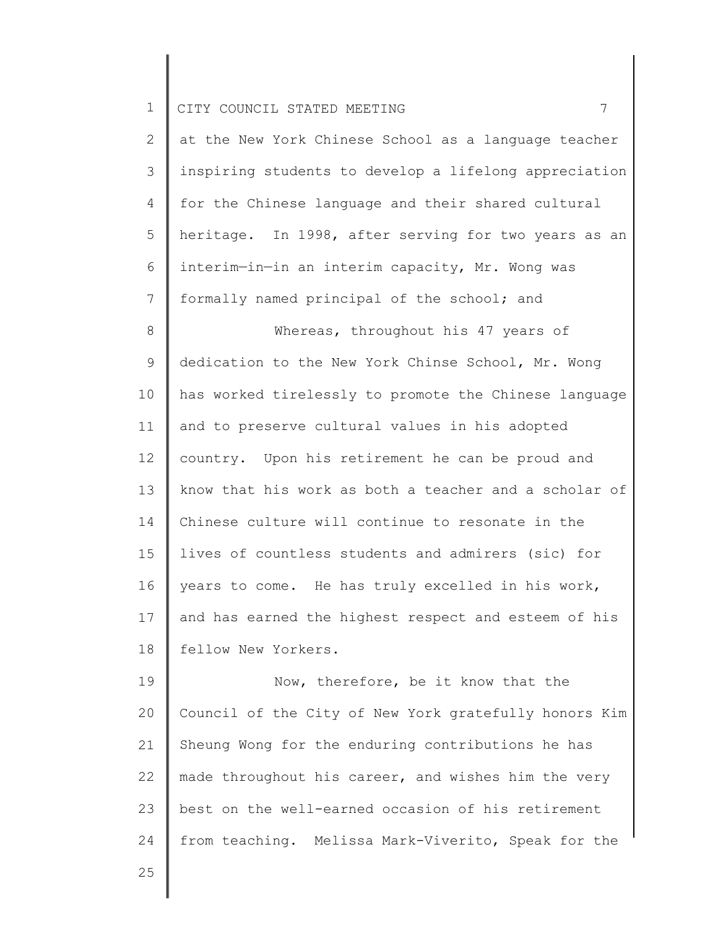| $\mathbf{2}^{\mathsf{I}}$ | at the New York Chinese School as a language teacher  |
|---------------------------|-------------------------------------------------------|
| 3                         | inspiring students to develop a lifelong appreciation |
| 4                         | for the Chinese language and their shared cultural    |
| 5                         | heritage. In 1998, after serving for two years as an  |
| 6                         | interim-in-in an interim capacity, Mr. Wong was       |
| 7                         | formally named principal of the school; and           |
| 8                         | Whereas, throughout his 47 years of                   |
| $\mathsf 9$               | dedication to the New York Chinse School, Mr. Wong    |
| 10                        | has worked tirelessly to promote the Chinese language |
| 11                        | and to preserve cultural values in his adopted        |
| 12                        | country. Upon his retirement he can be proud and      |
| 13                        | know that his work as both a teacher and a scholar of |
| 14                        | Chinese culture will continue to resonate in the      |
| 15                        | lives of countless students and admirers (sic) for    |
| 16                        | years to come. He has truly excelled in his work,     |
| 17                        | and has earned the highest respect and esteem of his  |
| 18                        | fellow New Yorkers.                                   |
| 19                        | Now, therefore, be it know that the                   |

20 21 22 23 24 Council of the City of New York gratefully honors Kim Sheung Wong for the enduring contributions he has made throughout his career, and wishes him the very best on the well-earned occasion of his retirement from teaching. Melissa Mark-Viverito, Speak for the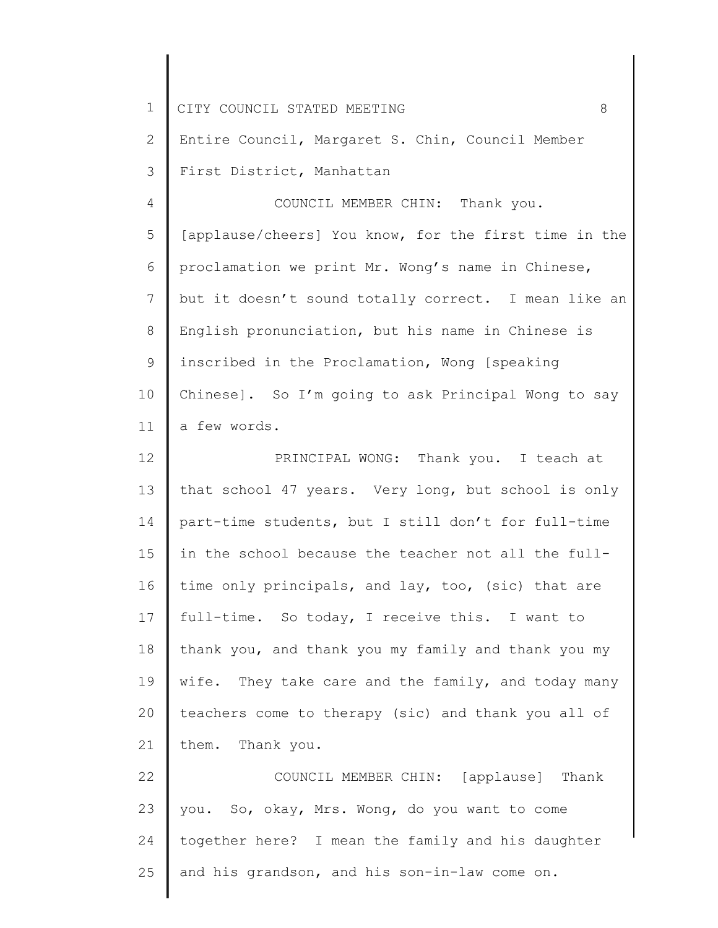| $\mathbf 1$ | CITY COUNCIL STATED MEETING<br>8                      |
|-------------|-------------------------------------------------------|
| 2           | Entire Council, Margaret S. Chin, Council Member      |
| 3           | First District, Manhattan                             |
| 4           | COUNCIL MEMBER CHIN: Thank you.                       |
| 5           | [applause/cheers] You know, for the first time in the |
| 6           | proclamation we print Mr. Wong's name in Chinese,     |
| 7           | but it doesn't sound totally correct. I mean like an  |
| 8           | English pronunciation, but his name in Chinese is     |
| 9           | inscribed in the Proclamation, Wong [speaking         |
| 10          | Chinese]. So I'm going to ask Principal Wong to say   |
| 11          | a few words.                                          |
| 12          | PRINCIPAL WONG: Thank you. I teach at                 |
| 13          | that school 47 years. Very long, but school is only   |
| 14          | part-time students, but I still don't for full-time   |
| 15          | in the school because the teacher not all the full-   |
| 16          | time only principals, and lay, too, (sic) that are    |
| 17          | full-time. So today, I receive this. I want to        |
| 18          | thank you, and thank you my family and thank you my   |
| 19          | wife. They take care and the family, and today many   |
| 20          | teachers come to therapy (sic) and thank you all of   |
| 21          | them. Thank you.                                      |
| 22          | COUNCIL MEMBER CHIN: [applause] Thank                 |
| 23          | you. So, okay, Mrs. Wong, do you want to come         |
| 24          | together here? I mean the family and his daughter     |
| 25          | and his grandson, and his son-in-law come on.         |
|             |                                                       |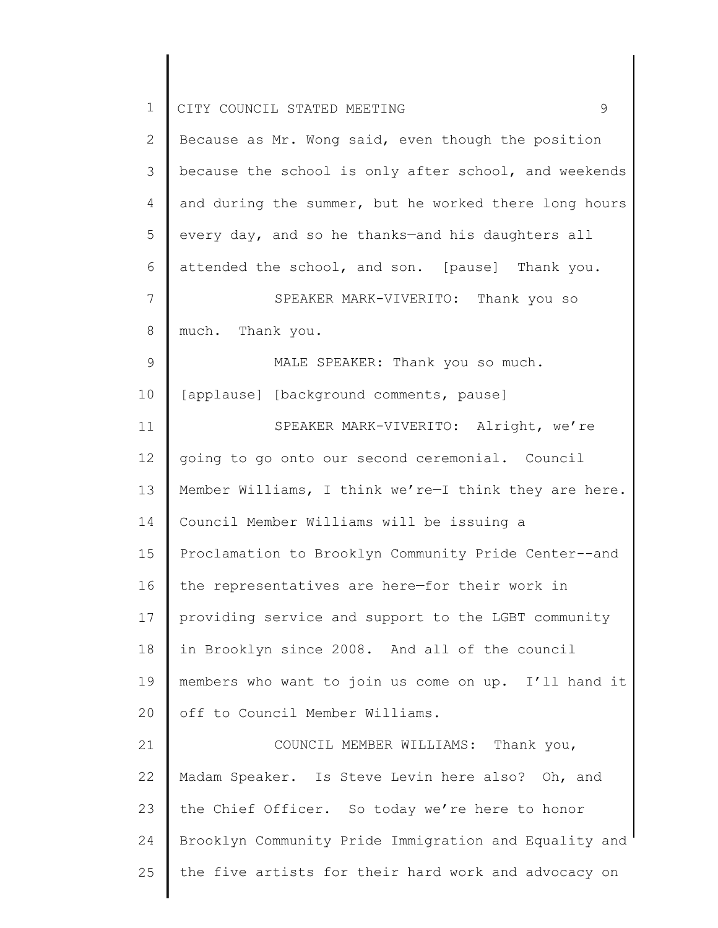| $\mathbf 1$   | 9<br>CITY COUNCIL STATED MEETING                      |
|---------------|-------------------------------------------------------|
| $\mathbf{2}$  | Because as Mr. Wong said, even though the position    |
| 3             | because the school is only after school, and weekends |
| 4             | and during the summer, but he worked there long hours |
| 5             | every day, and so he thanks-and his daughters all     |
| 6             | attended the school, and son. [pause] Thank you.      |
| 7             | SPEAKER MARK-VIVERITO: Thank you so                   |
| 8             | much. Thank you.                                      |
| $\mathcal{G}$ | MALE SPEAKER: Thank you so much.                      |
| 10            | [applause] [background comments, pause]               |
| 11            | SPEAKER MARK-VIVERITO: Alright, we're                 |
| 12            | going to go onto our second ceremonial. Council       |
| 13            | Member Williams, I think we're-I think they are here. |
| 14            | Council Member Williams will be issuing a             |
| 15            | Proclamation to Brooklyn Community Pride Center--and  |
| 16            | the representatives are here-for their work in        |
| 17            | providing service and support to the LGBT community   |
| 18            | in Brooklyn since 2008. And all of the council        |
| 19            | members who want to join us come on up. I'll hand it  |
| 20            | off to Council Member Williams.                       |
| 21            | COUNCIL MEMBER WILLIAMS: Thank you,                   |
| 22            | Madam Speaker. Is Steve Levin here also? Oh, and      |
| 23            | the Chief Officer. So today we're here to honor       |
| 24            | Brooklyn Community Pride Immigration and Equality and |
| 25            | the five artists for their hard work and advocacy on  |
|               |                                                       |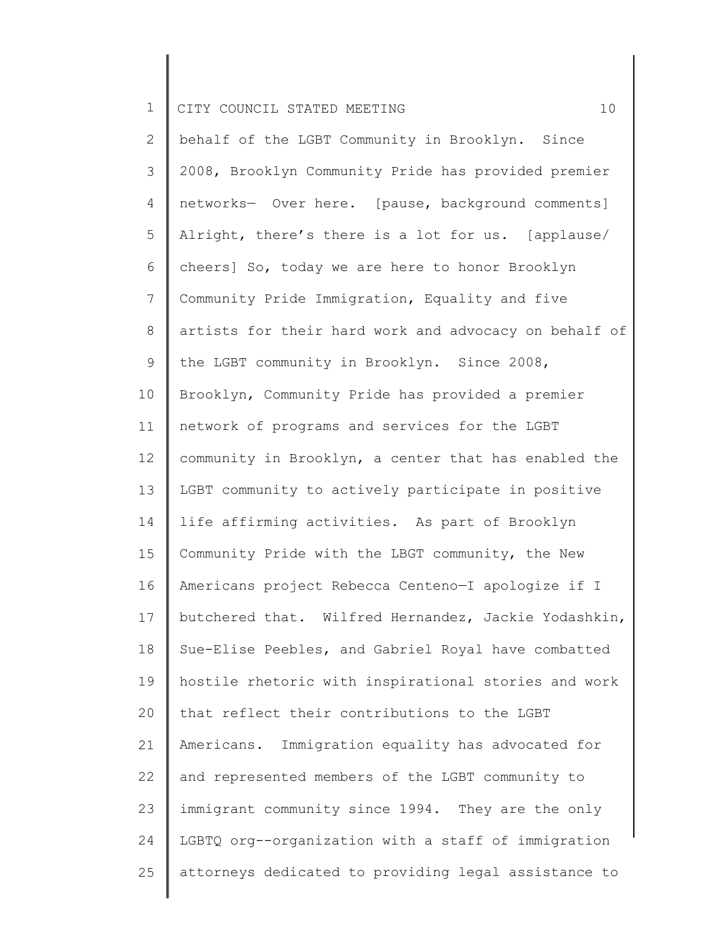2 3 4 5 6 7 8 9 10 11 12 13 14 15 16 17 18 19 20 21 22 23 24 25 behalf of the LGBT Community in Brooklyn. Since 2008, Brooklyn Community Pride has provided premier networks— Over here. [pause, background comments] Alright, there's there is a lot for us. [applause/ cheers] So, today we are here to honor Brooklyn Community Pride Immigration, Equality and five artists for their hard work and advocacy on behalf of the LGBT community in Brooklyn. Since 2008, Brooklyn, Community Pride has provided a premier network of programs and services for the LGBT community in Brooklyn, a center that has enabled the LGBT community to actively participate in positive life affirming activities. As part of Brooklyn Community Pride with the LBGT community, the New Americans project Rebecca Centeno—I apologize if I butchered that. Wilfred Hernandez, Jackie Yodashkin, Sue-Elise Peebles, and Gabriel Royal have combatted hostile rhetoric with inspirational stories and work that reflect their contributions to the LGBT Americans. Immigration equality has advocated for and represented members of the LGBT community to immigrant community since 1994. They are the only LGBTQ org--organization with a staff of immigration attorneys dedicated to providing legal assistance to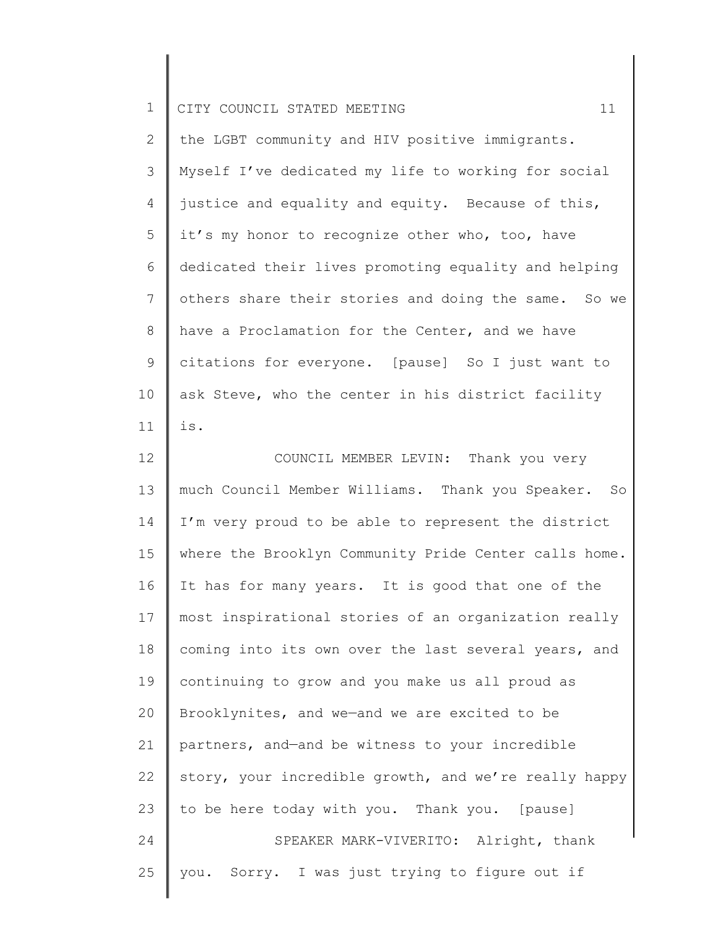| ᅩ |  | I CITY COUNCIL STATED MEETING |  |  |  |  |  |  |
|---|--|-------------------------------|--|--|--|--|--|--|
|---|--|-------------------------------|--|--|--|--|--|--|

2 3 4 5 6 7 8 9 10 11 the LGBT community and HIV positive immigrants. Myself I've dedicated my life to working for social justice and equality and equity. Because of this, it's my honor to recognize other who, too, have dedicated their lives promoting equality and helping others share their stories and doing the same. So we have a Proclamation for the Center, and we have citations for everyone. [pause] So I just want to ask Steve, who the center in his district facility is.

12 13 14 15 16 17 18 19 20 21 22 23 24 25 COUNCIL MEMBER LEVIN: Thank you very much Council Member Williams. Thank you Speaker. So I'm very proud to be able to represent the district where the Brooklyn Community Pride Center calls home. It has for many years. It is good that one of the most inspirational stories of an organization really coming into its own over the last several years, and continuing to grow and you make us all proud as Brooklynites, and we—and we are excited to be partners, and—and be witness to your incredible story, your incredible growth, and we're really happy to be here today with you. Thank you. [pause] SPEAKER MARK-VIVERITO: Alright, thank you. Sorry. I was just trying to figure out if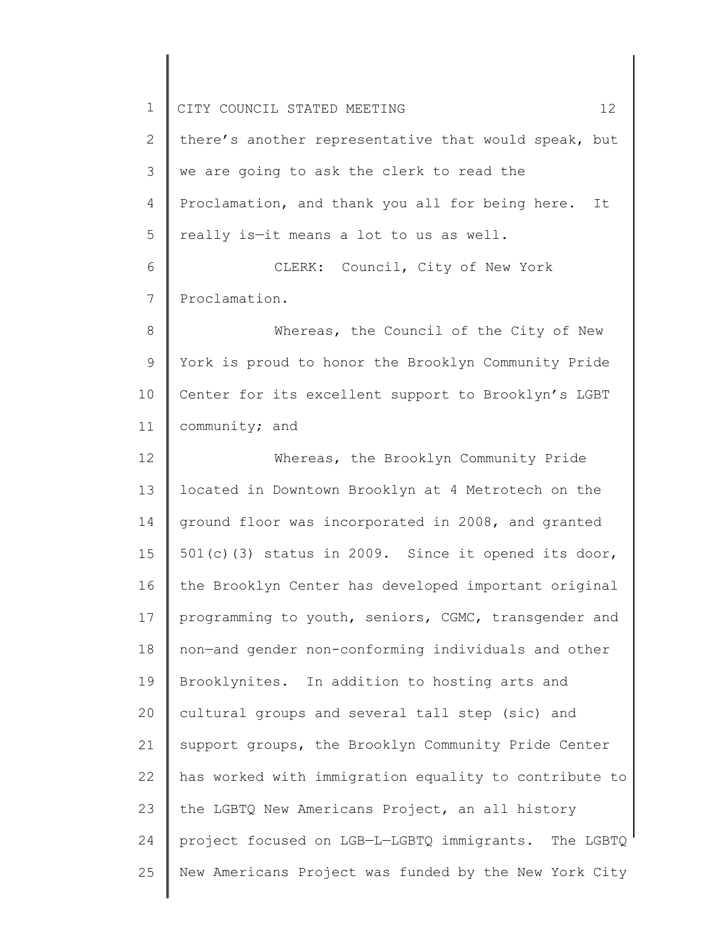| $\mathbf 1$ | 12 <sup>°</sup><br>CITY COUNCIL STATED MEETING        |
|-------------|-------------------------------------------------------|
| 2           | there's another representative that would speak, but  |
| 3           | we are going to ask the clerk to read the             |
| 4           | Proclamation, and thank you all for being here.<br>It |
| 5           | really is-it means a lot to us as well.               |
| 6           | CLERK: Council, City of New York                      |
| 7           | Proclamation.                                         |
| 8           | Whereas, the Council of the City of New               |
| 9           | York is proud to honor the Brooklyn Community Pride   |
| 10          | Center for its excellent support to Brooklyn's LGBT   |
| 11          | community; and                                        |
| 12          | Whereas, the Brooklyn Community Pride                 |
| 13          | located in Downtown Brooklyn at 4 Metrotech on the    |
| 14          | ground floor was incorporated in 2008, and granted    |
| 15          | 501(c)(3) status in 2009. Since it opened its door,   |
| 16          | the Brooklyn Center has developed important original  |
| 17          | programming to youth, seniors, CGMC, transgender and  |
| 18          | non-and gender non-conforming individuals and other   |
| 19          | Brooklynites. In addition to hosting arts and         |
| 20          | cultural groups and several tall step (sic) and       |
| 21          | support groups, the Brooklyn Community Pride Center   |
| 22          | has worked with immigration equality to contribute to |
| 23          | the LGBTQ New Americans Project, an all history       |
| 24          | project focused on LGB-L-LGBTQ immigrants. The LGBTQ  |
| 25          | New Americans Project was funded by the New York City |
|             |                                                       |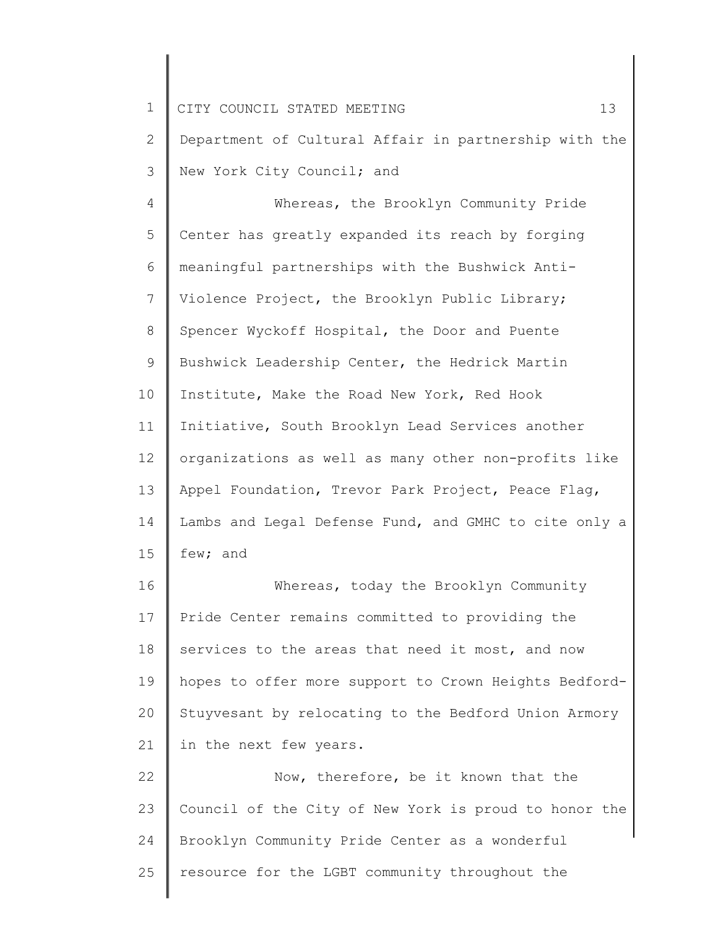1 2 3 4 5 6 CITY COUNCIL STATED MEETING 13 Department of Cultural Affair in partnership with the New York City Council; and Whereas, the Brooklyn Community Pride Center has greatly expanded its reach by forging meaningful partnerships with the Bushwick Anti-

7 8 9 10 11 12 13 14 15 Violence Project, the Brooklyn Public Library; Spencer Wyckoff Hospital, the Door and Puente Bushwick Leadership Center, the Hedrick Martin Institute, Make the Road New York, Red Hook Initiative, South Brooklyn Lead Services another organizations as well as many other non-profits like Appel Foundation, Trevor Park Project, Peace Flag, Lambs and Legal Defense Fund, and GMHC to cite only a few; and

16 17 18 19 20 21 Whereas, today the Brooklyn Community Pride Center remains committed to providing the services to the areas that need it most, and now hopes to offer more support to Crown Heights Bedford-Stuyvesant by relocating to the Bedford Union Armory in the next few years.

22 23 24 25 Now, therefore, be it known that the Council of the City of New York is proud to honor the Brooklyn Community Pride Center as a wonderful resource for the LGBT community throughout the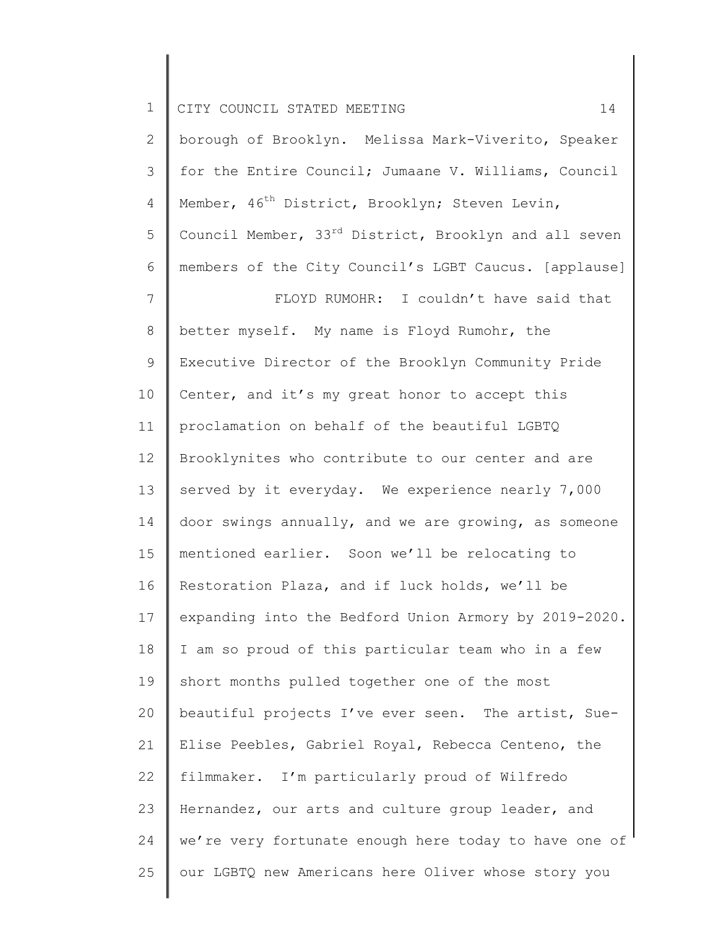1 2 3 4 5 6 7 8 9 10 11 12 13 14 15 16 17 18 19 20 21 22 23 24 CITY COUNCIL STATED MEETING 14 borough of Brooklyn. Melissa Mark-Viverito, Speaker for the Entire Council; Jumaane V. Williams, Council Member, 46<sup>th</sup> District, Brooklyn; Steven Levin, Council Member, 33<sup>rd</sup> District, Brooklyn and all seven members of the City Council's LGBT Caucus. [applause] FLOYD RUMOHR: I couldn't have said that better myself. My name is Floyd Rumohr, the Executive Director of the Brooklyn Community Pride Center, and it's my great honor to accept this proclamation on behalf of the beautiful LGBTQ Brooklynites who contribute to our center and are served by it everyday. We experience nearly 7,000 door swings annually, and we are growing, as someone mentioned earlier. Soon we'll be relocating to Restoration Plaza, and if luck holds, we'll be expanding into the Bedford Union Armory by 2019-2020. I am so proud of this particular team who in a few short months pulled together one of the most beautiful projects I've ever seen. The artist, Sue-Elise Peebles, Gabriel Royal, Rebecca Centeno, the filmmaker. I'm particularly proud of Wilfredo Hernandez, our arts and culture group leader, and we're very fortunate enough here today to have one of

our LGBTQ new Americans here Oliver whose story you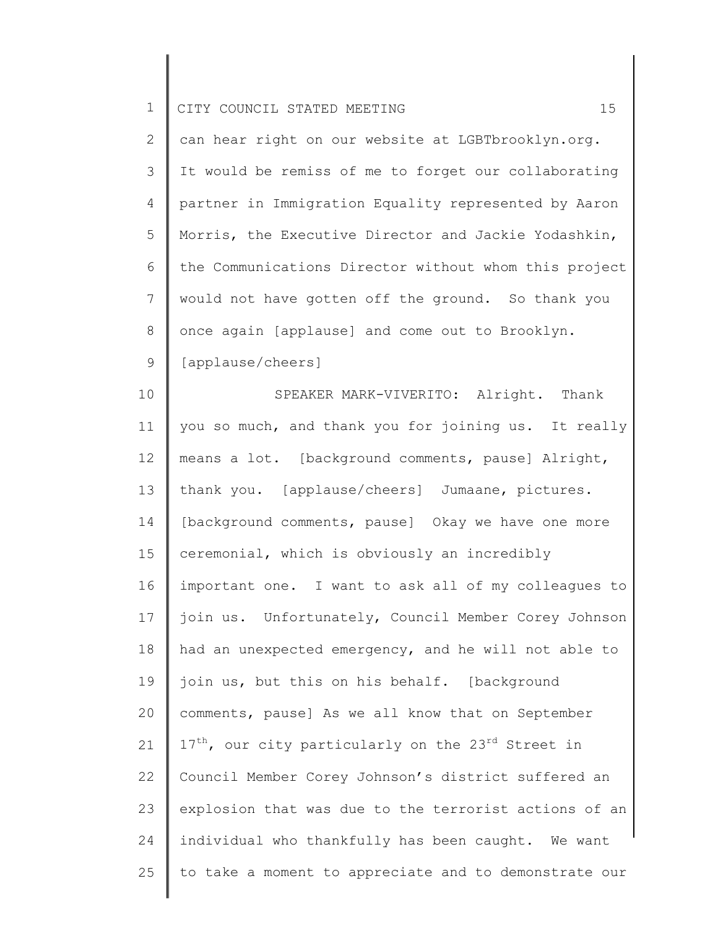2 3 4 5 6 7 8 9 can hear right on our website at LGBTbrooklyn.org. It would be remiss of me to forget our collaborating partner in Immigration Equality represented by Aaron Morris, the Executive Director and Jackie Yodashkin, the Communications Director without whom this project would not have gotten off the ground. So thank you once again [applause] and come out to Brooklyn. [applause/cheers]

10 11 12 13 14 15 16 17 18 19 20 21 22 23 24 25 SPEAKER MARK-VIVERITO: Alright. Thank you so much, and thank you for joining us. It really means a lot. [background comments, pause] Alright, thank you. [applause/cheers] Jumaane, pictures. [background comments, pause] Okay we have one more ceremonial, which is obviously an incredibly important one. I want to ask all of my colleagues to join us. Unfortunately, Council Member Corey Johnson had an unexpected emergency, and he will not able to join us, but this on his behalf. [background comments, pause] As we all know that on September  $17<sup>th</sup>$ , our city particularly on the 23<sup>rd</sup> Street in Council Member Corey Johnson's district suffered an explosion that was due to the terrorist actions of an individual who thankfully has been caught. We want to take a moment to appreciate and to demonstrate our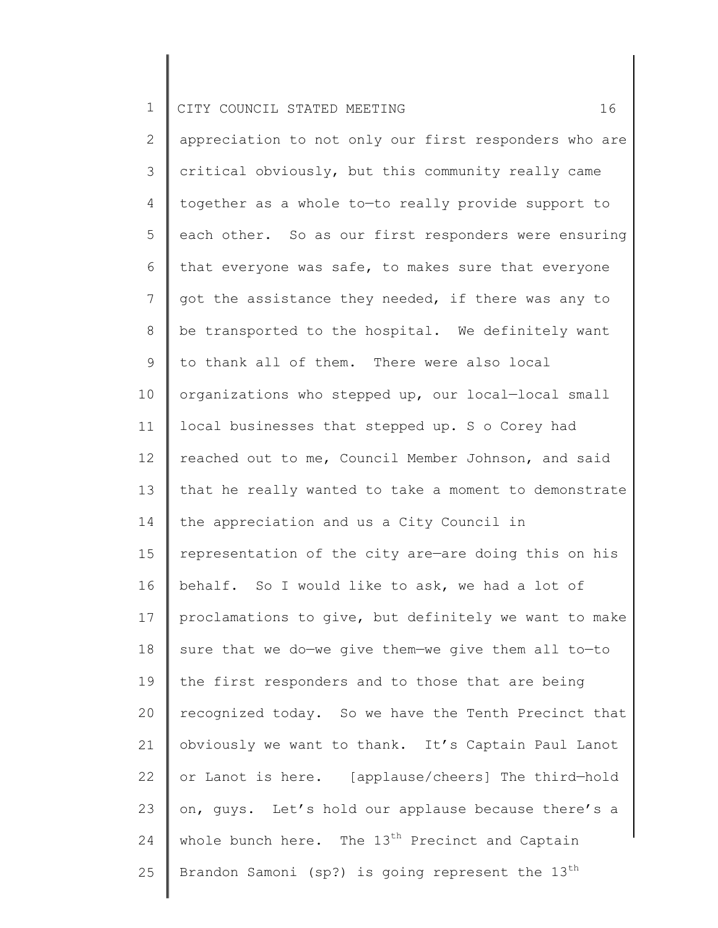2 3 4 5 6 7 8 9 10 11 12 13 14 15 16 17 18 19 20 21 22 23 24 25 appreciation to not only our first responders who are critical obviously, but this community really came together as a whole to—to really provide support to each other. So as our first responders were ensuring that everyone was safe, to makes sure that everyone got the assistance they needed, if there was any to be transported to the hospital. We definitely want to thank all of them. There were also local organizations who stepped up, our local—local small local businesses that stepped up. S o Corey had reached out to me, Council Member Johnson, and said that he really wanted to take a moment to demonstrate the appreciation and us a City Council in representation of the city are—are doing this on his behalf. So I would like to ask, we had a lot of proclamations to give, but definitely we want to make sure that we do—we give them—we give them all to—to the first responders and to those that are being recognized today. So we have the Tenth Precinct that obviously we want to thank. It's Captain Paul Lanot or Lanot is here. [applause/cheers] The third—hold on, guys. Let's hold our applause because there's a whole bunch here. The  $13<sup>th</sup>$  Precinct and Captain Brandon Samoni (sp?) is going represent the  $13<sup>th</sup>$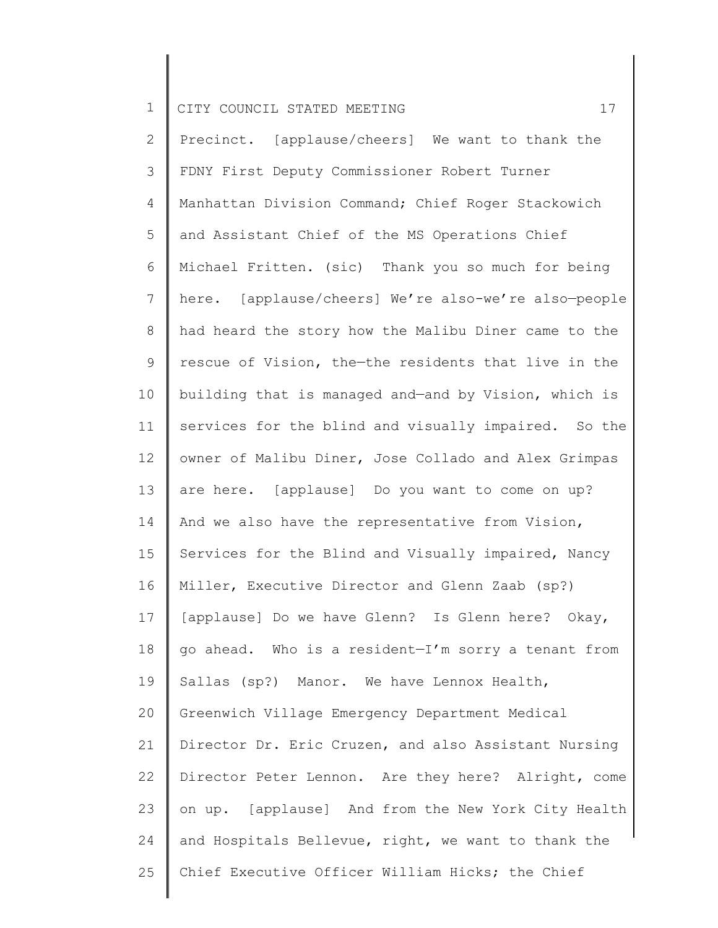2 3 4 5 6 7 8 9 10 11 12 13 14 15 16 17 18 19 20 21 22 23 24 25 Precinct. [applause/cheers] We want to thank the FDNY First Deputy Commissioner Robert Turner Manhattan Division Command; Chief Roger Stackowich and Assistant Chief of the MS Operations Chief Michael Fritten. (sic) Thank you so much for being here. [applause/cheers] We're also-we're also—people had heard the story how the Malibu Diner came to the rescue of Vision, the—the residents that live in the building that is managed and—and by Vision, which is services for the blind and visually impaired. So the owner of Malibu Diner, Jose Collado and Alex Grimpas are here. [applause] Do you want to come on up? And we also have the representative from Vision, Services for the Blind and Visually impaired, Nancy Miller, Executive Director and Glenn Zaab (sp?) [applause] Do we have Glenn? Is Glenn here? Okay, go ahead. Who is a resident—I'm sorry a tenant from Sallas (sp?) Manor. We have Lennox Health, Greenwich Village Emergency Department Medical Director Dr. Eric Cruzen, and also Assistant Nursing Director Peter Lennon. Are they here? Alright, come on up. [applause] And from the New York City Health and Hospitals Bellevue, right, we want to thank the Chief Executive Officer William Hicks; the Chief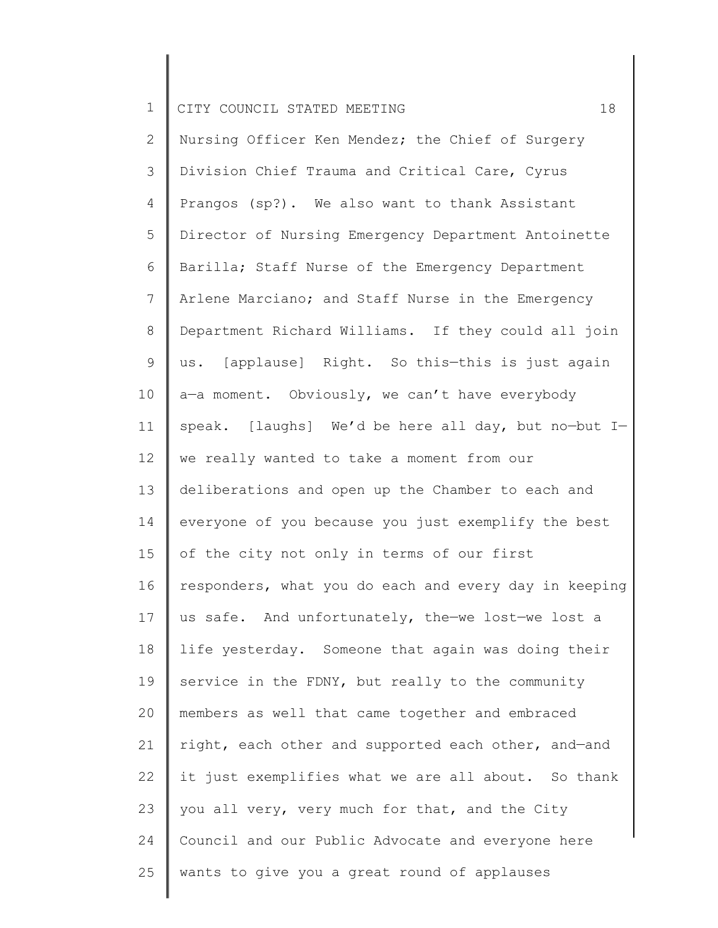2 3 4 5 6 7 8 9 10 11 12 13 14 15 16 17 18 19 20 21 22 23 24 25 Nursing Officer Ken Mendez; the Chief of Surgery Division Chief Trauma and Critical Care, Cyrus Prangos (sp?). We also want to thank Assistant Director of Nursing Emergency Department Antoinette Barilla; Staff Nurse of the Emergency Department Arlene Marciano; and Staff Nurse in the Emergency Department Richard Williams. If they could all join us. [applause] Right. So this—this is just again a-a moment. Obviously, we can't have everybody speak. [laughs] We'd be here all day, but no—but I we really wanted to take a moment from our deliberations and open up the Chamber to each and everyone of you because you just exemplify the best of the city not only in terms of our first responders, what you do each and every day in keeping us safe. And unfortunately, the—we lost—we lost a life yesterday. Someone that again was doing their service in the FDNY, but really to the community members as well that came together and embraced right, each other and supported each other, and—and it just exemplifies what we are all about. So thank you all very, very much for that, and the City Council and our Public Advocate and everyone here wants to give you a great round of applauses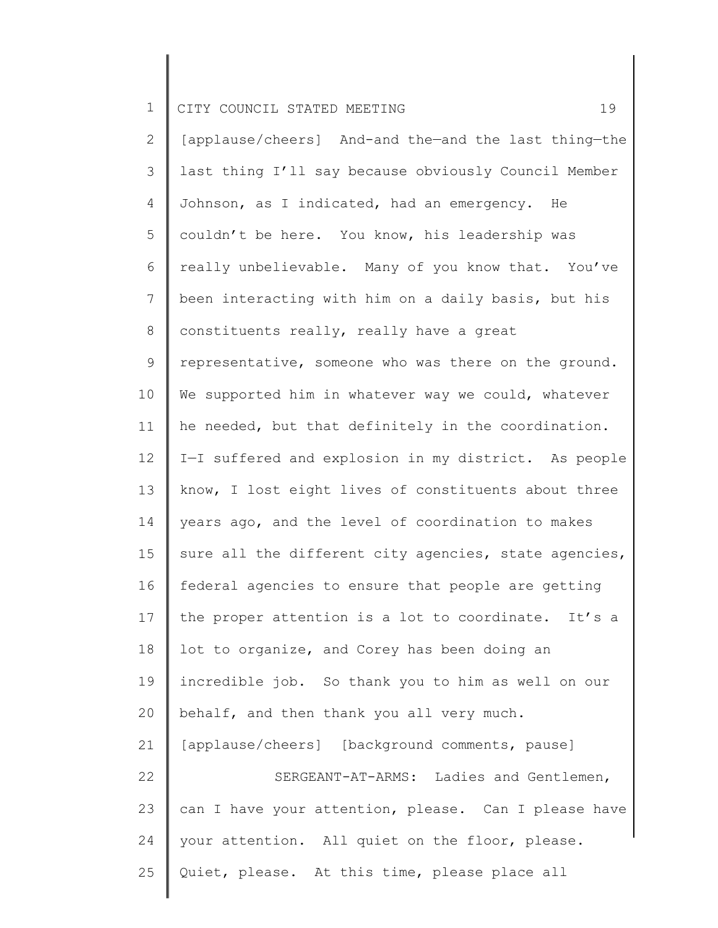2 3 4 5 6 7 8 9 10 11 12 13 14 15 16 17 18 19 20 21 22 23 24 25 [applause/cheers] And-and the—and the last thing—the last thing I'll say because obviously Council Member Johnson, as I indicated, had an emergency. He couldn't be here. You know, his leadership was really unbelievable. Many of you know that. You've been interacting with him on a daily basis, but his constituents really, really have a great representative, someone who was there on the ground. We supported him in whatever way we could, whatever he needed, but that definitely in the coordination. I—I suffered and explosion in my district. As people know, I lost eight lives of constituents about three years ago, and the level of coordination to makes sure all the different city agencies, state agencies, federal agencies to ensure that people are getting the proper attention is a lot to coordinate. It's a lot to organize, and Corey has been doing an incredible job. So thank you to him as well on our behalf, and then thank you all very much. [applause/cheers] [background comments, pause] SERGEANT-AT-ARMS: Ladies and Gentlemen, can I have your attention, please. Can I please have your attention. All quiet on the floor, please. Quiet, please. At this time, please place all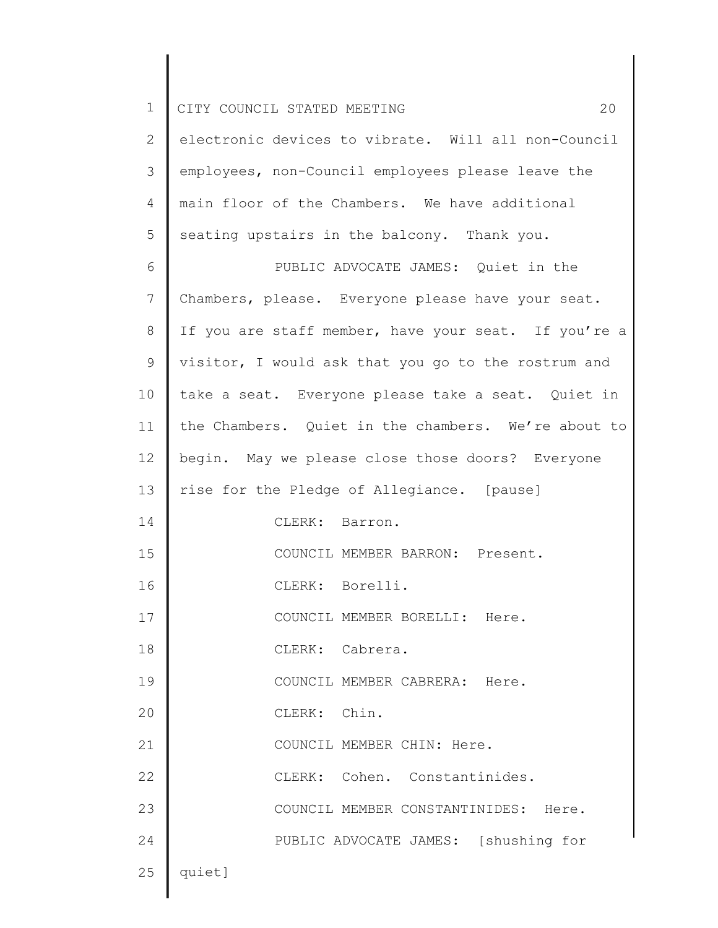| $\mathbf 1$  | 20<br>CITY COUNCIL STATED MEETING                    |
|--------------|------------------------------------------------------|
| $\mathbf{2}$ | electronic devices to vibrate. Will all non-Council  |
| 3            | employees, non-Council employees please leave the    |
| 4            | main floor of the Chambers. We have additional       |
| 5            | seating upstairs in the balcony. Thank you.          |
| 6            | PUBLIC ADVOCATE JAMES: Quiet in the                  |
| 7            | Chambers, please. Everyone please have your seat.    |
| 8            | If you are staff member, have your seat. If you're a |
| 9            | visitor, I would ask that you go to the rostrum and  |
| 10           | take a seat. Everyone please take a seat. Quiet in   |
| 11           | the Chambers. Quiet in the chambers. We're about to  |
| 12           | begin. May we please close those doors? Everyone     |
| 13           | rise for the Pledge of Allegiance. [pause]           |
| 14           | CLERK: Barron.                                       |
| 15           | COUNCIL MEMBER BARRON: Present.                      |
| 16           | CLERK: Borelli.                                      |
| 17           | COUNCIL MEMBER BORELLI: Here.                        |
| 18           | CLERK: Cabrera.                                      |
| 19           | COUNCIL MEMBER CABRERA: Here.                        |
| 20           | CLERK: Chin.                                         |
| 21           | COUNCIL MEMBER CHIN: Here.                           |
| 22           | CLERK: Cohen. Constantinides.                        |
| 23           | COUNCIL MEMBER CONSTANTINIDES: Here.                 |
| 24           | PUBLIC ADVOCATE JAMES: [shushing for                 |
| 25           | quiet]                                               |
|              |                                                      |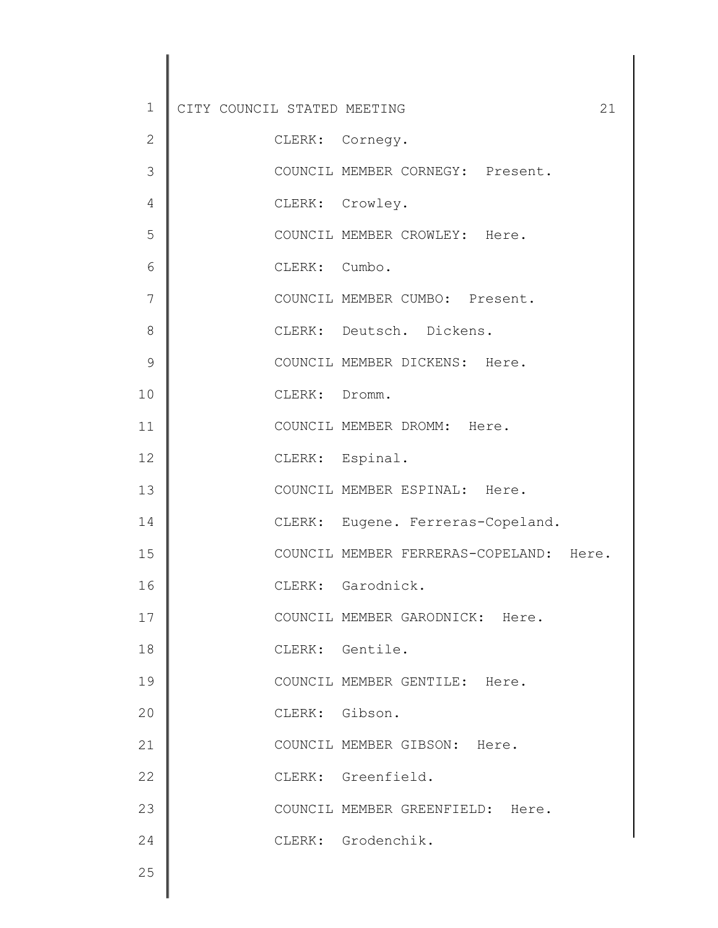| 1             | CITY COUNCIL STATED MEETING |               |                    |                               |                                         | 21 |
|---------------|-----------------------------|---------------|--------------------|-------------------------------|-----------------------------------------|----|
| $\mathbf{2}$  |                             |               | CLERK: Cornegy.    |                               |                                         |    |
| 3             |                             |               |                    |                               | COUNCIL MEMBER CORNEGY: Present.        |    |
| 4             |                             |               | CLERK: Crowley.    |                               |                                         |    |
| 5             |                             |               |                    | COUNCIL MEMBER CROWLEY: Here. |                                         |    |
| 6             |                             | CLERK: Cumbo. |                    |                               |                                         |    |
| 7             |                             |               |                    |                               | COUNCIL MEMBER CUMBO: Present.          |    |
| 8             |                             |               |                    | CLERK: Deutsch. Dickens.      |                                         |    |
| $\mathcal{G}$ |                             |               |                    | COUNCIL MEMBER DICKENS: Here. |                                         |    |
| 10            |                             | CLERK: Dromm. |                    |                               |                                         |    |
| 11            |                             |               |                    | COUNCIL MEMBER DROMM: Here.   |                                         |    |
| 12            |                             |               | CLERK: Espinal.    |                               |                                         |    |
| 13            |                             |               |                    | COUNCIL MEMBER ESPINAL: Here. |                                         |    |
| 14            |                             |               |                    |                               | CLERK: Eugene. Ferreras-Copeland.       |    |
| 15            |                             |               |                    |                               | COUNCIL MEMBER FERRERAS-COPELAND: Here. |    |
| 16            |                             |               | CLERK: Garodnick.  |                               |                                         |    |
| 17            |                             |               |                    |                               | COUNCIL MEMBER GARODNICK: Here.         |    |
| 18            |                             |               | CLERK: Gentile.    |                               |                                         |    |
| 19            |                             |               |                    | COUNCIL MEMBER GENTILE: Here. |                                         |    |
| 20            |                             |               | CLERK: Gibson.     |                               |                                         |    |
| 21            |                             |               |                    | COUNCIL MEMBER GIBSON: Here.  |                                         |    |
| 22            |                             |               | CLERK: Greenfield. |                               |                                         |    |
| 23            |                             |               |                    |                               | COUNCIL MEMBER GREENFIELD: Here.        |    |
| 24            |                             |               | CLERK: Grodenchik. |                               |                                         |    |
| 25            |                             |               |                    |                               |                                         |    |
|               |                             |               |                    |                               |                                         |    |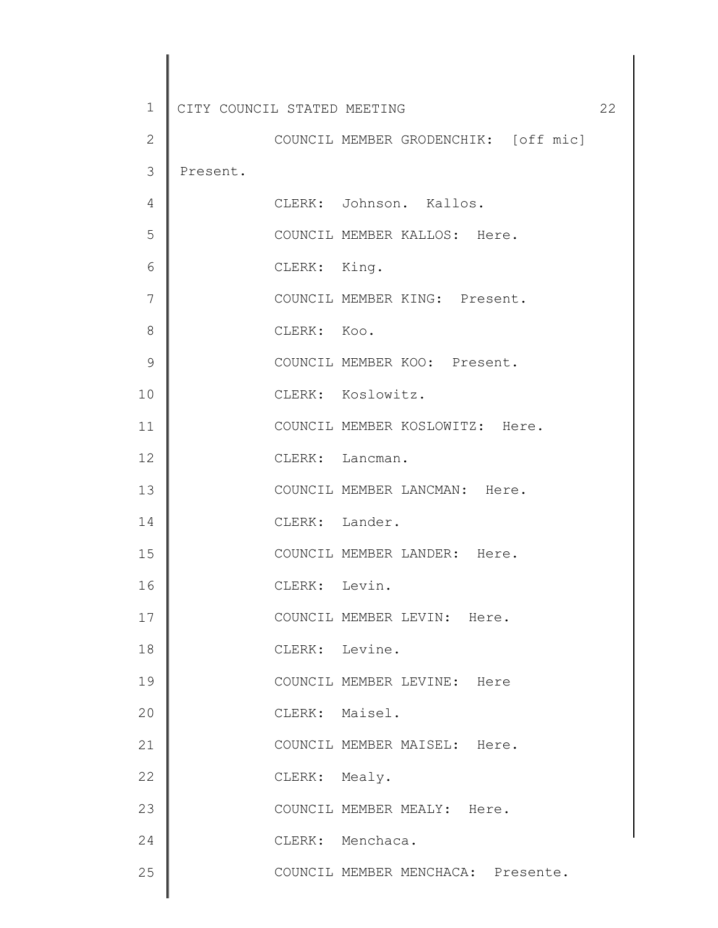| 1             | CITY COUNCIL STATED MEETING | 22                                   |  |
|---------------|-----------------------------|--------------------------------------|--|
| $\mathbf{2}$  |                             | COUNCIL MEMBER GRODENCHIK: [off mic] |  |
| 3             | Present.                    |                                      |  |
| 4             |                             | CLERK: Johnson. Kallos.              |  |
| 5             |                             | COUNCIL MEMBER KALLOS: Here.         |  |
| 6             |                             | CLERK: King.                         |  |
| 7             |                             | COUNCIL MEMBER KING: Present.        |  |
| 8             |                             | CLERK: Koo.                          |  |
| $\mathcal{G}$ |                             | COUNCIL MEMBER KOO: Present.         |  |
| 10            |                             | CLERK: Koslowitz.                    |  |
| 11            |                             | COUNCIL MEMBER KOSLOWITZ: Here.      |  |
| 12            |                             | CLERK: Lancman.                      |  |
| 13            |                             | COUNCIL MEMBER LANCMAN: Here.        |  |
| 14            |                             | CLERK: Lander.                       |  |
| 15            |                             | COUNCIL MEMBER LANDER: Here.         |  |
| 16            |                             | CLERK: Levin.                        |  |
| 17            |                             | COUNCIL MEMBER LEVIN: Here.          |  |
| 18            |                             | CLERK: Levine.                       |  |
| 19            |                             | COUNCIL MEMBER LEVINE: Here          |  |
| 20            |                             | CLERK: Maisel.                       |  |
| 21            |                             | COUNCIL MEMBER MAISEL: Here.         |  |
| 22            |                             | CLERK: Mealy.                        |  |
| 23            |                             | COUNCIL MEMBER MEALY: Here.          |  |
| 24            |                             | CLERK: Menchaca.                     |  |
| 25            |                             | COUNCIL MEMBER MENCHACA: Presente.   |  |
|               |                             |                                      |  |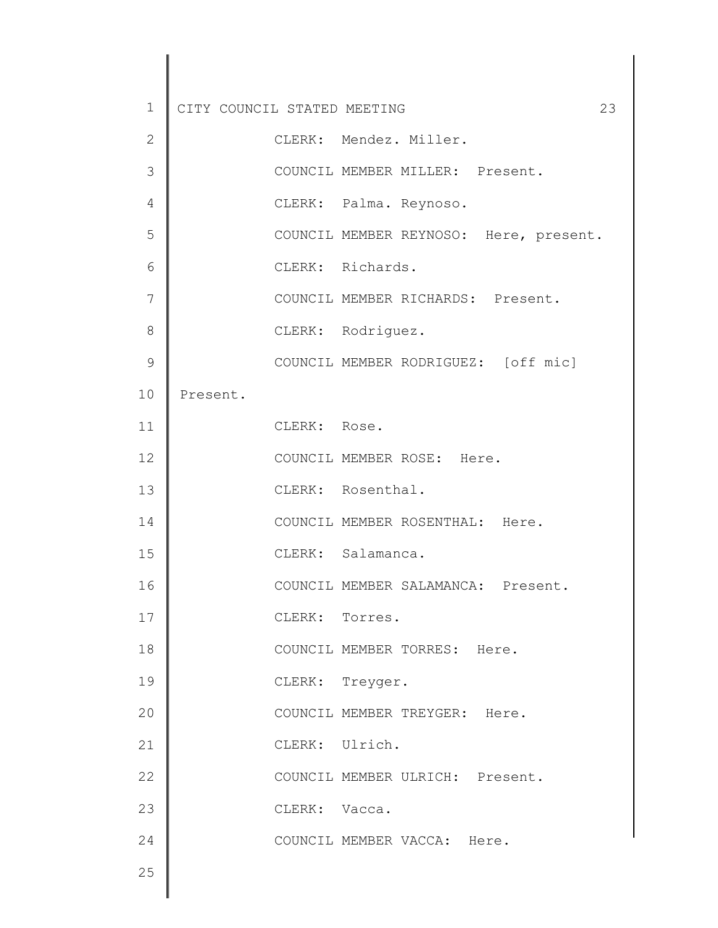| $\mathbf 1$  | CITY COUNCIL STATED MEETING<br>23      |
|--------------|----------------------------------------|
| $\mathbf{2}$ | CLERK: Mendez. Miller.                 |
| 3            | COUNCIL MEMBER MILLER: Present.        |
| 4            | CLERK: Palma. Reynoso.                 |
| 5            | COUNCIL MEMBER REYNOSO: Here, present. |
| 6            | CLERK: Richards.                       |
| 7            | COUNCIL MEMBER RICHARDS: Present.      |
| 8            | CLERK: Rodriguez.                      |
| 9            | COUNCIL MEMBER RODRIGUEZ: [off mic]    |
| 10           | Present.                               |
| 11           | CLERK: Rose.                           |
| 12           | COUNCIL MEMBER ROSE: Here.             |
| 13           | CLERK: Rosenthal.                      |
| 14           | COUNCIL MEMBER ROSENTHAL: Here.        |
| 15           | CLERK: Salamanca.                      |
| 16           | COUNCIL MEMBER SALAMANCA: Present.     |
| 17           | CLERK: Torres.                         |
| 18           | COUNCIL MEMBER TORRES: Here.           |
| 19           | CLERK: Treyger.                        |
| 20           | COUNCIL MEMBER TREYGER: Here.          |
| 21           | CLERK: Ulrich.                         |
| 22           | COUNCIL MEMBER ULRICH: Present.        |
| 23           | CLERK: Vacca.                          |
| 24           | COUNCIL MEMBER VACCA: Here.            |
| 25           |                                        |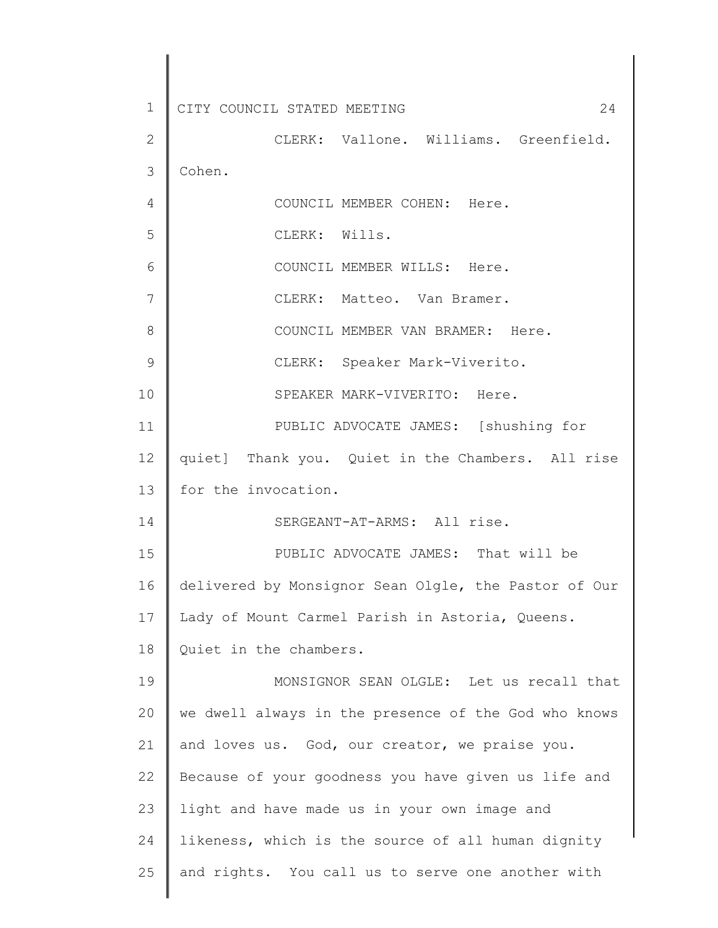1 2 3 4 5 6 7 8 9 10 11 12 13 14 15 16 17 18 19 20 21 22 23 24 25 CITY COUNCIL STATED MEETING 24 CLERK: Vallone. Williams. Greenfield. Cohen. COUNCIL MEMBER COHEN: Here. CLERK: Wills. COUNCIL MEMBER WILLS: Here. CLERK: Matteo. Van Bramer. COUNCIL MEMBER VAN BRAMER: Here. CLERK: Speaker Mark-Viverito. SPEAKER MARK-VIVERITO: Here. PUBLIC ADVOCATE JAMES: [shushing for quiet] Thank you. Quiet in the Chambers. All rise for the invocation. SERGEANT-AT-ARMS: All rise. PUBLIC ADVOCATE JAMES: That will be delivered by Monsignor Sean Olgle, the Pastor of Our Lady of Mount Carmel Parish in Astoria, Queens. Quiet in the chambers. MONSIGNOR SEAN OLGLE: Let us recall that we dwell always in the presence of the God who knows and loves us. God, our creator, we praise you. Because of your goodness you have given us life and light and have made us in your own image and likeness, which is the source of all human dignity and rights. You call us to serve one another with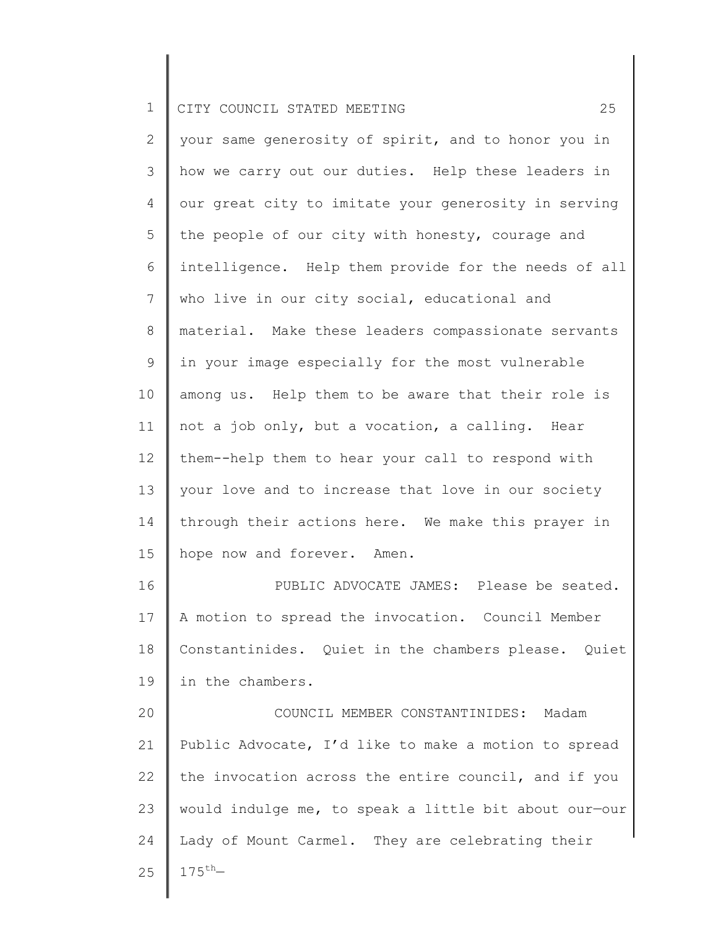| $\overline{2}$ | your same generosity of spirit, and to honor you in   |
|----------------|-------------------------------------------------------|
| 3              | how we carry out our duties. Help these leaders in    |
| 4              | our great city to imitate your generosity in serving  |
| 5              | the people of our city with honesty, courage and      |
| 6              | intelligence. Help them provide for the needs of all  |
| 7              | who live in our city social, educational and          |
| $8\,$          | material. Make these leaders compassionate servants   |
| 9              | in your image especially for the most vulnerable      |
| 10             | among us. Help them to be aware that their role is    |
| 11             | not a job only, but a vocation, a calling. Hear       |
| 12             | them--help them to hear your call to respond with     |
| 13             | your love and to increase that love in our society    |
| 14             | through their actions here. We make this prayer in    |
| 15             | hope now and forever. Amen.                           |
| 16             | PUBLIC ADVOCATE JAMES: Please be seated.              |
| 17             | A motion to spread the invocation. Council Member     |
| 18             | Constantinides. Quiet in the chambers please. Quiet   |
| 19             | in the chambers.                                      |
| 20             | COUNCIL MEMBER CONSTANTINIDES: Madam                  |
| 21             | Public Advocate, I'd like to make a motion to spread  |
| 22             | the invocation across the entire council, and if you  |
| 23             | would indulge me, to speak a little bit about our-our |
| 24             | Lady of Mount Carmel. They are celebrating their      |
| 25             | $175^{th}$                                            |
|                |                                                       |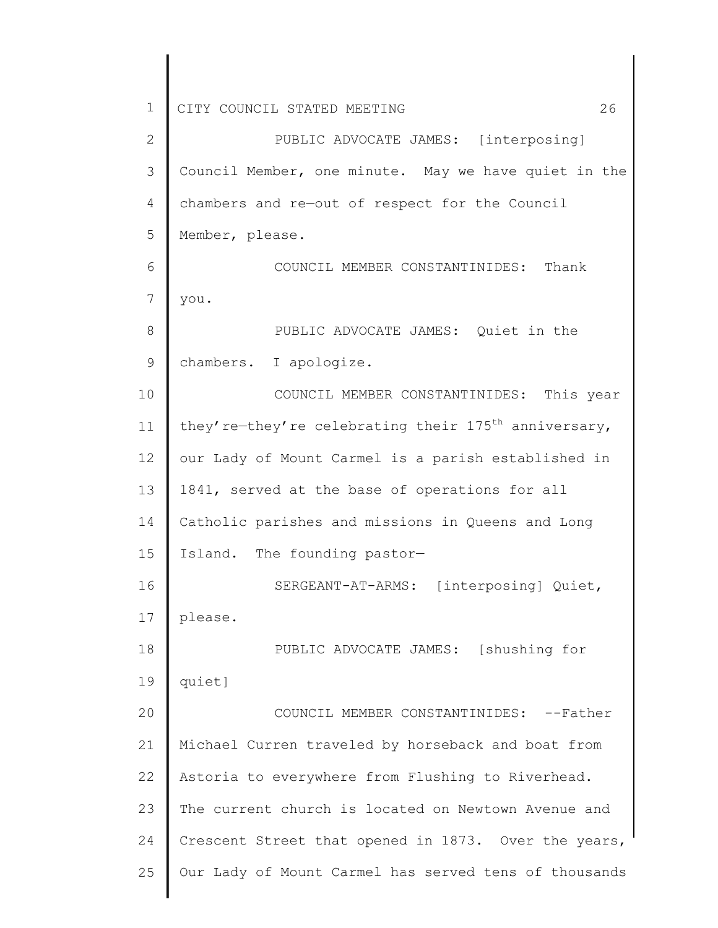2 3 4 5 6 7 8 9 10 11 12 13 14 15 16 17 18 19 20 21 22 23 24 25 PUBLIC ADVOCATE JAMES: [interposing] Council Member, one minute. May we have quiet in the chambers and re—out of respect for the Council Member, please. COUNCIL MEMBER CONSTANTINIDES: Thank you. PUBLIC ADVOCATE JAMES: Quiet in the chambers. I apologize. COUNCIL MEMBER CONSTANTINIDES: This year they're-they're celebrating their 175<sup>th</sup> anniversary, our Lady of Mount Carmel is a parish established in 1841, served at the base of operations for all Catholic parishes and missions in Queens and Long Island. The founding pastor— SERGEANT-AT-ARMS: [interposing] Quiet, please. PUBLIC ADVOCATE JAMES: [shushing for quiet] COUNCIL MEMBER CONSTANTINIDES: --Father Michael Curren traveled by horseback and boat from Astoria to everywhere from Flushing to Riverhead. The current church is located on Newtown Avenue and Crescent Street that opened in 1873. Over the years, Our Lady of Mount Carmel has served tens of thousands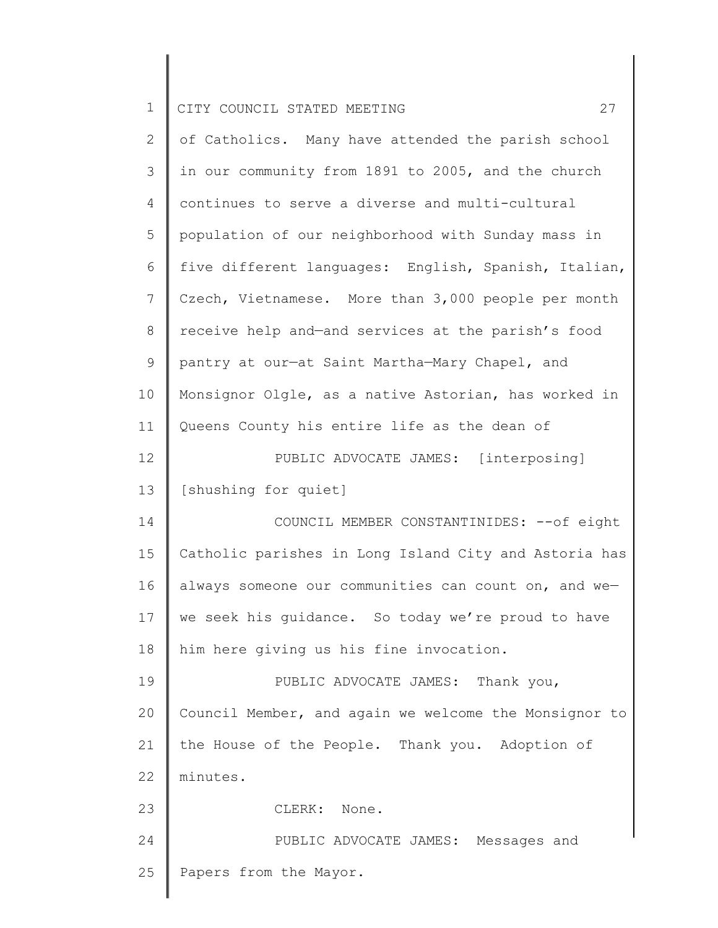| $\mathbf 1$    | 27<br>CITY COUNCIL STATED MEETING                     |
|----------------|-------------------------------------------------------|
| $\mathbf{2}$   | of Catholics. Many have attended the parish school    |
| 3              | in our community from 1891 to 2005, and the church    |
| 4              | continues to serve a diverse and multi-cultural       |
| 5              | population of our neighborhood with Sunday mass in    |
| 6              | five different languages: English, Spanish, Italian,  |
| $\overline{7}$ | Czech, Vietnamese. More than 3,000 people per month   |
| 8              | receive help and-and services at the parish's food    |
| 9              | pantry at our-at Saint Martha-Mary Chapel, and        |
| 10             | Monsignor Olgle, as a native Astorian, has worked in  |
| 11             | Queens County his entire life as the dean of          |
| 12             | PUBLIC ADVOCATE JAMES: [interposing]                  |
| 13             | [shushing for quiet]                                  |
| 14             | COUNCIL MEMBER CONSTANTINIDES: -- of eight            |
| 15             | Catholic parishes in Long Island City and Astoria has |
| 16             | always someone our communities can count on, and we-  |
| 17             | we seek his guidance. So today we're proud to have    |
| 18             | him here giving us his fine invocation.               |
| 19             | PUBLIC ADVOCATE JAMES: Thank you,                     |
| 20             | Council Member, and again we welcome the Monsignor to |
| 21             | the House of the People. Thank you. Adoption of       |
| 22             | minutes.                                              |
| 23             | CLERK: None.                                          |
| 24             | PUBLIC ADVOCATE JAMES: Messages and                   |
| 25             | Papers from the Mayor.                                |
|                |                                                       |

 $\parallel$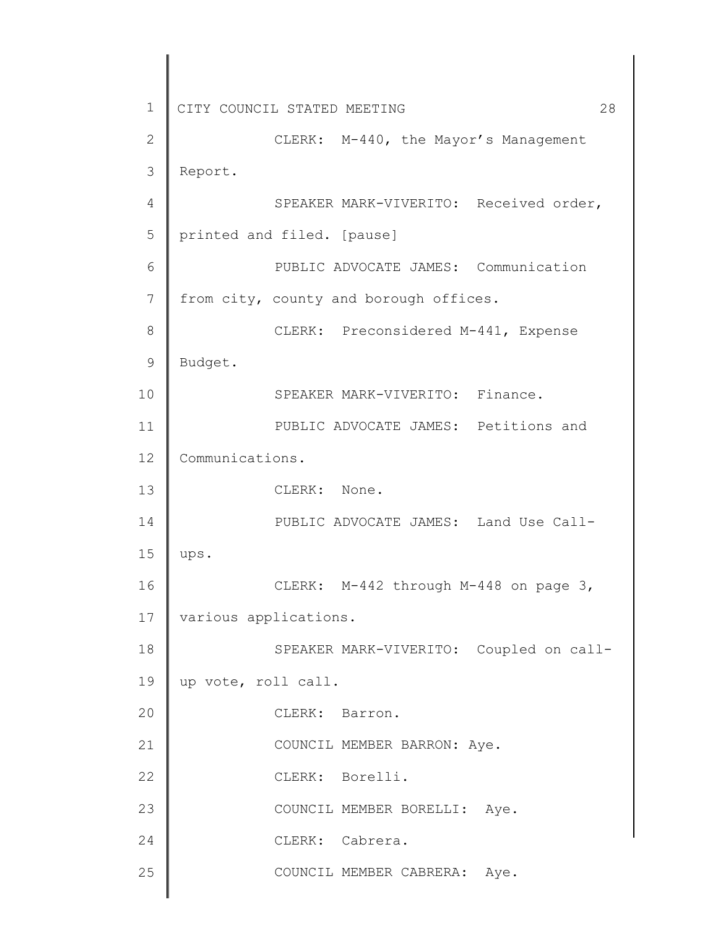1 2 3 4 5 6 7 8 9 10 11 12 13 14 15 16 17 18 19 20 21 22 23 24 25 CITY COUNCIL STATED MEETING 28 CLERK: M-440, the Mayor's Management Report. SPEAKER MARK-VIVERITO: Received order, printed and filed. [pause] PUBLIC ADVOCATE JAMES: Communication from city, county and borough offices. CLERK: Preconsidered M-441, Expense Budget. SPEAKER MARK-VIVERITO: Finance. PUBLIC ADVOCATE JAMES: Petitions and Communications. CLERK: None. PUBLIC ADVOCATE JAMES: Land Use Callups. CLERK: M-442 through M-448 on page 3, various applications. SPEAKER MARK-VIVERITO: Coupled on callup vote, roll call. CLERK: Barron. COUNCIL MEMBER BARRON: Aye. CLERK: Borelli. COUNCIL MEMBER BORELLI: Aye. CLERK: Cabrera. COUNCIL MEMBER CABRERA: Aye.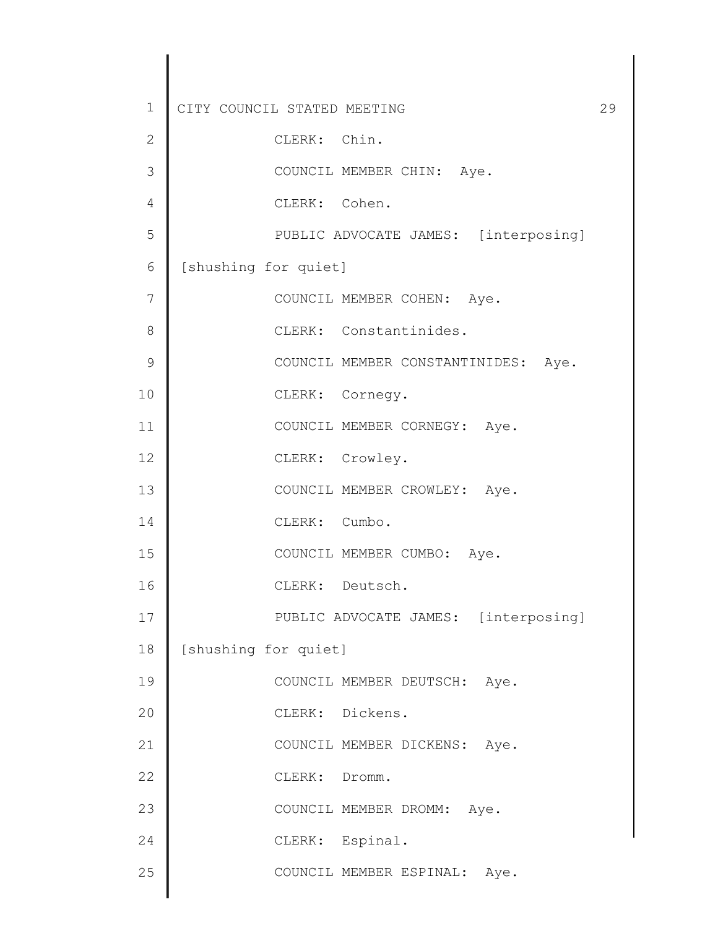| 1             | CITY COUNCIL STATED MEETING          | 29 |
|---------------|--------------------------------------|----|
| $\mathbf{2}$  | CLERK: Chin.                         |    |
| 3             | COUNCIL MEMBER CHIN: Aye.            |    |
| 4             | CLERK: Cohen.                        |    |
| 5             | PUBLIC ADVOCATE JAMES: [interposing] |    |
| 6             | [shushing for quiet]                 |    |
| 7             | COUNCIL MEMBER COHEN: Aye.           |    |
| 8             | CLERK: Constantinides.               |    |
| $\mathcal{G}$ | COUNCIL MEMBER CONSTANTINIDES: Aye.  |    |
| 10            | CLERK: Cornegy.                      |    |
| 11            | COUNCIL MEMBER CORNEGY: Aye.         |    |
| 12            | CLERK: Crowley.                      |    |
| 13            | COUNCIL MEMBER CROWLEY: Aye.         |    |
| 14            | CLERK: Cumbo.                        |    |
| 15            | COUNCIL MEMBER CUMBO: Aye.           |    |
| 16            | CLERK: Deutsch.                      |    |
| 17            | PUBLIC ADVOCATE JAMES: [interposing] |    |
| 18            | [shushing for quiet]                 |    |
| 19            | COUNCIL MEMBER DEUTSCH: Aye.         |    |
| 20            | CLERK: Dickens.                      |    |
| 21            | COUNCIL MEMBER DICKENS: Aye.         |    |
| 22            | CLERK: Dromm.                        |    |
| 23            | COUNCIL MEMBER DROMM: Aye.           |    |
| 24            | CLERK: Espinal.                      |    |
| 25            | COUNCIL MEMBER ESPINAL: Aye.         |    |
|               |                                      |    |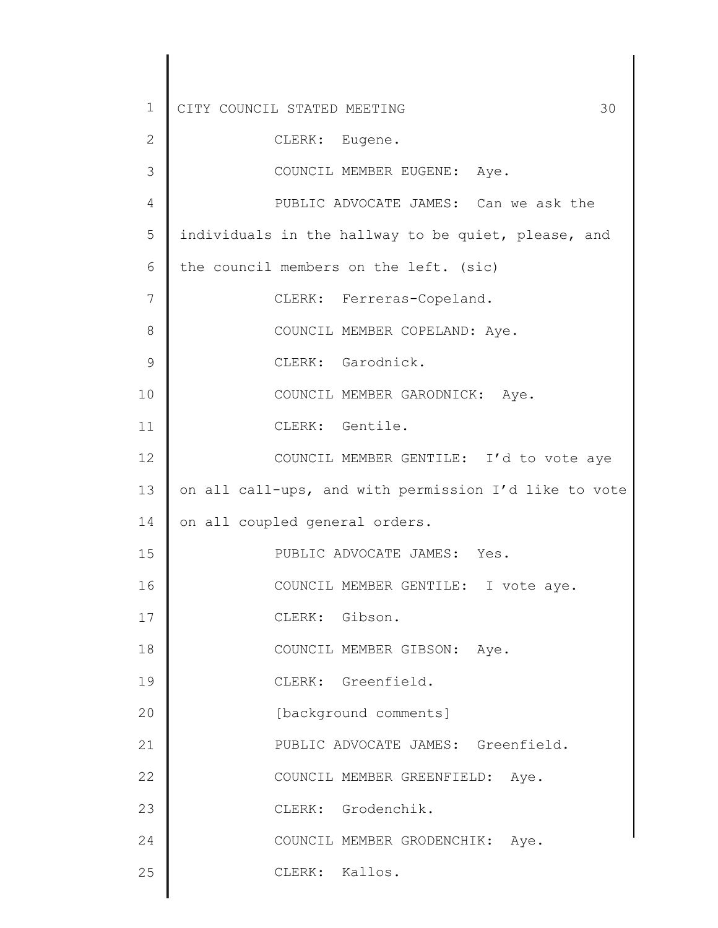| $\mathbf 1$  | CITY COUNCIL STATED MEETING<br>30                     |
|--------------|-------------------------------------------------------|
| $\mathbf{2}$ | CLERK: Eugene.                                        |
| 3            | COUNCIL MEMBER EUGENE: Aye.                           |
| 4            | PUBLIC ADVOCATE JAMES: Can we ask the                 |
| 5            | individuals in the hallway to be quiet, please, and   |
| 6            | the council members on the left. (sic)                |
| 7            | CLERK: Ferreras-Copeland.                             |
| 8            | COUNCIL MEMBER COPELAND: Aye.                         |
| 9            | CLERK: Garodnick.                                     |
| 10           | COUNCIL MEMBER GARODNICK: Aye.                        |
| 11           | CLERK: Gentile.                                       |
| 12           | COUNCIL MEMBER GENTILE: I'd to vote aye               |
| 13           | on all call-ups, and with permission I'd like to vote |
| 14           | on all coupled general orders.                        |
| 15           | PUBLIC ADVOCATE JAMES: Yes.                           |
| 16           | COUNCIL MEMBER GENTILE: I vote aye.                   |
| 17           | CLERK: Gibson.                                        |
| 18           | COUNCIL MEMBER GIBSON: Aye.                           |
| 19           | CLERK: Greenfield.                                    |
| 20           | [background comments]                                 |
| 21           | PUBLIC ADVOCATE JAMES: Greenfield.                    |
| 22           | COUNCIL MEMBER GREENFIELD: Aye.                       |
| 23           | CLERK: Grodenchik.                                    |
| 24           | COUNCIL MEMBER GRODENCHIK: Aye.                       |
| 25           | CLERK: Kallos.                                        |
|              |                                                       |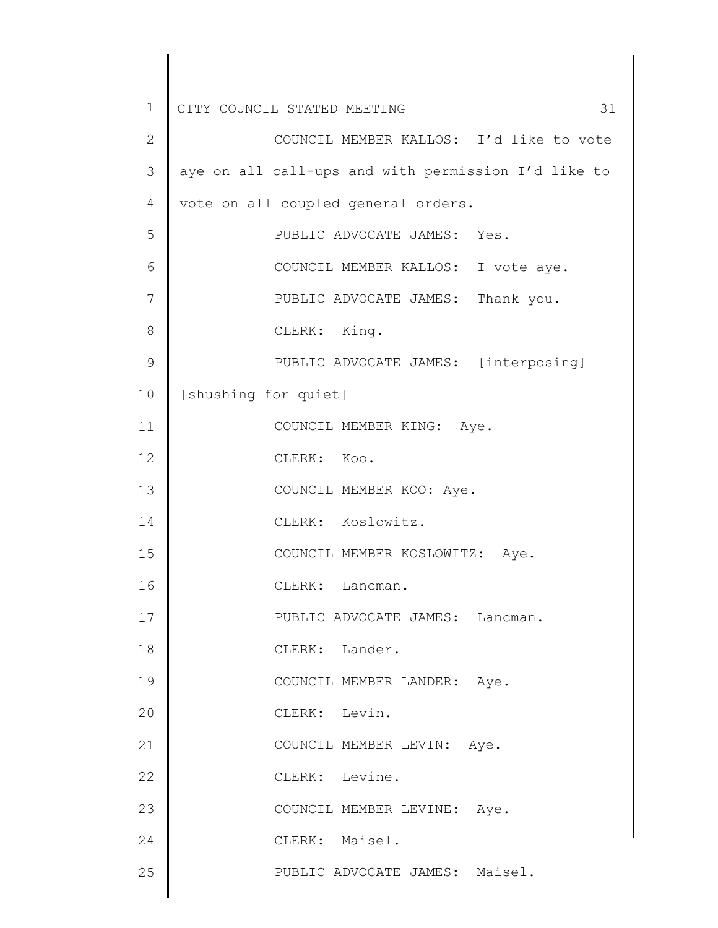| 1             | CITY COUNCIL STATED MEETING<br>31                   |
|---------------|-----------------------------------------------------|
| $\mathbf{2}$  | COUNCIL MEMBER KALLOS: I'd like to vote             |
| 3             | aye on all call-ups and with permission I'd like to |
| 4             | vote on all coupled general orders.                 |
| 5             | PUBLIC ADVOCATE JAMES: Yes.                         |
| 6             | COUNCIL MEMBER KALLOS: I vote aye.                  |
| 7             | PUBLIC ADVOCATE JAMES: Thank you.                   |
| 8             | CLERK: King.                                        |
| $\mathcal{G}$ | PUBLIC ADVOCATE JAMES: [interposing]                |
| 10            | [shushing for quiet]                                |
| 11            | COUNCIL MEMBER KING: Aye.                           |
| 12            | CLERK: Koo.                                         |
| 13            | COUNCIL MEMBER KOO: Aye.                            |
| 14            | CLERK: Koslowitz.                                   |
| 15            | COUNCIL MEMBER KOSLOWITZ: Aye.                      |
| 16            | CLERK: Lancman.                                     |
| 17            | PUBLIC ADVOCATE JAMES: Lancman.                     |
| 18            | CLERK: Lander.                                      |
| 19            | COUNCIL MEMBER LANDER: Aye.                         |
| 20            | CLERK: Levin.                                       |
| 21            | COUNCIL MEMBER LEVIN: Aye.                          |
| 22            | CLERK: Levine.                                      |
| 23            | COUNCIL MEMBER LEVINE: Aye.                         |
| 24            | CLERK: Maisel.                                      |
| 25            | PUBLIC ADVOCATE JAMES: Maisel.                      |
|               |                                                     |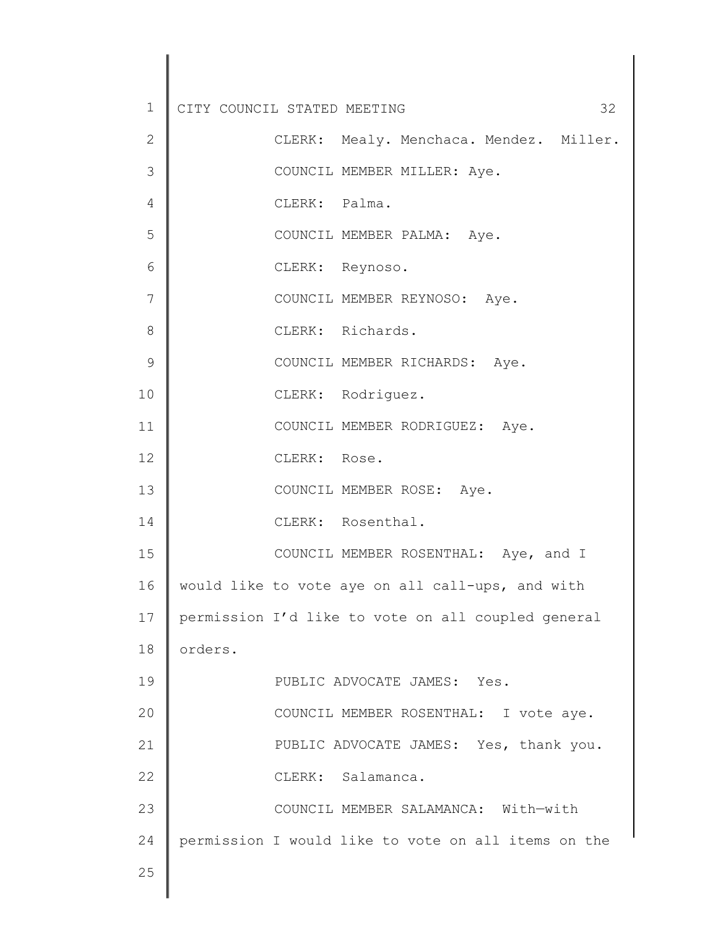| $\mathbf 1$   | CITY COUNCIL STATED MEETING |               | 32                                                  |
|---------------|-----------------------------|---------------|-----------------------------------------------------|
| $\mathbf{2}$  |                             |               | CLERK: Mealy. Menchaca. Mendez. Miller.             |
| 3             |                             |               | COUNCIL MEMBER MILLER: Aye.                         |
| 4             |                             | CLERK: Palma. |                                                     |
| 5             |                             |               | COUNCIL MEMBER PALMA: Aye.                          |
| 6             |                             |               | CLERK: Reynoso.                                     |
| 7             |                             |               | COUNCIL MEMBER REYNOSO: Aye.                        |
| 8             |                             |               | CLERK: Richards.                                    |
| $\mathcal{G}$ |                             |               | COUNCIL MEMBER RICHARDS: Aye.                       |
| 10            |                             |               | CLERK: Rodriguez.                                   |
| 11            |                             |               | COUNCIL MEMBER RODRIGUEZ: Aye.                      |
| 12            |                             | CLERK: Rose.  |                                                     |
| 13            |                             |               | COUNCIL MEMBER ROSE: Aye.                           |
| 14            |                             |               | CLERK: Rosenthal.                                   |
| 15            |                             |               | COUNCIL MEMBER ROSENTHAL: Aye, and I                |
| 16            |                             |               | would like to vote aye on all call-ups, and with    |
| 17            |                             |               | permission I'd like to vote on all coupled general  |
| 18            | orders.                     |               |                                                     |
| 19            |                             |               | PUBLIC ADVOCATE JAMES: Yes.                         |
| 20            |                             |               | COUNCIL MEMBER ROSENTHAL: I vote aye.               |
| 21            |                             |               | PUBLIC ADVOCATE JAMES: Yes, thank you.              |
| 22            |                             |               | CLERK: Salamanca.                                   |
| 23            |                             |               | COUNCIL MEMBER SALAMANCA: With-with                 |
| 24            |                             |               | permission I would like to vote on all items on the |
| 25            |                             |               |                                                     |
|               |                             |               |                                                     |

 $\begin{array}{c} \hline \end{array}$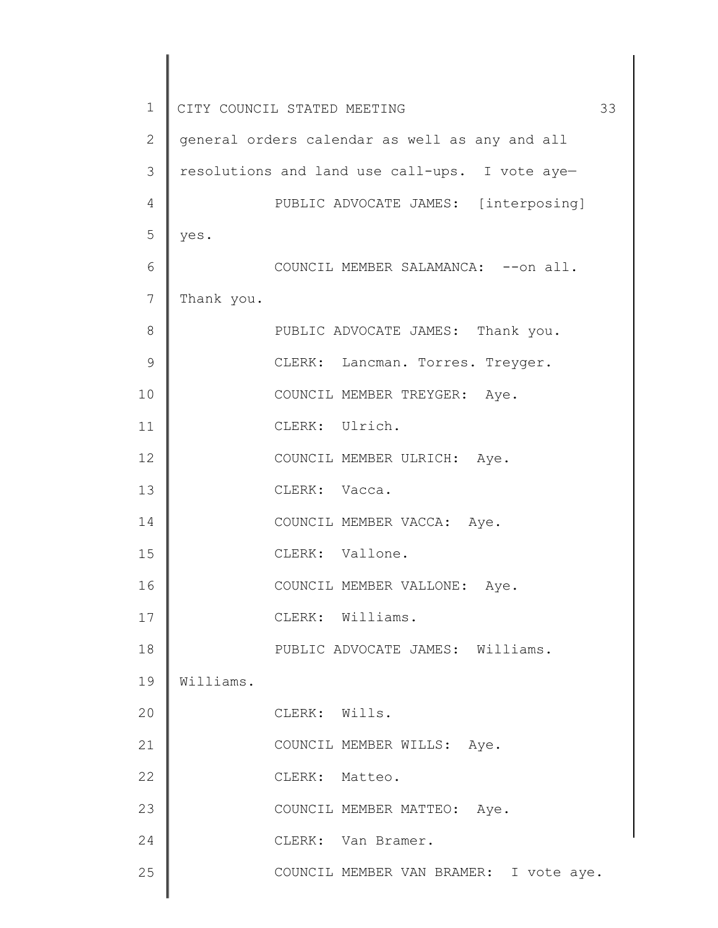1 2 3 4 5 6 7 8 9 10 11 12 13 14 15 16 17 18 19 20 21 22 23 24 25 CITY COUNCIL STATED MEETING 33 general orders calendar as well as any and all resolutions and land use call-ups. I vote aye— PUBLIC ADVOCATE JAMES: [interposing] yes. COUNCIL MEMBER SALAMANCA: --on all. Thank you. PUBLIC ADVOCATE JAMES: Thank you. CLERK: Lancman. Torres. Treyger. COUNCIL MEMBER TREYGER: Aye. CLERK: Ulrich. COUNCIL MEMBER ULRICH: Aye. CLERK: Vacca. COUNCIL MEMBER VACCA: Aye. CLERK: Vallone. COUNCIL MEMBER VALLONE: Aye. CLERK: Williams. PUBLIC ADVOCATE JAMES: Williams. Williams. CLERK: Wills. COUNCIL MEMBER WILLS: Aye. CLERK: Matteo. COUNCIL MEMBER MATTEO: Aye. CLERK: Van Bramer. COUNCIL MEMBER VAN BRAMER: I vote aye.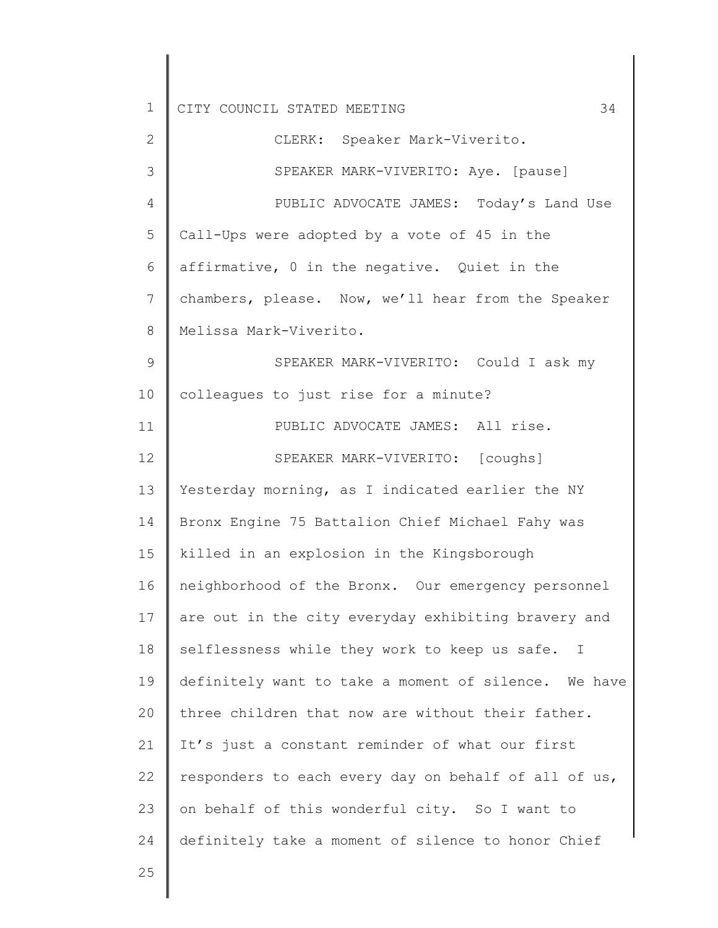| $\mathbf 1$     | 34<br>CITY COUNCIL STATED MEETING                    |
|-----------------|------------------------------------------------------|
| 2               | CLERK: Speaker Mark-Viverito.                        |
| 3               | SPEAKER MARK-VIVERITO: Aye. [pause]                  |
| 4               | PUBLIC ADVOCATE JAMES: Today's Land Use              |
| 5               | Call-Ups were adopted by a vote of 45 in the         |
| 6               | affirmative, 0 in the negative. Quiet in the         |
| 7               | chambers, please. Now, we'll hear from the Speaker   |
| 8               | Melissa Mark-Viverito.                               |
| $\mathsf 9$     | SPEAKER MARK-VIVERITO: Could I ask my                |
| 10              | colleagues to just rise for a minute?                |
| 11              | PUBLIC ADVOCATE JAMES: All rise.                     |
| 12              | SPEAKER MARK-VIVERITO: [coughs]                      |
| 13              | Yesterday morning, as I indicated earlier the NY     |
| 14              | Bronx Engine 75 Battalion Chief Michael Fahy was     |
| 15              | killed in an explosion in the Kingsborough           |
| 16              | neighborhood of the Bronx. Our emergency personnel   |
| 17 <sub>2</sub> | are out in the city everyday exhibiting bravery and  |
| 18              | selflessness while they work to keep us safe. I      |
| 19              | definitely want to take a moment of silence. We have |
| 20              | three children that now are without their father.    |
| 21              | It's just a constant reminder of what our first      |
| 22              | responders to each every day on behalf of all of us, |
| 23              | on behalf of this wonderful city. So I want to       |
| 24              | definitely take a moment of silence to honor Chief   |
| 25              |                                                      |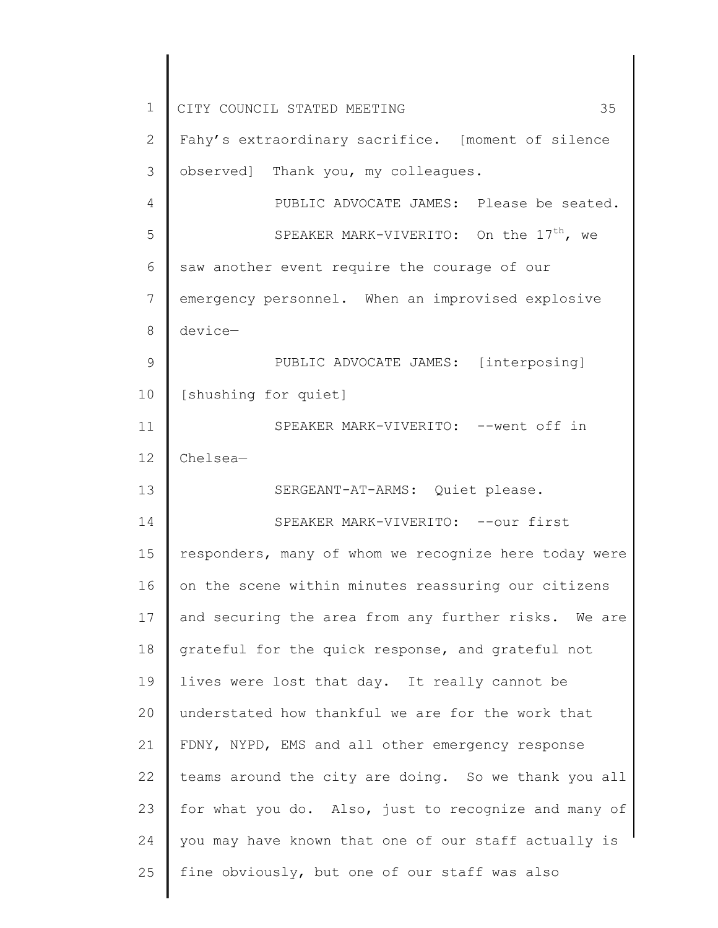1 2 3 4 5 6 7 8 9 10 11 12 13 14 15 16 17 18 19 20 21 22 23 24 25 CITY COUNCIL STATED MEETING 35 Fahy's extraordinary sacrifice. [moment of silence observed] Thank you, my colleagues. PUBLIC ADVOCATE JAMES: Please be seated. SPEAKER MARK-VIVERITO: On the  $17<sup>th</sup>$ , we saw another event require the courage of our emergency personnel. When an improvised explosive device— PUBLIC ADVOCATE JAMES: [interposing] [shushing for quiet] SPEAKER MARK-VIVERITO: --went off in Chelsea— SERGEANT-AT-ARMS: Quiet please. SPEAKER MARK-VIVERITO: -- our first responders, many of whom we recognize here today were on the scene within minutes reassuring our citizens and securing the area from any further risks. We are grateful for the quick response, and grateful not lives were lost that day. It really cannot be understated how thankful we are for the work that FDNY, NYPD, EMS and all other emergency response teams around the city are doing. So we thank you all for what you do. Also, just to recognize and many of you may have known that one of our staff actually is fine obviously, but one of our staff was also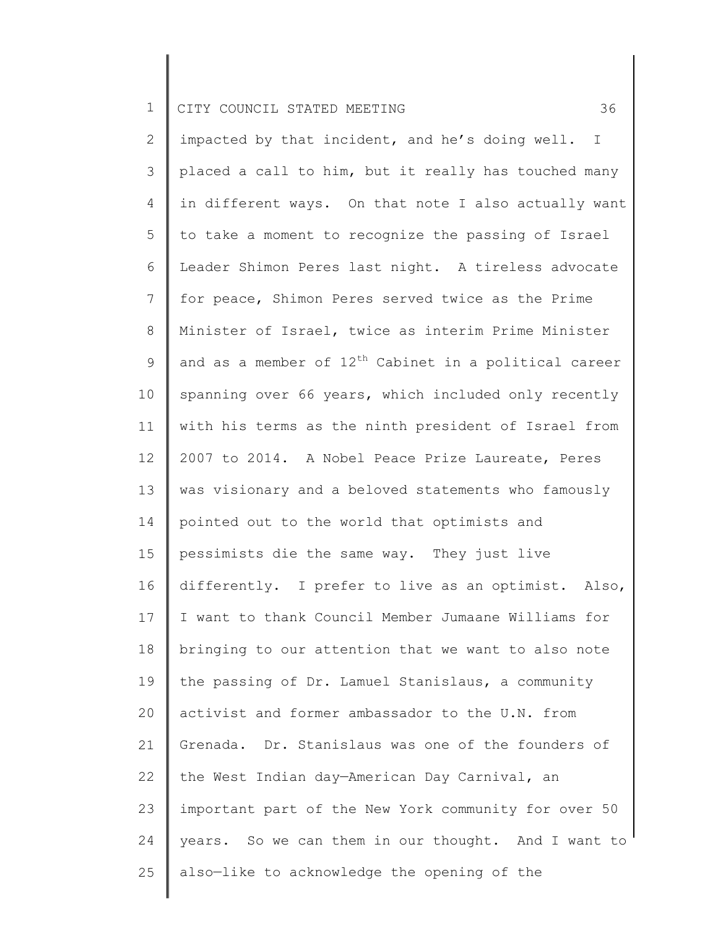2 3 4 5 6 7 8 9 10 11 12 13 14 15 16 17 18 19 20 21 22 23 24 25 impacted by that incident, and he's doing well. I placed a call to him, but it really has touched many in different ways. On that note I also actually want to take a moment to recognize the passing of Israel Leader Shimon Peres last night. A tireless advocate for peace, Shimon Peres served twice as the Prime Minister of Israel, twice as interim Prime Minister and as a member of  $12<sup>th</sup>$  Cabinet in a political career spanning over 66 years, which included only recently with his terms as the ninth president of Israel from 2007 to 2014. A Nobel Peace Prize Laureate, Peres was visionary and a beloved statements who famously pointed out to the world that optimists and pessimists die the same way. They just live differently. I prefer to live as an optimist. Also, I want to thank Council Member Jumaane Williams for bringing to our attention that we want to also note the passing of Dr. Lamuel Stanislaus, a community activist and former ambassador to the U.N. from Grenada. Dr. Stanislaus was one of the founders of the West Indian day—American Day Carnival, an important part of the New York community for over 50 years. So we can them in our thought. And I want to also—like to acknowledge the opening of the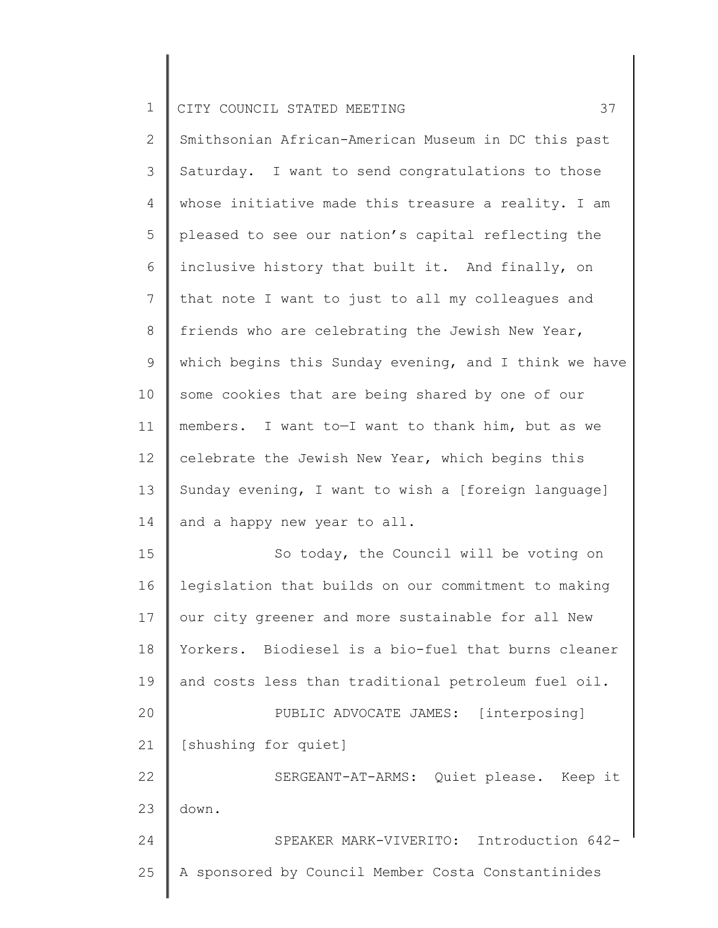2 3 4 5 6 7 8 9 10 11 12 13 14 15 16 17 18 19 20 21 22 23 24 25 Smithsonian African-American Museum in DC this past Saturday. I want to send congratulations to those whose initiative made this treasure a reality. I am pleased to see our nation's capital reflecting the inclusive history that built it. And finally, on that note I want to just to all my colleagues and friends who are celebrating the Jewish New Year, which begins this Sunday evening, and I think we have some cookies that are being shared by one of our members. I want to—I want to thank him, but as we celebrate the Jewish New Year, which begins this Sunday evening, I want to wish a [foreign language] and a happy new year to all. So today, the Council will be voting on legislation that builds on our commitment to making our city greener and more sustainable for all New Yorkers. Biodiesel is a bio-fuel that burns cleaner and costs less than traditional petroleum fuel oil. PUBLIC ADVOCATE JAMES: [interposing] [shushing for quiet] SERGEANT-AT-ARMS: Quiet please. Keep it down. SPEAKER MARK-VIVERITO: Introduction 642- A sponsored by Council Member Costa Constantinides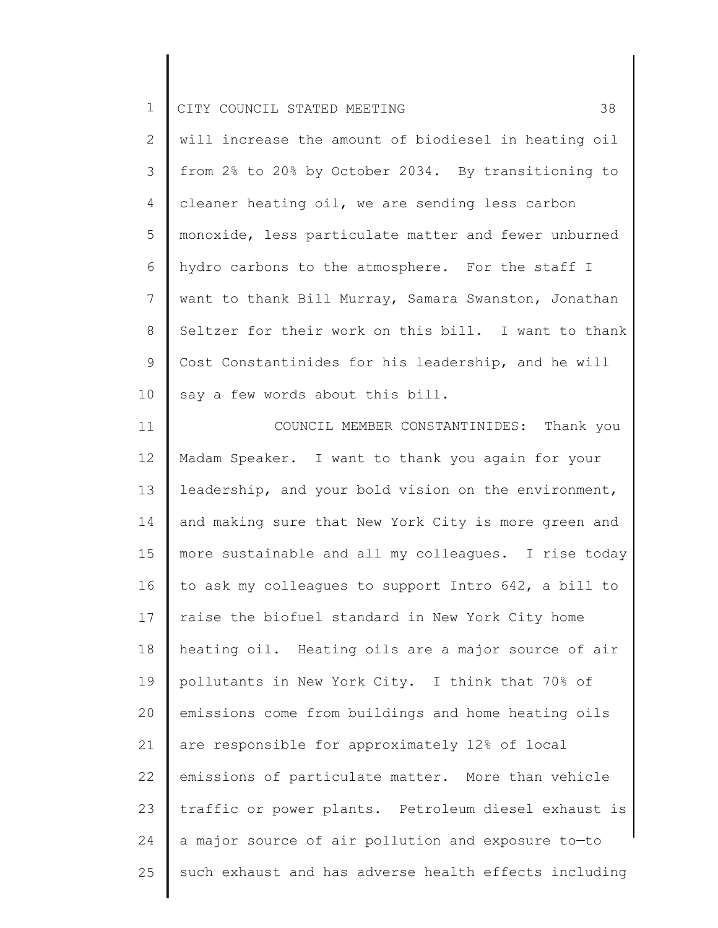2 3 4 5 6 7 8 9 10 will increase the amount of biodiesel in heating oil from 2% to 20% by October 2034. By transitioning to cleaner heating oil, we are sending less carbon monoxide, less particulate matter and fewer unburned hydro carbons to the atmosphere. For the staff I want to thank Bill Murray, Samara Swanston, Jonathan Seltzer for their work on this bill. I want to thank Cost Constantinides for his leadership, and he will say a few words about this bill.

11 12 13 14 15 16 17 18 19 20 21 22 23 24 25 COUNCIL MEMBER CONSTANTINIDES: Thank you Madam Speaker. I want to thank you again for your leadership, and your bold vision on the environment, and making sure that New York City is more green and more sustainable and all my colleagues. I rise today to ask my colleagues to support Intro 642, a bill to raise the biofuel standard in New York City home heating oil. Heating oils are a major source of air pollutants in New York City. I think that 70% of emissions come from buildings and home heating oils are responsible for approximately 12% of local emissions of particulate matter. More than vehicle traffic or power plants. Petroleum diesel exhaust is a major source of air pollution and exposure to—to such exhaust and has adverse health effects including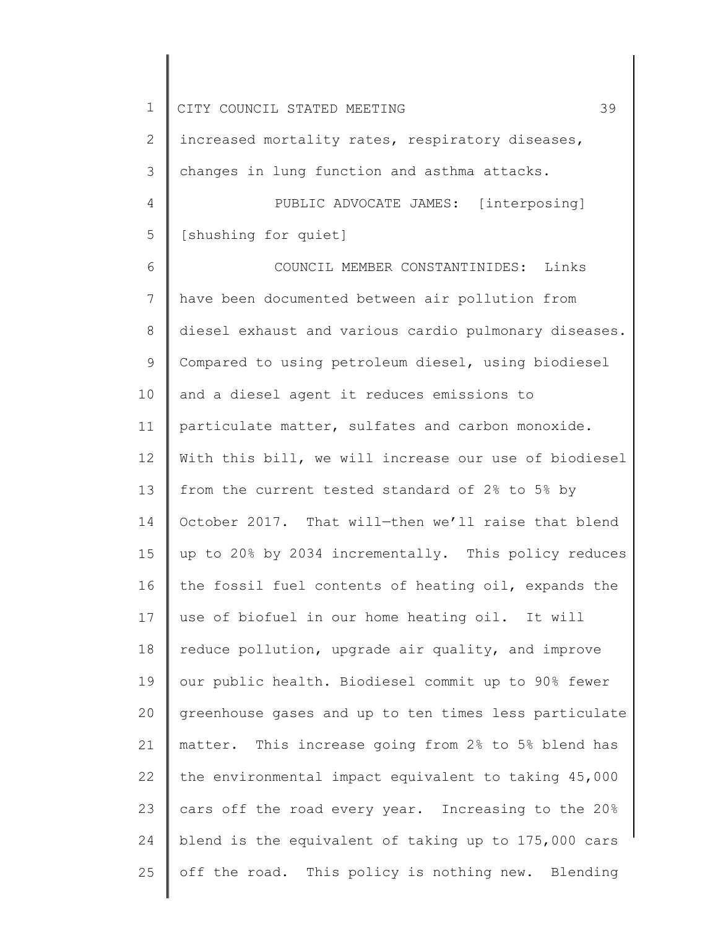1 2 3 4 5 6 7 8 9 10 11 12 13 14 15 16 17 18 19 20 21 22 23 24 25 CITY COUNCIL STATED MEETING 39 increased mortality rates, respiratory diseases, changes in lung function and asthma attacks. PUBLIC ADVOCATE JAMES: [interposing] [shushing for quiet] COUNCIL MEMBER CONSTANTINIDES: Links have been documented between air pollution from diesel exhaust and various cardio pulmonary diseases. Compared to using petroleum diesel, using biodiesel and a diesel agent it reduces emissions to particulate matter, sulfates and carbon monoxide. With this bill, we will increase our use of biodiesel from the current tested standard of 2% to 5% by October 2017. That will—then we'll raise that blend up to 20% by 2034 incrementally. This policy reduces the fossil fuel contents of heating oil, expands the use of biofuel in our home heating oil. It will reduce pollution, upgrade air quality, and improve our public health. Biodiesel commit up to 90% fewer greenhouse gases and up to ten times less particulate matter. This increase going from 2% to 5% blend has the environmental impact equivalent to taking 45,000 cars off the road every year. Increasing to the 20% blend is the equivalent of taking up to 175,000 cars off the road. This policy is nothing new. Blending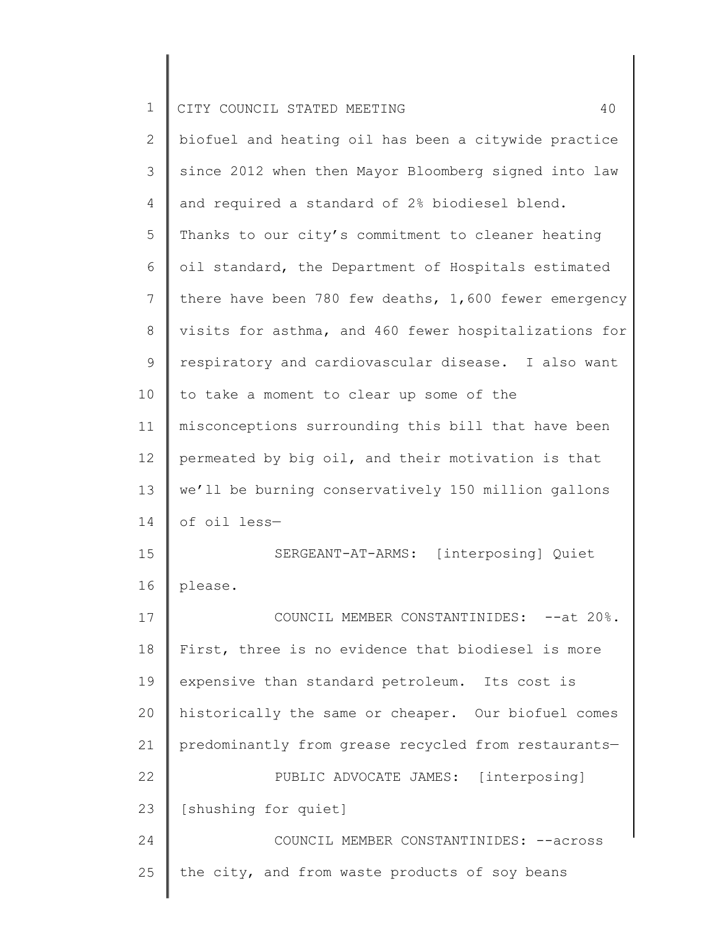| $\mathbf 1$  | 40<br>CITY COUNCIL STATED MEETING                     |
|--------------|-------------------------------------------------------|
| $\mathbf{2}$ | biofuel and heating oil has been a citywide practice  |
| 3            | since 2012 when then Mayor Bloomberg signed into law  |
| 4            | and required a standard of 2% biodiesel blend.        |
| 5            | Thanks to our city's commitment to cleaner heating    |
| 6            | oil standard, the Department of Hospitals estimated   |
| 7            | there have been 780 few deaths, 1,600 fewer emergency |
| $8\,$        | visits for asthma, and 460 fewer hospitalizations for |
| 9            | respiratory and cardiovascular disease. I also want   |
| 10           | to take a moment to clear up some of the              |
| 11           | misconceptions surrounding this bill that have been   |
| 12           | permeated by big oil, and their motivation is that    |
| 13           | we'll be burning conservatively 150 million gallons   |
| 14           | of oil less-                                          |
| 15           | SERGEANT-AT-ARMS: [interposing] Quiet                 |
| 16           | please.                                               |
| 17           | COUNCIL MEMBER CONSTANTINIDES: -- at 20%              |
| 18           | First, three is no evidence that biodiesel is more    |
| 19           | expensive than standard petroleum. Its cost is        |
| 20           | historically the same or cheaper. Our biofuel comes   |
| 21           | predominantly from grease recycled from restaurants-  |
| 22           | PUBLIC ADVOCATE JAMES: [interposing]                  |
| 23           | [shushing for quiet]                                  |
| 24           | COUNCIL MEMBER CONSTANTINIDES: --across               |
| 25           | the city, and from waste products of soy beans        |
|              |                                                       |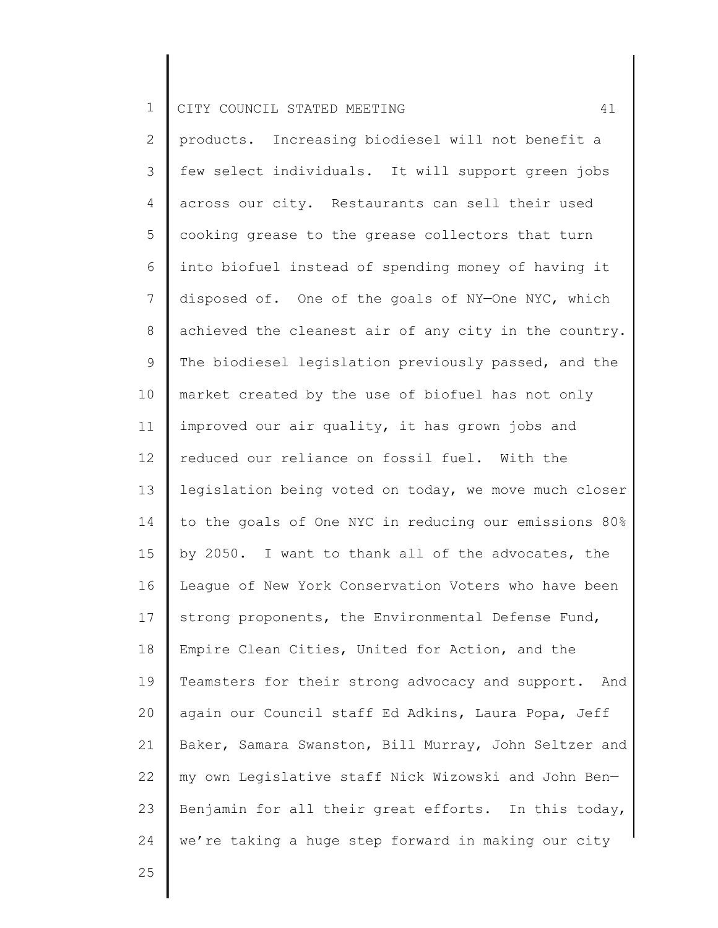2 3 4 5 6 7 8 9 10 11 12 13 14 15 16 17 18 19 20 21 22 23 24 products. Increasing biodiesel will not benefit a few select individuals. It will support green jobs across our city. Restaurants can sell their used cooking grease to the grease collectors that turn into biofuel instead of spending money of having it disposed of. One of the goals of NY—One NYC, which achieved the cleanest air of any city in the country. The biodiesel legislation previously passed, and the market created by the use of biofuel has not only improved our air quality, it has grown jobs and reduced our reliance on fossil fuel. With the legislation being voted on today, we move much closer to the goals of One NYC in reducing our emissions 80% by 2050. I want to thank all of the advocates, the League of New York Conservation Voters who have been strong proponents, the Environmental Defense Fund, Empire Clean Cities, United for Action, and the Teamsters for their strong advocacy and support. And again our Council staff Ed Adkins, Laura Popa, Jeff Baker, Samara Swanston, Bill Murray, John Seltzer and my own Legislative staff Nick Wizowski and John Ben— Benjamin for all their great efforts. In this today, we're taking a huge step forward in making our city

25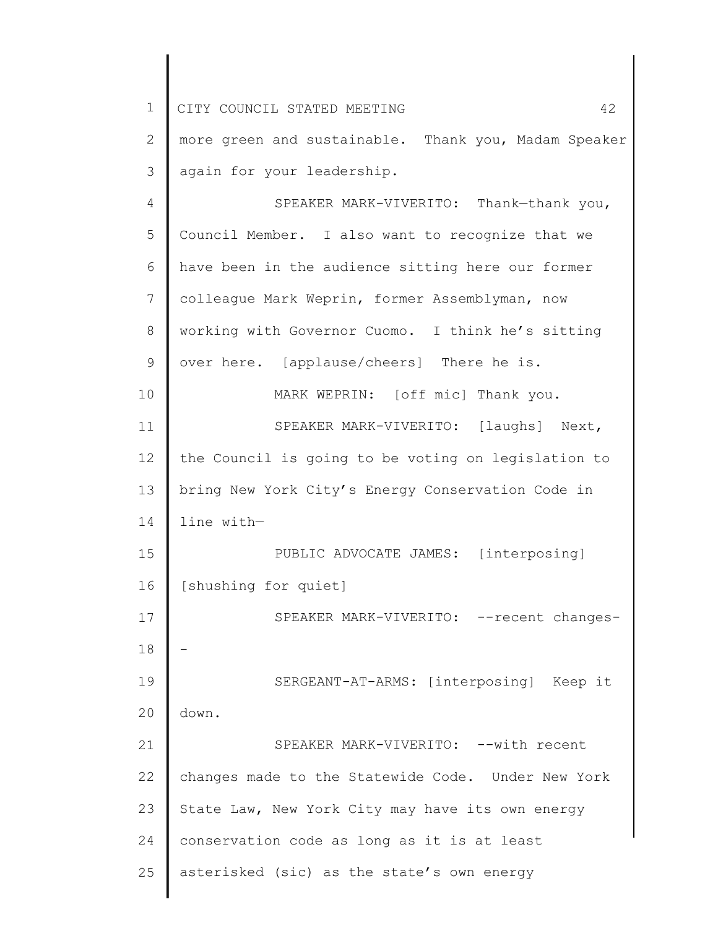| 1  | 42<br>CITY COUNCIL STATED MEETING                    |
|----|------------------------------------------------------|
| 2  | more green and sustainable. Thank you, Madam Speaker |
| 3  | again for your leadership.                           |
| 4  | SPEAKER MARK-VIVERITO: Thank-thank you,              |
| 5  | Council Member. I also want to recognize that we     |
| 6  | have been in the audience sitting here our former    |
| 7  | colleague Mark Weprin, former Assemblyman, now       |
| 8  | working with Governor Cuomo. I think he's sitting    |
| 9  | over here. [applause/cheers] There he is.            |
| 10 | MARK WEPRIN: [off mic] Thank you.                    |
| 11 | SPEAKER MARK-VIVERITO: [laughs] Next,                |
| 12 | the Council is going to be voting on legislation to  |
| 13 | bring New York City's Energy Conservation Code in    |
| 14 | line with-                                           |
| 15 | PUBLIC ADVOCATE JAMES: [interposing]                 |
| 16 | [shushing for quiet]                                 |
| 17 | SPEAKER MARK-VIVERITO: -- recent changes-            |
| 18 |                                                      |
| 19 | SERGEANT-AT-ARMS: [interposing] Keep it              |
| 20 | down.                                                |
| 21 | SPEAKER MARK-VIVERITO: -- with recent                |
| 22 | changes made to the Statewide Code. Under New York   |
| 23 | State Law, New York City may have its own energy     |
| 24 | conservation code as long as it is at least          |
| 25 | asterisked (sic) as the state's own energy           |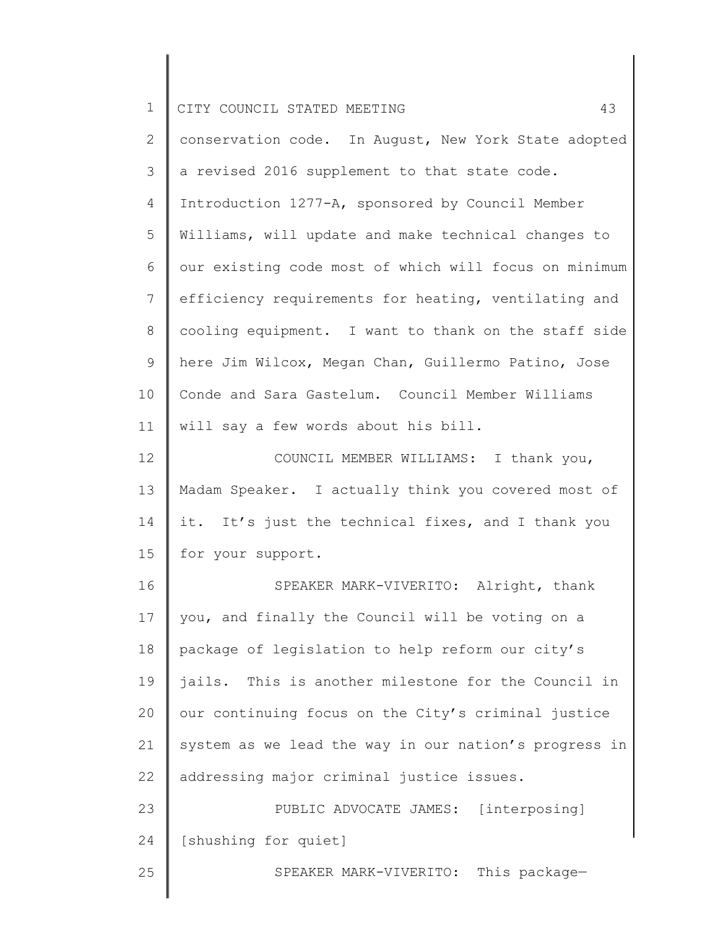| $\overline{2}$<br>3<br>a revised 2016 supplement to that state code.<br>$\overline{4}$<br>Introduction 1277-A, sponsored by Council Member<br>5<br>Williams, will update and make technical changes to<br>6<br>$\overline{7}$<br>$\,8\,$<br>$\mathsf 9$<br>here Jim Wilcox, Megan Chan, Guillermo Patino, Jose<br>Conde and Sara Gastelum. Council Member Williams<br>10<br>11<br>will say a few words about his bill.<br>12<br>COUNCIL MEMBER WILLIAMS: I thank you,<br>13<br>it. It's just the technical fixes, and I thank you<br>14<br>15<br>for your support.<br>16<br>SPEAKER MARK-VIVERITO: Alright, thank<br>17<br>you, and finally the Council will be voting on a<br>package of legislation to help reform our city's<br>18<br>19<br>our continuing focus on the City's criminal justice<br>20<br>21<br>addressing major criminal justice issues.<br>22<br>23<br>PUBLIC ADVOCATE JAMES: [interposing] | $\mathbf 1$ | CITY COUNCIL STATED MEETING<br>43                     |
|-----------------------------------------------------------------------------------------------------------------------------------------------------------------------------------------------------------------------------------------------------------------------------------------------------------------------------------------------------------------------------------------------------------------------------------------------------------------------------------------------------------------------------------------------------------------------------------------------------------------------------------------------------------------------------------------------------------------------------------------------------------------------------------------------------------------------------------------------------------------------------------------------------------------|-------------|-------------------------------------------------------|
|                                                                                                                                                                                                                                                                                                                                                                                                                                                                                                                                                                                                                                                                                                                                                                                                                                                                                                                 |             | conservation code. In August, New York State adopted  |
|                                                                                                                                                                                                                                                                                                                                                                                                                                                                                                                                                                                                                                                                                                                                                                                                                                                                                                                 |             |                                                       |
|                                                                                                                                                                                                                                                                                                                                                                                                                                                                                                                                                                                                                                                                                                                                                                                                                                                                                                                 |             |                                                       |
|                                                                                                                                                                                                                                                                                                                                                                                                                                                                                                                                                                                                                                                                                                                                                                                                                                                                                                                 |             |                                                       |
|                                                                                                                                                                                                                                                                                                                                                                                                                                                                                                                                                                                                                                                                                                                                                                                                                                                                                                                 |             | our existing code most of which will focus on minimum |
|                                                                                                                                                                                                                                                                                                                                                                                                                                                                                                                                                                                                                                                                                                                                                                                                                                                                                                                 |             | efficiency requirements for heating, ventilating and  |
|                                                                                                                                                                                                                                                                                                                                                                                                                                                                                                                                                                                                                                                                                                                                                                                                                                                                                                                 |             | cooling equipment. I want to thank on the staff side  |
|                                                                                                                                                                                                                                                                                                                                                                                                                                                                                                                                                                                                                                                                                                                                                                                                                                                                                                                 |             |                                                       |
|                                                                                                                                                                                                                                                                                                                                                                                                                                                                                                                                                                                                                                                                                                                                                                                                                                                                                                                 |             |                                                       |
|                                                                                                                                                                                                                                                                                                                                                                                                                                                                                                                                                                                                                                                                                                                                                                                                                                                                                                                 |             |                                                       |
|                                                                                                                                                                                                                                                                                                                                                                                                                                                                                                                                                                                                                                                                                                                                                                                                                                                                                                                 |             |                                                       |
|                                                                                                                                                                                                                                                                                                                                                                                                                                                                                                                                                                                                                                                                                                                                                                                                                                                                                                                 |             | Madam Speaker. I actually think you covered most of   |
|                                                                                                                                                                                                                                                                                                                                                                                                                                                                                                                                                                                                                                                                                                                                                                                                                                                                                                                 |             |                                                       |
|                                                                                                                                                                                                                                                                                                                                                                                                                                                                                                                                                                                                                                                                                                                                                                                                                                                                                                                 |             |                                                       |
|                                                                                                                                                                                                                                                                                                                                                                                                                                                                                                                                                                                                                                                                                                                                                                                                                                                                                                                 |             |                                                       |
|                                                                                                                                                                                                                                                                                                                                                                                                                                                                                                                                                                                                                                                                                                                                                                                                                                                                                                                 |             |                                                       |
|                                                                                                                                                                                                                                                                                                                                                                                                                                                                                                                                                                                                                                                                                                                                                                                                                                                                                                                 |             |                                                       |
|                                                                                                                                                                                                                                                                                                                                                                                                                                                                                                                                                                                                                                                                                                                                                                                                                                                                                                                 |             | jails. This is another milestone for the Council in   |
|                                                                                                                                                                                                                                                                                                                                                                                                                                                                                                                                                                                                                                                                                                                                                                                                                                                                                                                 |             |                                                       |
|                                                                                                                                                                                                                                                                                                                                                                                                                                                                                                                                                                                                                                                                                                                                                                                                                                                                                                                 |             | system as we lead the way in our nation's progress in |
|                                                                                                                                                                                                                                                                                                                                                                                                                                                                                                                                                                                                                                                                                                                                                                                                                                                                                                                 |             |                                                       |
|                                                                                                                                                                                                                                                                                                                                                                                                                                                                                                                                                                                                                                                                                                                                                                                                                                                                                                                 |             |                                                       |
| 24<br>[shushing for quiet]                                                                                                                                                                                                                                                                                                                                                                                                                                                                                                                                                                                                                                                                                                                                                                                                                                                                                      |             |                                                       |
| 25<br>SPEAKER MARK-VIVERITO: This package-                                                                                                                                                                                                                                                                                                                                                                                                                                                                                                                                                                                                                                                                                                                                                                                                                                                                      |             |                                                       |

║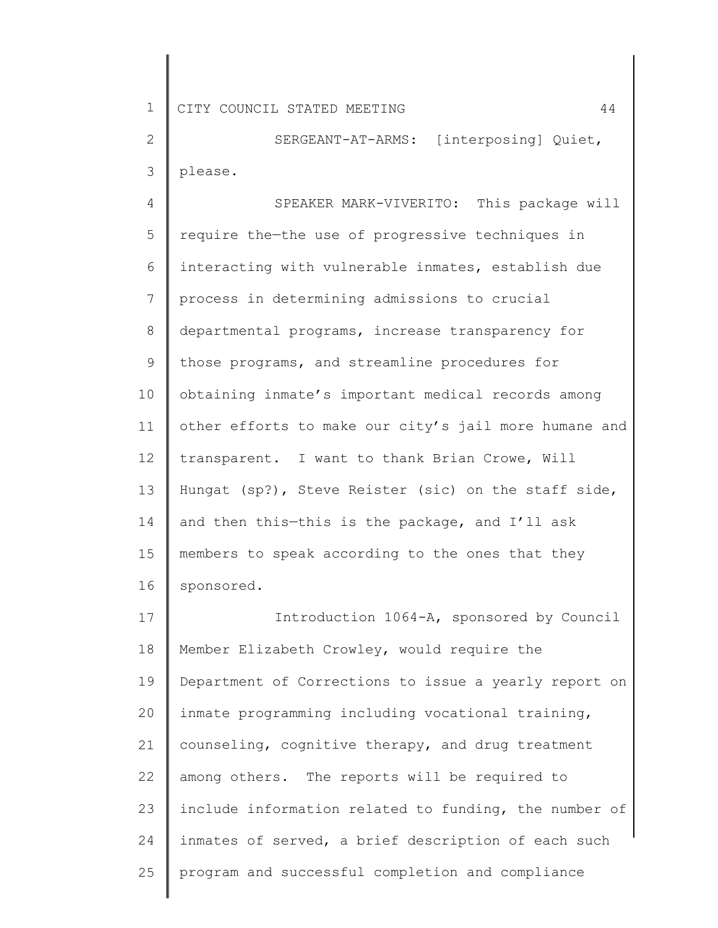2 3 SERGEANT-AT-ARMS: [interposing] Quiet, please.

4 5 6 7 8 9 10 11 12 13 14 15 16 SPEAKER MARK-VIVERITO: This package will require the—the use of progressive techniques in interacting with vulnerable inmates, establish due process in determining admissions to crucial departmental programs, increase transparency for those programs, and streamline procedures for obtaining inmate's important medical records among other efforts to make our city's jail more humane and transparent. I want to thank Brian Crowe, Will Hungat (sp?), Steve Reister (sic) on the staff side, and then this—this is the package, and I'll ask members to speak according to the ones that they sponsored.

17 18 19 20 21 22 23 24 25 Introduction 1064-A, sponsored by Council Member Elizabeth Crowley, would require the Department of Corrections to issue a yearly report on inmate programming including vocational training, counseling, cognitive therapy, and drug treatment among others. The reports will be required to include information related to funding, the number of inmates of served, a brief description of each such program and successful completion and compliance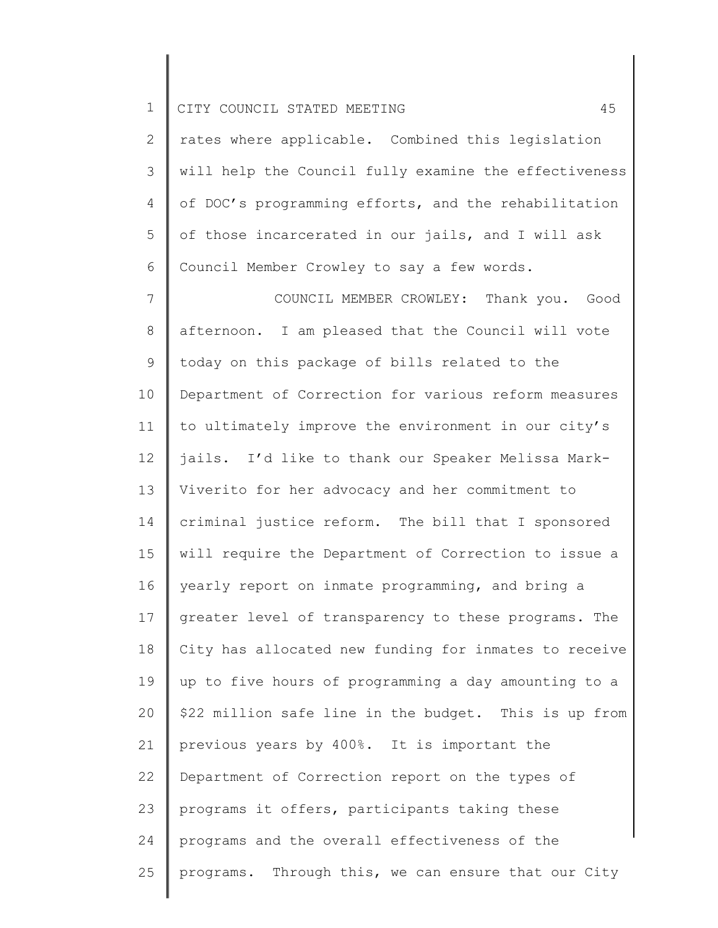2 3 4 5 6 rates where applicable. Combined this legislation will help the Council fully examine the effectiveness of DOC's programming efforts, and the rehabilitation of those incarcerated in our jails, and I will ask Council Member Crowley to say a few words.

7 8 9 10 11 12 13 14 15 16 17 18 19 20 21 22 23 24 25 COUNCIL MEMBER CROWLEY: Thank you. Good afternoon. I am pleased that the Council will vote today on this package of bills related to the Department of Correction for various reform measures to ultimately improve the environment in our city's jails. I'd like to thank our Speaker Melissa Mark-Viverito for her advocacy and her commitment to criminal justice reform. The bill that I sponsored will require the Department of Correction to issue a yearly report on inmate programming, and bring a greater level of transparency to these programs. The City has allocated new funding for inmates to receive up to five hours of programming a day amounting to a \$22 million safe line in the budget. This is up from previous years by 400%. It is important the Department of Correction report on the types of programs it offers, participants taking these programs and the overall effectiveness of the programs. Through this, we can ensure that our City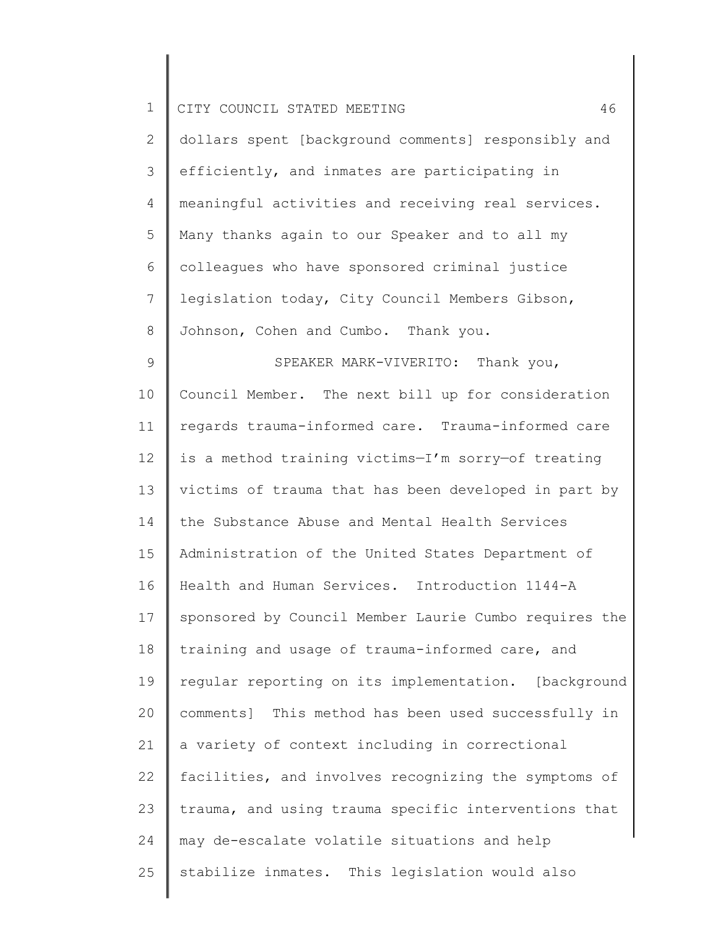|  |  | CITY COUNCIL STATED MEETING |  |  |  | $\sim$ |
|--|--|-----------------------------|--|--|--|--------|
|--|--|-----------------------------|--|--|--|--------|

2 3 4 5 6 7 8 dollars spent [background comments] responsibly and efficiently, and inmates are participating in meaningful activities and receiving real services. Many thanks again to our Speaker and to all my colleagues who have sponsored criminal justice legislation today, City Council Members Gibson, Johnson, Cohen and Cumbo. Thank you.

9 10 11 12 13 14 15 16 17 18 19 20 21 22 23 24 25 SPEAKER MARK-VIVERITO: Thank you, Council Member. The next bill up for consideration regards trauma-informed care. Trauma-informed care is a method training victims—I'm sorry—of treating victims of trauma that has been developed in part by the Substance Abuse and Mental Health Services Administration of the United States Department of Health and Human Services. Introduction 1144-A sponsored by Council Member Laurie Cumbo requires the training and usage of trauma-informed care, and regular reporting on its implementation. [background comments] This method has been used successfully in a variety of context including in correctional facilities, and involves recognizing the symptoms of trauma, and using trauma specific interventions that may de-escalate volatile situations and help stabilize inmates. This legislation would also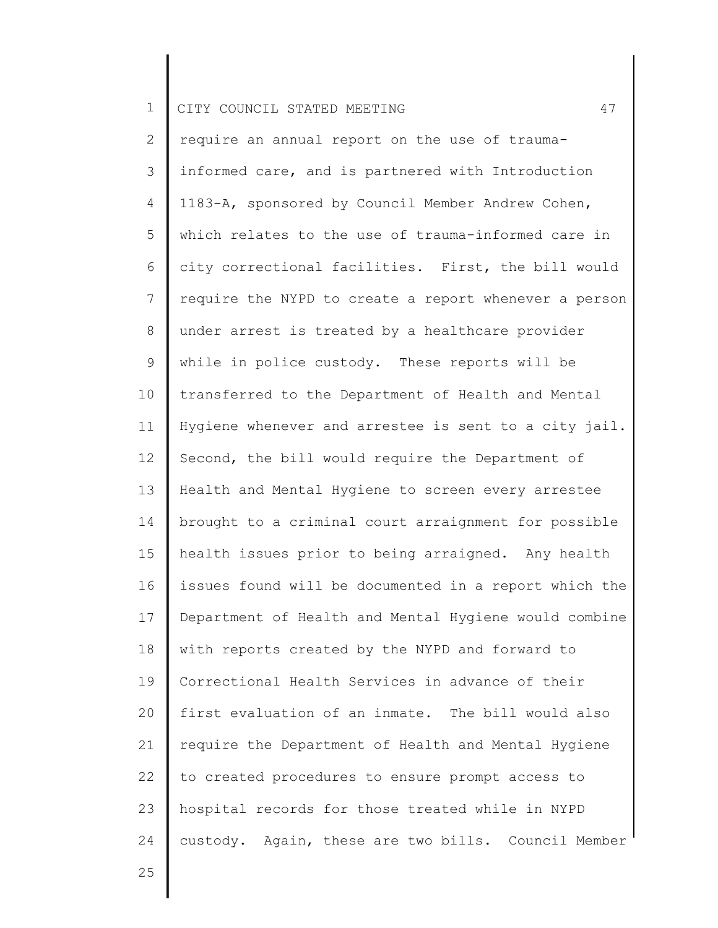2 3 4 5 6 7 8 9 10 11 12 13 14 15 16 17 18 19 20 21 22 23 24 require an annual report on the use of traumainformed care, and is partnered with Introduction 1183-A, sponsored by Council Member Andrew Cohen, which relates to the use of trauma-informed care in city correctional facilities. First, the bill would require the NYPD to create a report whenever a person under arrest is treated by a healthcare provider while in police custody. These reports will be transferred to the Department of Health and Mental Hygiene whenever and arrestee is sent to a city jail. Second, the bill would require the Department of Health and Mental Hygiene to screen every arrestee brought to a criminal court arraignment for possible health issues prior to being arraigned. Any health issues found will be documented in a report which the Department of Health and Mental Hygiene would combine with reports created by the NYPD and forward to Correctional Health Services in advance of their first evaluation of an inmate. The bill would also require the Department of Health and Mental Hygiene to created procedures to ensure prompt access to hospital records for those treated while in NYPD custody. Again, these are two bills. Council Member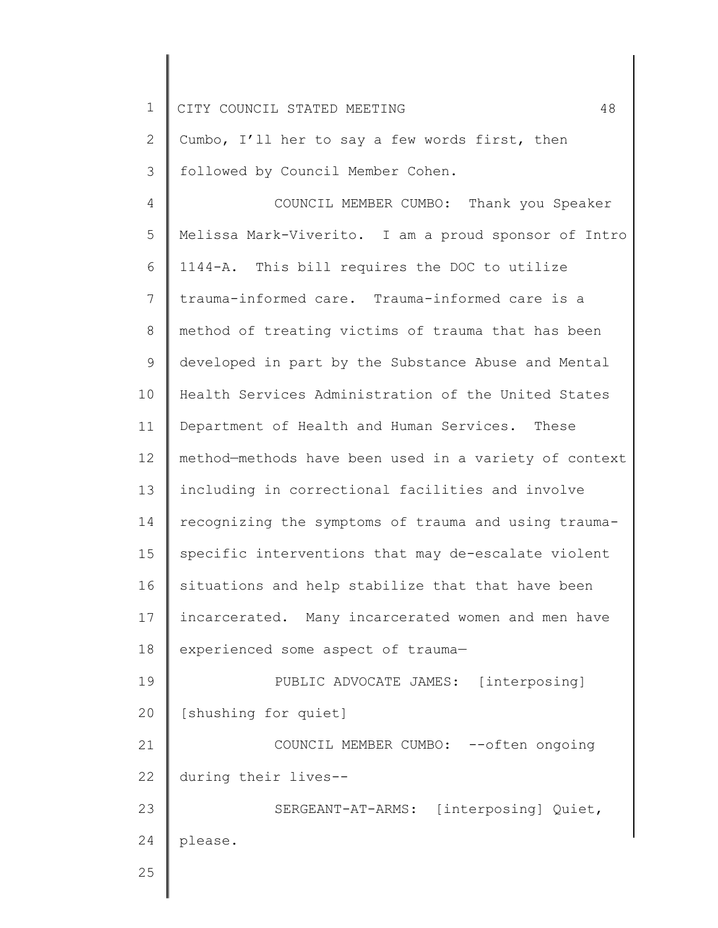1 2 3 4 5 6 7 8 9 10 11 12 13 CITY COUNCIL STATED MEETING 48 Cumbo, I'll her to say a few words first, then followed by Council Member Cohen. COUNCIL MEMBER CUMBO: Thank you Speaker Melissa Mark-Viverito. I am a proud sponsor of Intro 1144-A. This bill requires the DOC to utilize trauma-informed care. Trauma-informed care is a method of treating victims of trauma that has been developed in part by the Substance Abuse and Mental Health Services Administration of the United States Department of Health and Human Services. These method—methods have been used in a variety of context including in correctional facilities and involve

14 15 16 17 18 recognizing the symptoms of trauma and using traumaspecific interventions that may de-escalate violent situations and help stabilize that that have been incarcerated. Many incarcerated women and men have experienced some aspect of trauma—

19 20 PUBLIC ADVOCATE JAMES: [interposing] [shushing for quiet]

21 22 COUNCIL MEMBER CUMBO: --often ongoing during their lives--

23 24 SERGEANT-AT-ARMS: [interposing] Quiet, please.

25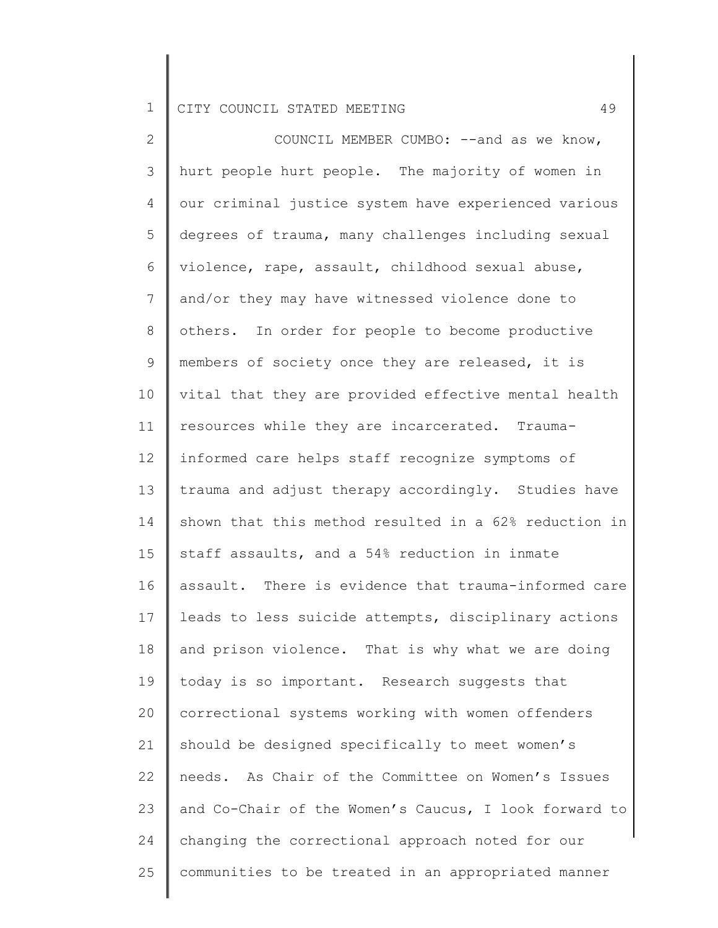2 3 4 5 6 7 8 9 10 11 12 13 14 15 16 17 18 19 20 21 22 23 24 25 COUNCIL MEMBER CUMBO: --and as we know, hurt people hurt people. The majority of women in our criminal justice system have experienced various degrees of trauma, many challenges including sexual violence, rape, assault, childhood sexual abuse, and/or they may have witnessed violence done to others. In order for people to become productive members of society once they are released, it is vital that they are provided effective mental health resources while they are incarcerated. Traumainformed care helps staff recognize symptoms of trauma and adjust therapy accordingly. Studies have shown that this method resulted in a 62% reduction in staff assaults, and a 54% reduction in inmate assault. There is evidence that trauma-informed care leads to less suicide attempts, disciplinary actions and prison violence. That is why what we are doing today is so important. Research suggests that correctional systems working with women offenders should be designed specifically to meet women's needs. As Chair of the Committee on Women's Issues and Co-Chair of the Women's Caucus, I look forward to changing the correctional approach noted for our communities to be treated in an appropriated manner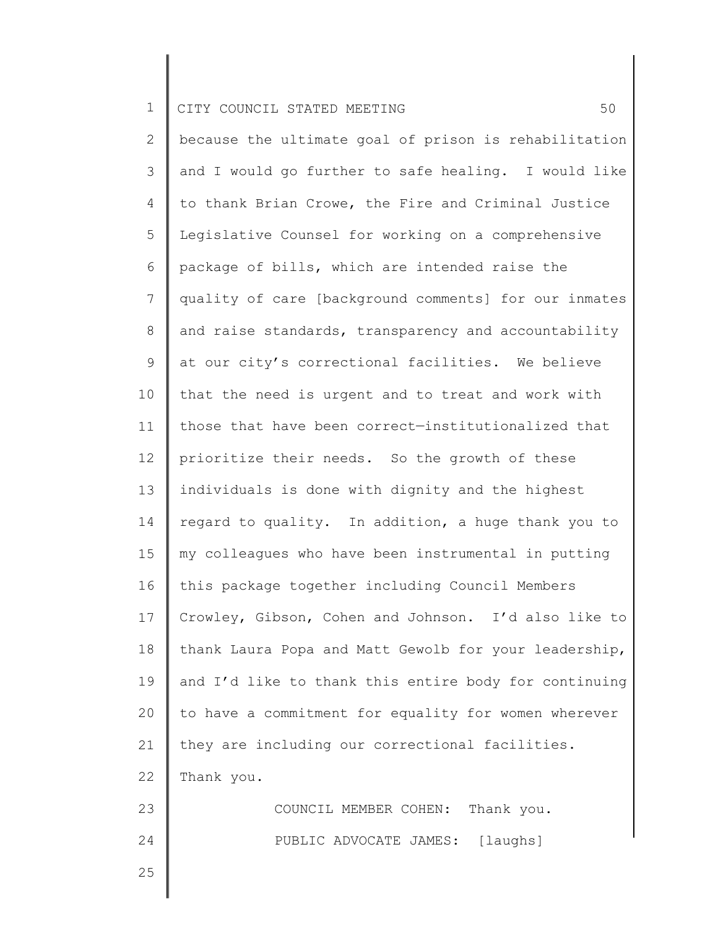2 3 4 5 6 7 8 9 10 11 12 13 14 15 16 17 18 19 20 21 22 23 24 because the ultimate goal of prison is rehabilitation and I would go further to safe healing. I would like to thank Brian Crowe, the Fire and Criminal Justice Legislative Counsel for working on a comprehensive package of bills, which are intended raise the quality of care [background comments] for our inmates and raise standards, transparency and accountability at our city's correctional facilities. We believe that the need is urgent and to treat and work with those that have been correct—institutionalized that prioritize their needs. So the growth of these individuals is done with dignity and the highest regard to quality. In addition, a huge thank you to my colleagues who have been instrumental in putting this package together including Council Members Crowley, Gibson, Cohen and Johnson. I'd also like to thank Laura Popa and Matt Gewolb for your leadership, and I'd like to thank this entire body for continuing to have a commitment for equality for women wherever they are including our correctional facilities. Thank you. COUNCIL MEMBER COHEN: Thank you. PUBLIC ADVOCATE JAMES: [laughs]

25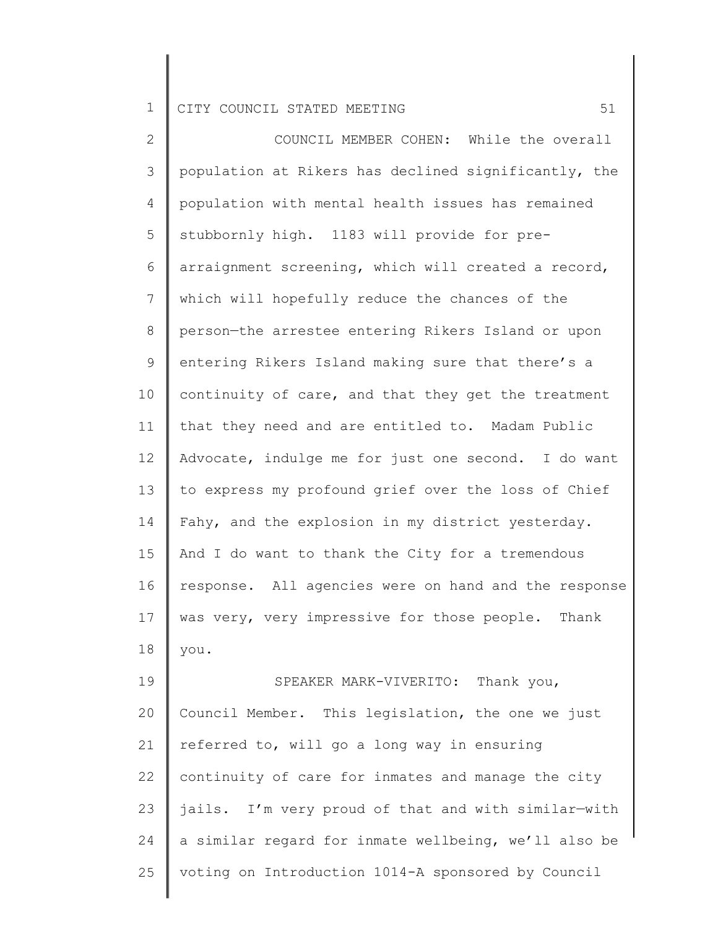2 3 4 5 6 7 8 9 10 11 12 13 14 15 16 17 18 19 20 21 22 23 24 25 COUNCIL MEMBER COHEN: While the overall population at Rikers has declined significantly, the population with mental health issues has remained stubbornly high. 1183 will provide for prearraignment screening, which will created a record, which will hopefully reduce the chances of the person—the arrestee entering Rikers Island or upon entering Rikers Island making sure that there's a continuity of care, and that they get the treatment that they need and are entitled to. Madam Public Advocate, indulge me for just one second. I do want to express my profound grief over the loss of Chief Fahy, and the explosion in my district yesterday. And I do want to thank the City for a tremendous response. All agencies were on hand and the response was very, very impressive for those people. Thank you. SPEAKER MARK-VIVERITO: Thank you, Council Member. This legislation, the one we just referred to, will go a long way in ensuring continuity of care for inmates and manage the city jails. I'm very proud of that and with similar—with a similar regard for inmate wellbeing, we'll also be voting on Introduction 1014-A sponsored by Council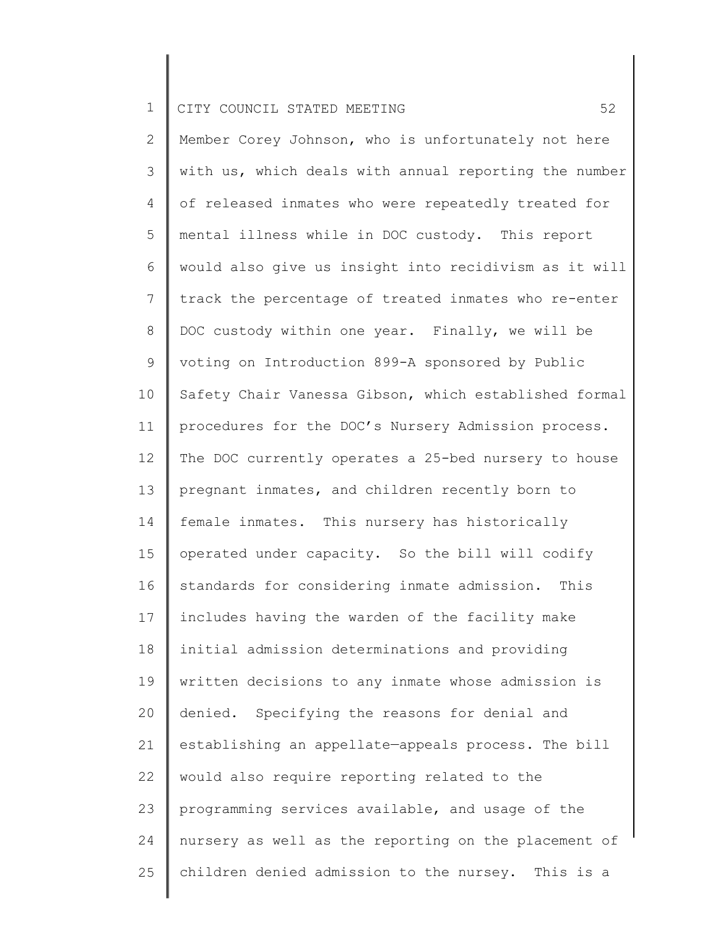2 3 4 5 6 7 8 9 10 11 12 13 14 15 16 17 18 19 20 21 22 23 24 25 Member Corey Johnson, who is unfortunately not here with us, which deals with annual reporting the number of released inmates who were repeatedly treated for mental illness while in DOC custody. This report would also give us insight into recidivism as it will track the percentage of treated inmates who re-enter DOC custody within one year. Finally, we will be voting on Introduction 899-A sponsored by Public Safety Chair Vanessa Gibson, which established formal procedures for the DOC's Nursery Admission process. The DOC currently operates a 25-bed nursery to house pregnant inmates, and children recently born to female inmates. This nursery has historically operated under capacity. So the bill will codify standards for considering inmate admission. This includes having the warden of the facility make initial admission determinations and providing written decisions to any inmate whose admission is denied. Specifying the reasons for denial and establishing an appellate—appeals process. The bill would also require reporting related to the programming services available, and usage of the nursery as well as the reporting on the placement of children denied admission to the nursey. This is a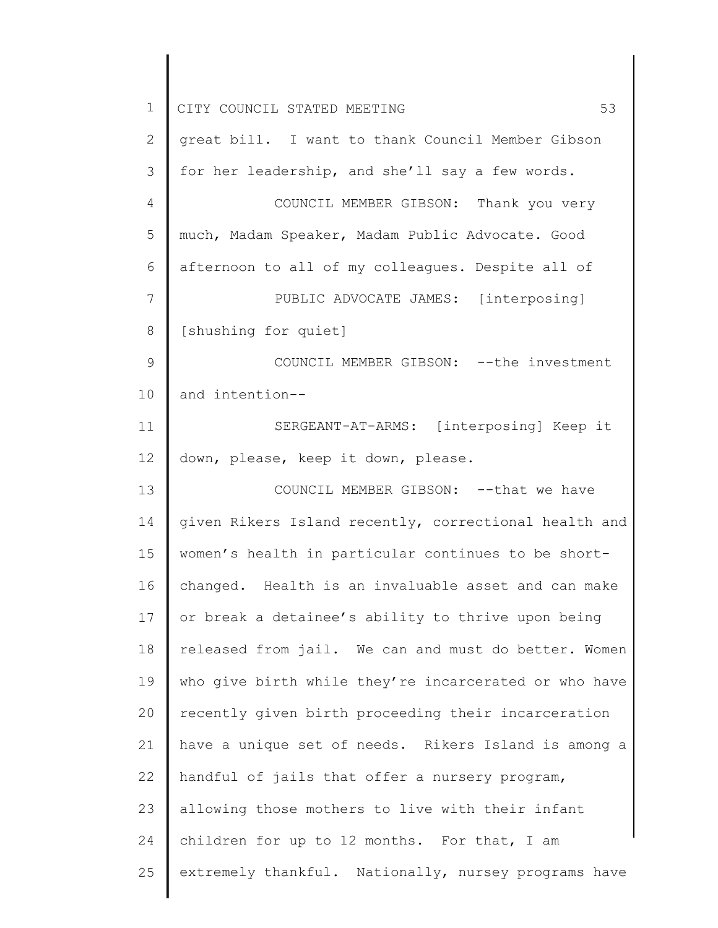1 2 3 4 5 6 7 8 9 10 11 12 13 14 15 16 17 18 19 20 21 22 23 24 25 CITY COUNCIL STATED MEETING 53 great bill. I want to thank Council Member Gibson for her leadership, and she'll say a few words. COUNCIL MEMBER GIBSON: Thank you very much, Madam Speaker, Madam Public Advocate. Good afternoon to all of my colleagues. Despite all of PUBLIC ADVOCATE JAMES: [interposing] [shushing for quiet] COUNCIL MEMBER GIBSON: --the investment and intention-- SERGEANT-AT-ARMS: [interposing] Keep it down, please, keep it down, please. COUNCIL MEMBER GIBSON: --that we have given Rikers Island recently, correctional health and women's health in particular continues to be shortchanged. Health is an invaluable asset and can make or break a detainee's ability to thrive upon being released from jail. We can and must do better. Women who give birth while they're incarcerated or who have recently given birth proceeding their incarceration have a unique set of needs. Rikers Island is among a handful of jails that offer a nursery program, allowing those mothers to live with their infant children for up to 12 months. For that, I am extremely thankful. Nationally, nursey programs have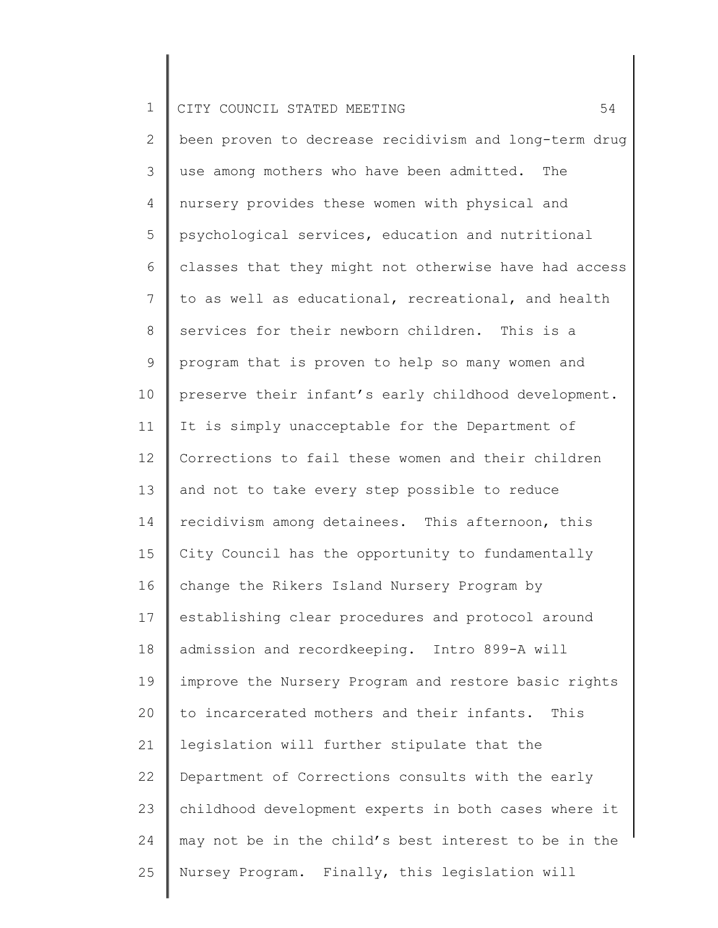2 3 4 5 6 7 8 9 10 11 12 13 14 15 16 17 18 19 20 21 22 23 24 25 been proven to decrease recidivism and long-term drug use among mothers who have been admitted. The nursery provides these women with physical and psychological services, education and nutritional classes that they might not otherwise have had access to as well as educational, recreational, and health services for their newborn children. This is a program that is proven to help so many women and preserve their infant's early childhood development. It is simply unacceptable for the Department of Corrections to fail these women and their children and not to take every step possible to reduce recidivism among detainees. This afternoon, this City Council has the opportunity to fundamentally change the Rikers Island Nursery Program by establishing clear procedures and protocol around admission and recordkeeping. Intro 899-A will improve the Nursery Program and restore basic rights to incarcerated mothers and their infants. This legislation will further stipulate that the Department of Corrections consults with the early childhood development experts in both cases where it may not be in the child's best interest to be in the Nursey Program. Finally, this legislation will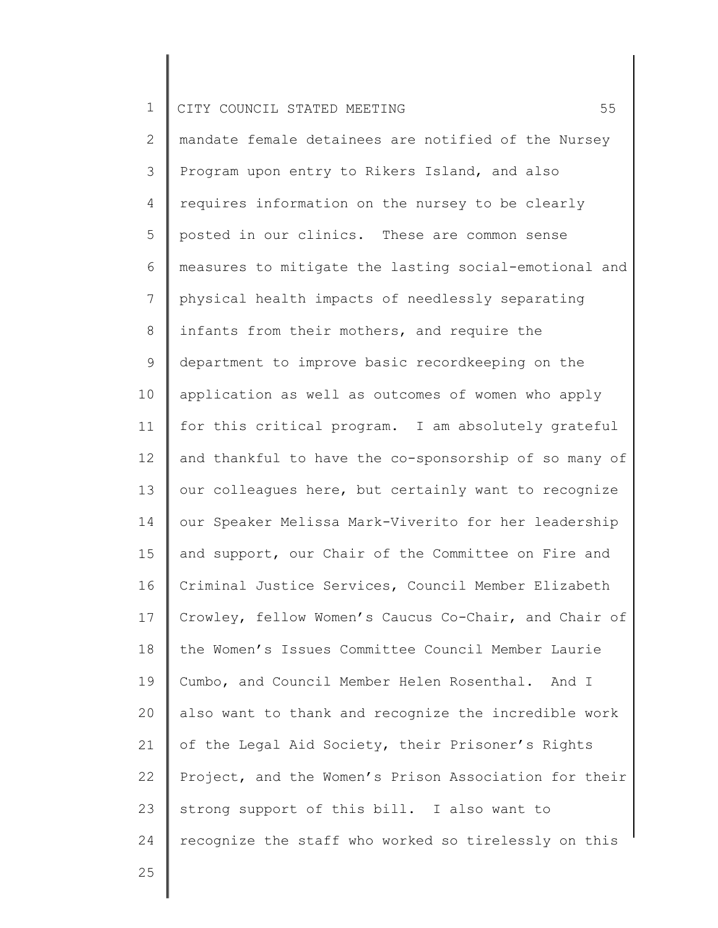2 3 4 5 6 7 8 9 10 11 12 13 14 15 16 17 18 19 20 21 22 23 24 mandate female detainees are notified of the Nursey Program upon entry to Rikers Island, and also requires information on the nursey to be clearly posted in our clinics. These are common sense measures to mitigate the lasting social-emotional and physical health impacts of needlessly separating infants from their mothers, and require the department to improve basic recordkeeping on the application as well as outcomes of women who apply for this critical program. I am absolutely grateful and thankful to have the co-sponsorship of so many of our colleagues here, but certainly want to recognize our Speaker Melissa Mark-Viverito for her leadership and support, our Chair of the Committee on Fire and Criminal Justice Services, Council Member Elizabeth Crowley, fellow Women's Caucus Co-Chair, and Chair of the Women's Issues Committee Council Member Laurie Cumbo, and Council Member Helen Rosenthal. And I also want to thank and recognize the incredible work of the Legal Aid Society, their Prisoner's Rights Project, and the Women's Prison Association for their strong support of this bill. I also want to recognize the staff who worked so tirelessly on this

25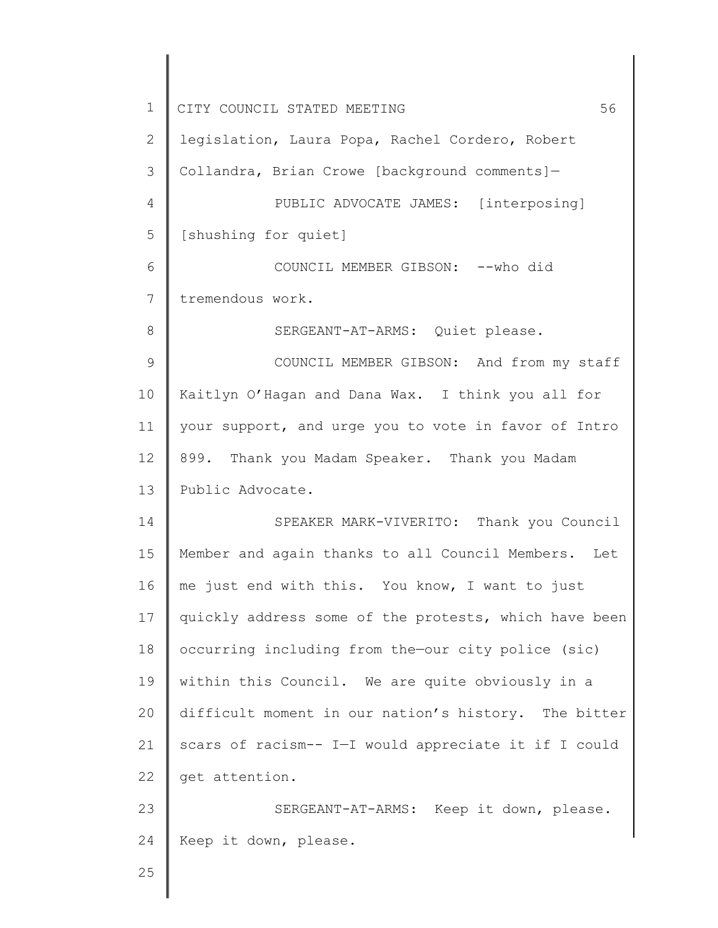| $\mathbf 1$ | 56<br>CITY COUNCIL STATED MEETING                     |
|-------------|-------------------------------------------------------|
| 2           | legislation, Laura Popa, Rachel Cordero, Robert       |
| 3           | Collandra, Brian Crowe [background comments]-         |
| 4           | PUBLIC ADVOCATE JAMES: [interposing]                  |
| 5           | [shushing for quiet]                                  |
| 6           | COUNCIL MEMBER GIBSON: -- who did                     |
| 7           | tremendous work.                                      |
| 8           | SERGEANT-AT-ARMS: Quiet please.                       |
| 9           | COUNCIL MEMBER GIBSON: And from my staff              |
| 10          | Kaitlyn O'Hagan and Dana Wax. I think you all for     |
| 11          | your support, and urge you to vote in favor of Intro  |
| 12          | 899. Thank you Madam Speaker. Thank you Madam         |
| 13          | Public Advocate.                                      |
| 14          | SPEAKER MARK-VIVERITO: Thank you Council              |
| 15          | Member and again thanks to all Council Members. Let   |
| 16          | me just end with this. You know, I want to just       |
| 17          | quickly address some of the protests, which have been |
| 18          | occurring including from the-our city police (sic)    |
| 19          | within this Council. We are quite obviously in a      |
| 20          | difficult moment in our nation's history. The bitter  |
| 21          | scars of racism-- I-I would appreciate it if I could  |
| 22          | get attention.                                        |
| 23          | SERGEANT-AT-ARMS: Keep it down, please.               |
| 24          | Keep it down, please.                                 |
| 25          |                                                       |
|             |                                                       |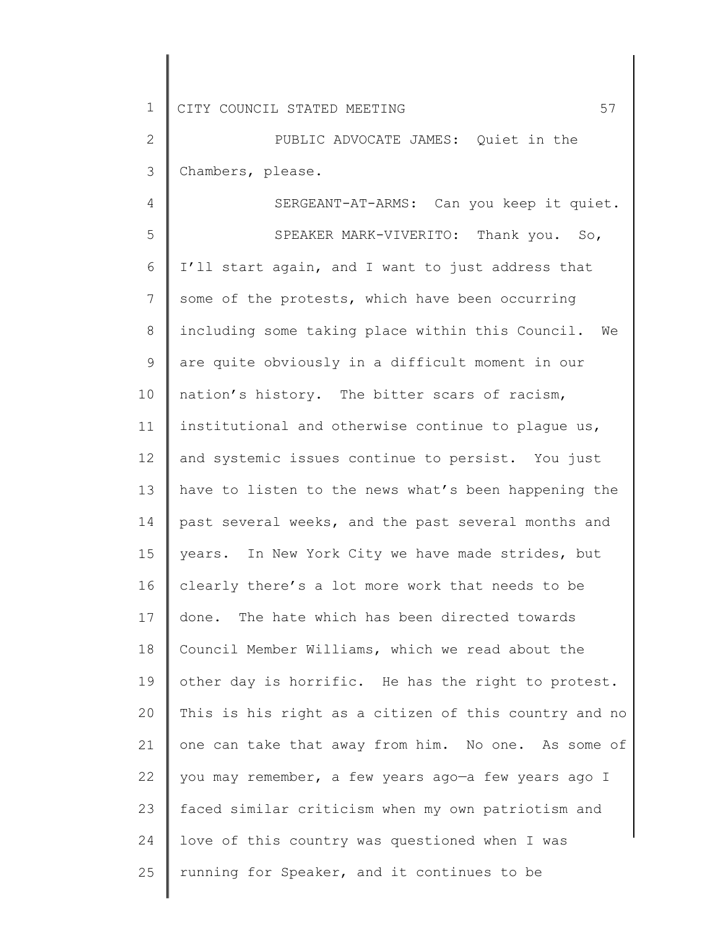2 3 PUBLIC ADVOCATE JAMES: Quiet in the Chambers, please.

4 5 6 7 8 9 10 11 12 13 14 15 16 17 18 19 20 21 22 23 24 25 SERGEANT-AT-ARMS: Can you keep it quiet. SPEAKER MARK-VIVERITO: Thank you. So, I'll start again, and I want to just address that some of the protests, which have been occurring including some taking place within this Council. We are quite obviously in a difficult moment in our nation's history. The bitter scars of racism, institutional and otherwise continue to plague us, and systemic issues continue to persist. You just have to listen to the news what's been happening the past several weeks, and the past several months and years. In New York City we have made strides, but clearly there's a lot more work that needs to be done. The hate which has been directed towards Council Member Williams, which we read about the other day is horrific. He has the right to protest. This is his right as a citizen of this country and no one can take that away from him. No one. As some of you may remember, a few years ago—a few years ago I faced similar criticism when my own patriotism and love of this country was questioned when I was running for Speaker, and it continues to be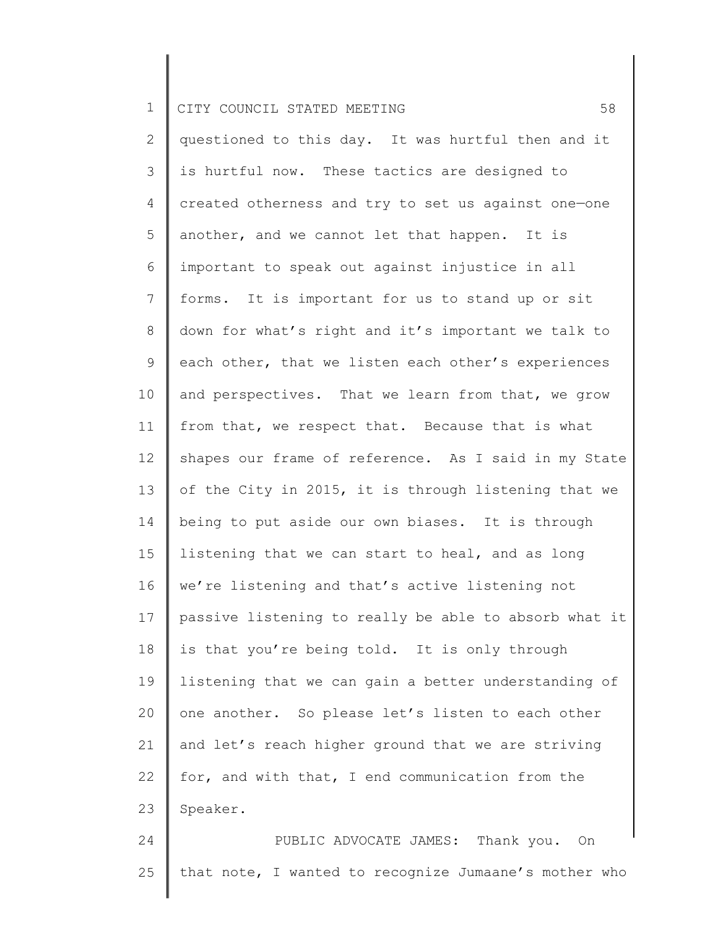2 3 4 5 6 7 8 9 10 11 12 13 14 15 16 17 18 19 20 21 22 23 24 questioned to this day. It was hurtful then and it is hurtful now. These tactics are designed to created otherness and try to set us against one—one another, and we cannot let that happen. It is important to speak out against injustice in all forms. It is important for us to stand up or sit down for what's right and it's important we talk to each other, that we listen each other's experiences and perspectives. That we learn from that, we grow from that, we respect that. Because that is what shapes our frame of reference. As I said in my State of the City in 2015, it is through listening that we being to put aside our own biases. It is through listening that we can start to heal, and as long we're listening and that's active listening not passive listening to really be able to absorb what it is that you're being told. It is only through listening that we can gain a better understanding of one another. So please let's listen to each other and let's reach higher ground that we are striving for, and with that, I end communication from the Speaker. PUBLIC ADVOCATE JAMES: Thank you. On

25 that note, I wanted to recognize Jumaane's mother who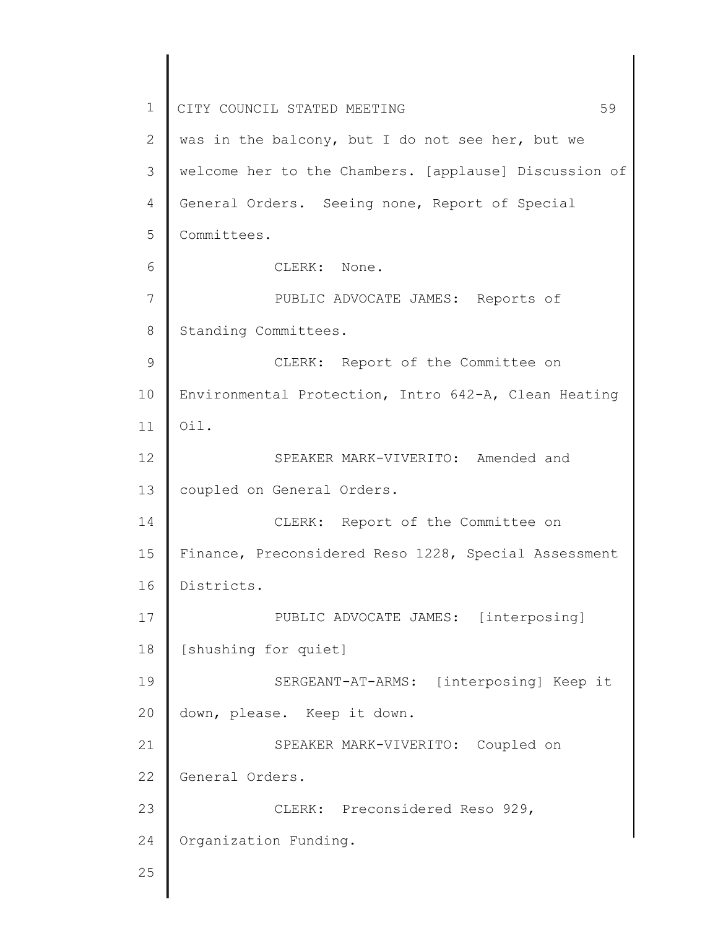1 2 3 4 5 6 7 8 9 10 11 12 13 14 15 16 17 18 19 20 21 22 23 24 25 CITY COUNCIL STATED MEETING 59 was in the balcony, but I do not see her, but we welcome her to the Chambers. [applause] Discussion of General Orders. Seeing none, Report of Special Committees. CLERK: None. PUBLIC ADVOCATE JAMES: Reports of Standing Committees. CLERK: Report of the Committee on Environmental Protection, Intro 642-A, Clean Heating Oil. SPEAKER MARK-VIVERITO: Amended and coupled on General Orders. CLERK: Report of the Committee on Finance, Preconsidered Reso 1228, Special Assessment Districts. PUBLIC ADVOCATE JAMES: [interposing] [shushing for quiet] SERGEANT-AT-ARMS: [interposing] Keep it down, please. Keep it down. SPEAKER MARK-VIVERITO: Coupled on General Orders. CLERK: Preconsidered Reso 929, Organization Funding.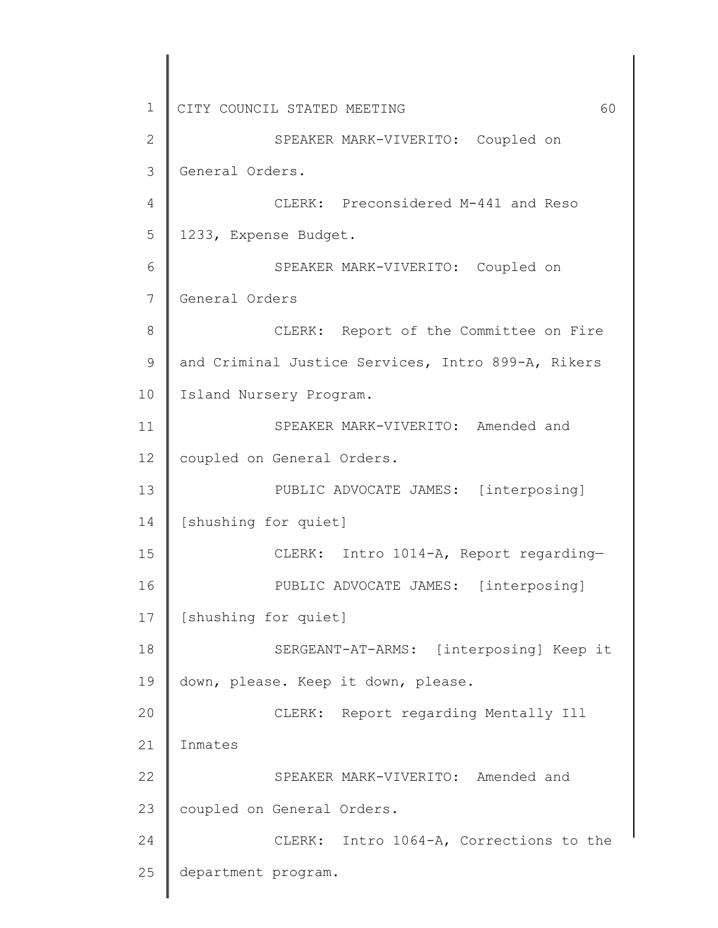1 2 3 4 5 6 7 8 9 10 11 12 13 14 15 16 17 18 19 20 21 22 23 24 25 CITY COUNCIL STATED MEETING 60 SPEAKER MARK-VIVERITO: Coupled on General Orders. CLERK: Preconsidered M-441 and Reso 1233, Expense Budget. SPEAKER MARK-VIVERITO: Coupled on General Orders CLERK: Report of the Committee on Fire and Criminal Justice Services, Intro 899-A, Rikers Island Nursery Program. SPEAKER MARK-VIVERITO: Amended and coupled on General Orders. PUBLIC ADVOCATE JAMES: [interposing] [shushing for quiet] CLERK: Intro 1014-A, Report regarding— PUBLIC ADVOCATE JAMES: [interposing] [shushing for quiet] SERGEANT-AT-ARMS: [interposing] Keep it down, please. Keep it down, please. CLERK: Report regarding Mentally Ill Inmates SPEAKER MARK-VIVERITO: Amended and coupled on General Orders. CLERK: Intro 1064-A, Corrections to the department program.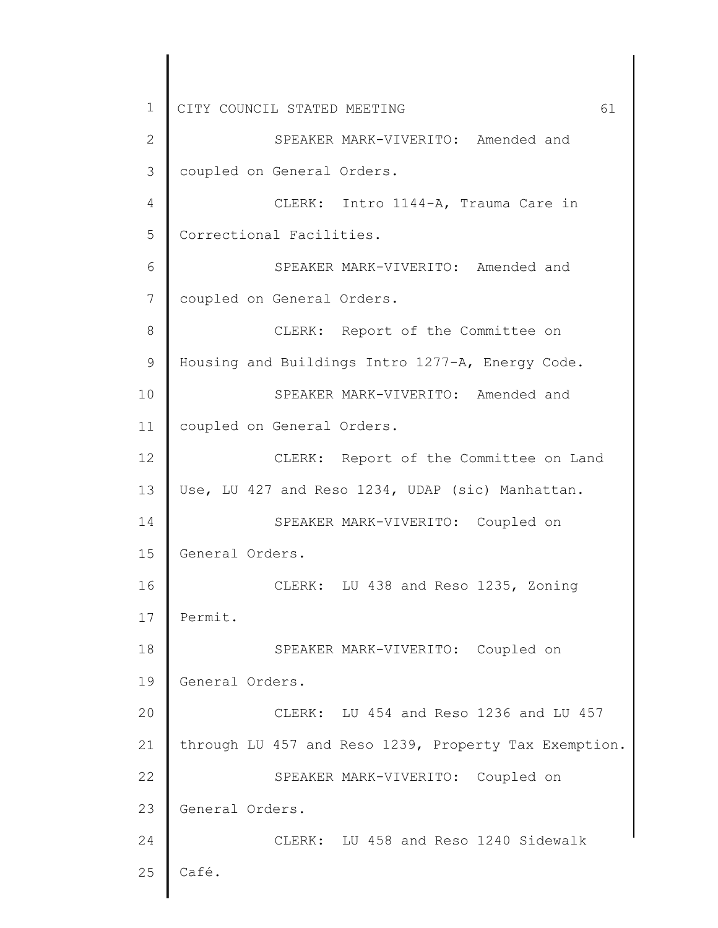1 2 3 4 5 6 7 8 9 10 11 12 13 14 15 16 17 18 19 20 21 22 23 24 25 CITY COUNCIL STATED MEETING 61 SPEAKER MARK-VIVERITO: Amended and coupled on General Orders. CLERK: Intro 1144-A, Trauma Care in Correctional Facilities. SPEAKER MARK-VIVERITO: Amended and coupled on General Orders. CLERK: Report of the Committee on Housing and Buildings Intro 1277-A, Energy Code. SPEAKER MARK-VIVERITO: Amended and coupled on General Orders. CLERK: Report of the Committee on Land Use, LU 427 and Reso 1234, UDAP (sic) Manhattan. SPEAKER MARK-VIVERITO: Coupled on General Orders. CLERK: LU 438 and Reso 1235, Zoning Permit. SPEAKER MARK-VIVERITO: Coupled on General Orders. CLERK: LU 454 and Reso 1236 and LU 457 through LU 457 and Reso 1239, Property Tax Exemption. SPEAKER MARK-VIVERITO: Coupled on General Orders. CLERK: LU 458 and Reso 1240 Sidewalk Café.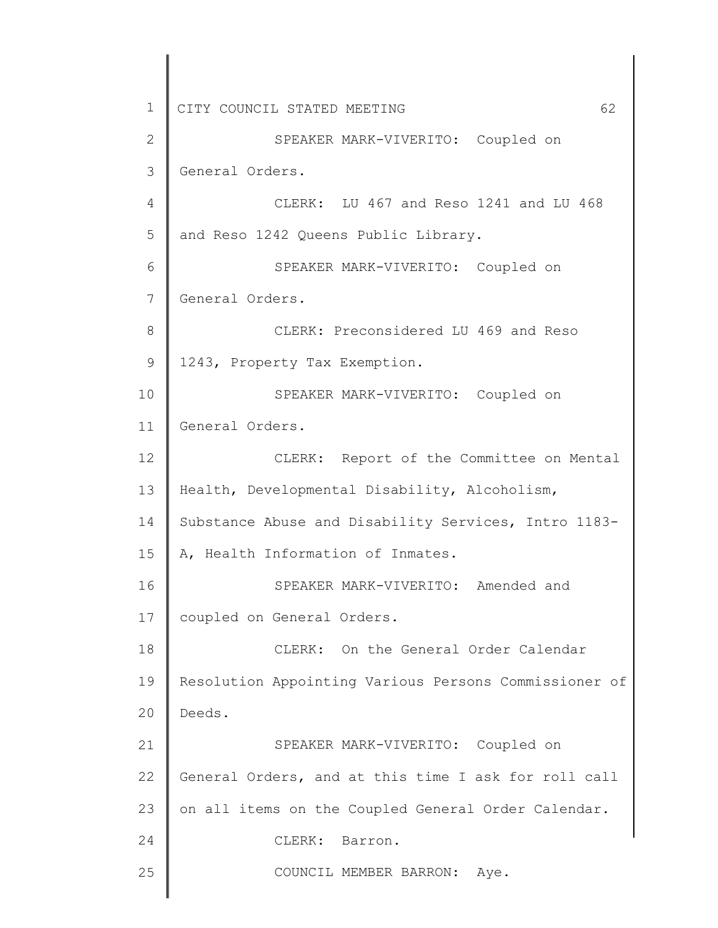1 2 3 4 5 6 7 8 9 10 11 12 13 14 15 16 17 18 19 20 21 22 23 24 25 CITY COUNCIL STATED MEETING 62 SPEAKER MARK-VIVERITO: Coupled on General Orders. CLERK: LU 467 and Reso 1241 and LU 468 and Reso 1242 Queens Public Library. SPEAKER MARK-VIVERITO: Coupled on General Orders. CLERK: Preconsidered LU 469 and Reso 1243, Property Tax Exemption. SPEAKER MARK-VIVERITO: Coupled on General Orders. CLERK: Report of the Committee on Mental Health, Developmental Disability, Alcoholism, Substance Abuse and Disability Services, Intro 1183- A, Health Information of Inmates. SPEAKER MARK-VIVERITO: Amended and coupled on General Orders. CLERK: On the General Order Calendar Resolution Appointing Various Persons Commissioner of Deeds. SPEAKER MARK-VIVERITO: Coupled on General Orders, and at this time I ask for roll call on all items on the Coupled General Order Calendar. CLERK: Barron. COUNCIL MEMBER BARRON: Aye.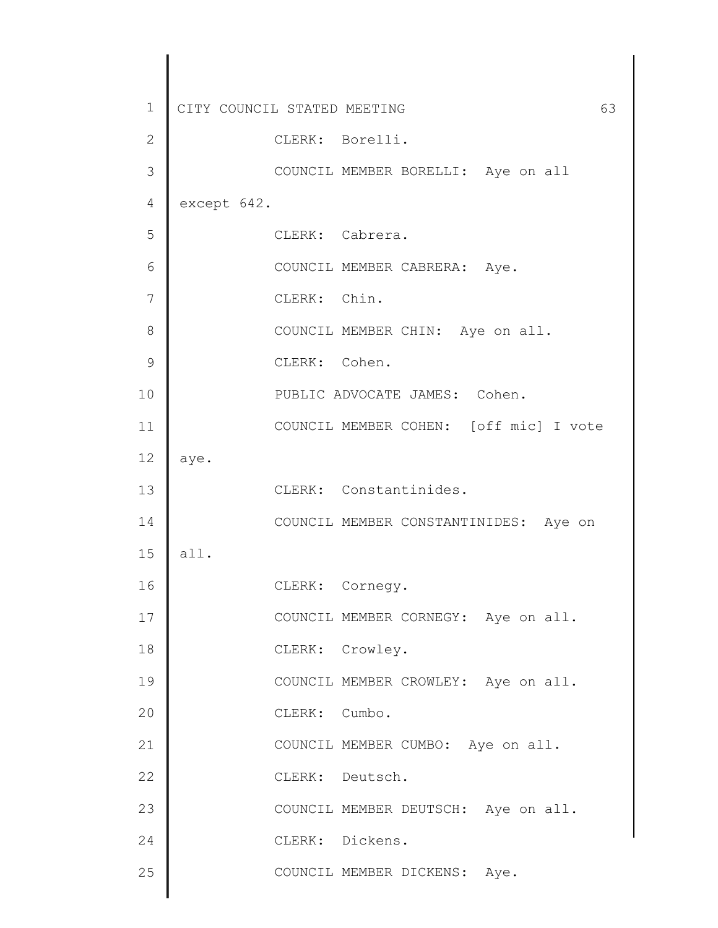| 1             | CITY COUNCIL STATED MEETING<br>63      |
|---------------|----------------------------------------|
| 2             | CLERK: Borelli.                        |
| 3             | COUNCIL MEMBER BORELLI: Aye on all     |
| 4             | except 642.                            |
| 5             | CLERK: Cabrera.                        |
| 6             | COUNCIL MEMBER CABRERA: Aye.           |
| 7             | CLERK: Chin.                           |
| 8             | COUNCIL MEMBER CHIN: Aye on all.       |
| $\mathcal{G}$ | CLERK: Cohen.                          |
| 10            | PUBLIC ADVOCATE JAMES: Cohen.          |
| 11            | COUNCIL MEMBER COHEN: [off mic] I vote |
| 12            | aye.                                   |
| 13            | CLERK: Constantinides.                 |
| 14            | COUNCIL MEMBER CONSTANTINIDES: Aye on  |
| 15            | all.                                   |
| 16            | CLERK: Cornegy.                        |
| 17            | COUNCIL MEMBER CORNEGY: Aye on all.    |
| 18            | CLERK: Crowley.                        |
| 19            | COUNCIL MEMBER CROWLEY: Aye on all.    |
| 20            | CLERK: Cumbo.                          |
| 21            | COUNCIL MEMBER CUMBO: Aye on all.      |
| 22            | CLERK: Deutsch.                        |
| 23            | COUNCIL MEMBER DEUTSCH: Aye on all.    |
| 24            | CLERK: Dickens.                        |
| 25            | COUNCIL MEMBER DICKENS: Aye.           |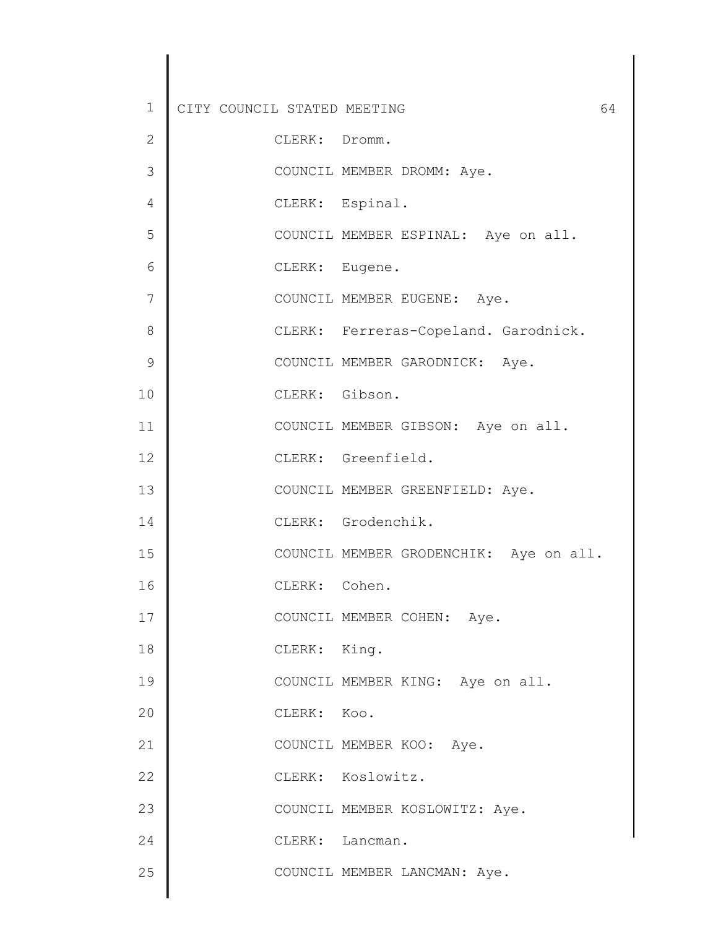| $\mathbf 1$   | CITY COUNCIL STATED MEETING<br>64      |
|---------------|----------------------------------------|
| $\mathbf{2}$  | CLERK: Dromm.                          |
| 3             | COUNCIL MEMBER DROMM: Aye.             |
| 4             | CLERK: Espinal.                        |
| 5             | COUNCIL MEMBER ESPINAL: Aye on all.    |
| 6             | CLERK: Eugene.                         |
| 7             | COUNCIL MEMBER EUGENE: Aye.            |
| 8             | CLERK: Ferreras-Copeland. Garodnick.   |
| $\mathcal{G}$ | COUNCIL MEMBER GARODNICK: Aye.         |
| 10            | CLERK: Gibson.                         |
| 11            | COUNCIL MEMBER GIBSON: Aye on all.     |
| 12            | CLERK: Greenfield.                     |
| 13            | COUNCIL MEMBER GREENFIELD: Aye.        |
| 14            | CLERK: Grodenchik.                     |
| 15            | COUNCIL MEMBER GRODENCHIK: Aye on all. |
| 16            | CLERK: Cohen.                          |
| 17            | COUNCIL MEMBER COHEN: Aye.             |
| 18            | CLERK: King.                           |
| 19            | COUNCIL MEMBER KING: Aye on all.       |
| 20            | CLERK: Koo.                            |
| 21            | COUNCIL MEMBER KOO: Aye.               |
| 22            | CLERK: Koslowitz.                      |
| 23            | COUNCIL MEMBER KOSLOWITZ: Aye.         |
| 24            | CLERK: Lancman.                        |
| 25            | COUNCIL MEMBER LANCMAN: Aye.           |
|               |                                        |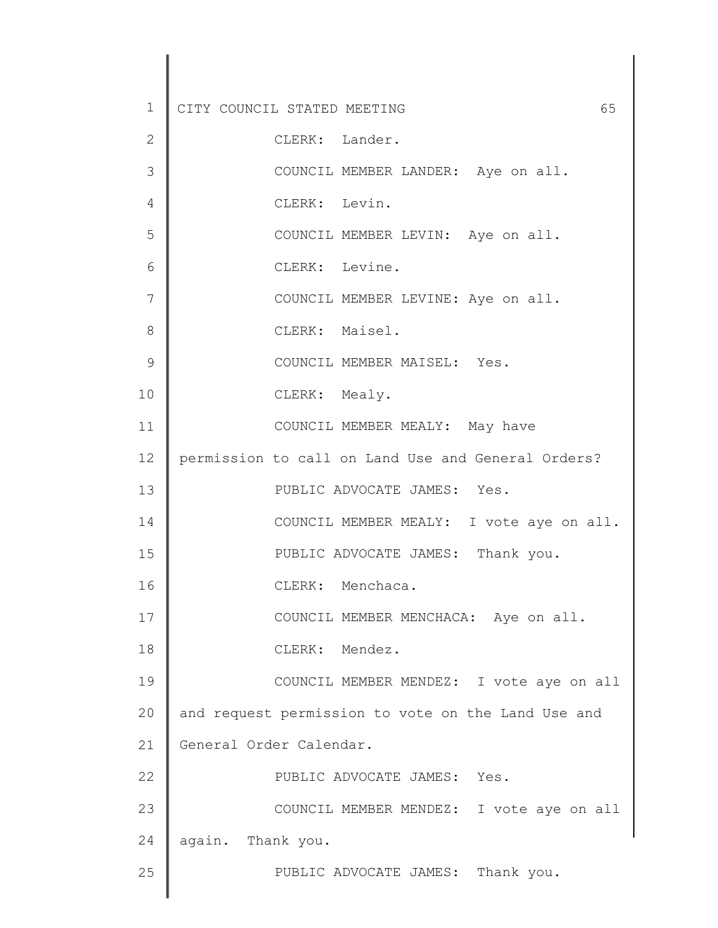| 1             | CITY COUNCIL STATED MEETING<br>65                  |
|---------------|----------------------------------------------------|
| $\mathbf{2}$  | CLERK: Lander.                                     |
| 3             | COUNCIL MEMBER LANDER: Aye on all.                 |
| 4             | CLERK: Levin.                                      |
| 5             | COUNCIL MEMBER LEVIN: Aye on all.                  |
| 6             | CLERK: Levine.                                     |
| 7             | COUNCIL MEMBER LEVINE: Aye on all.                 |
| 8             | CLERK: Maisel.                                     |
| $\mathcal{G}$ | COUNCIL MEMBER MAISEL: Yes.                        |
| 10            | CLERK: Mealy.                                      |
| 11            | COUNCIL MEMBER MEALY: May have                     |
| 12            | permission to call on Land Use and General Orders? |
| 13            | PUBLIC ADVOCATE JAMES: Yes.                        |
| 14            | COUNCIL MEMBER MEALY: I vote aye on all.           |
| 15            | PUBLIC ADVOCATE JAMES: Thank you.                  |
| 16            | CLERK: Menchaca.                                   |
| 17            | COUNCIL MEMBER MENCHACA: Aye on all.               |
| 18            | CLERK: Mendez.                                     |
| 19            | COUNCIL MEMBER MENDEZ: I vote aye on all           |
| 20            | and request permission to vote on the Land Use and |
| 21            | General Order Calendar.                            |
| 22            | PUBLIC ADVOCATE JAMES: Yes.                        |
| 23            | COUNCIL MEMBER MENDEZ: I vote aye on all           |
| 24            | again. Thank you.                                  |
| 25            | PUBLIC ADVOCATE JAMES: Thank you.                  |
|               |                                                    |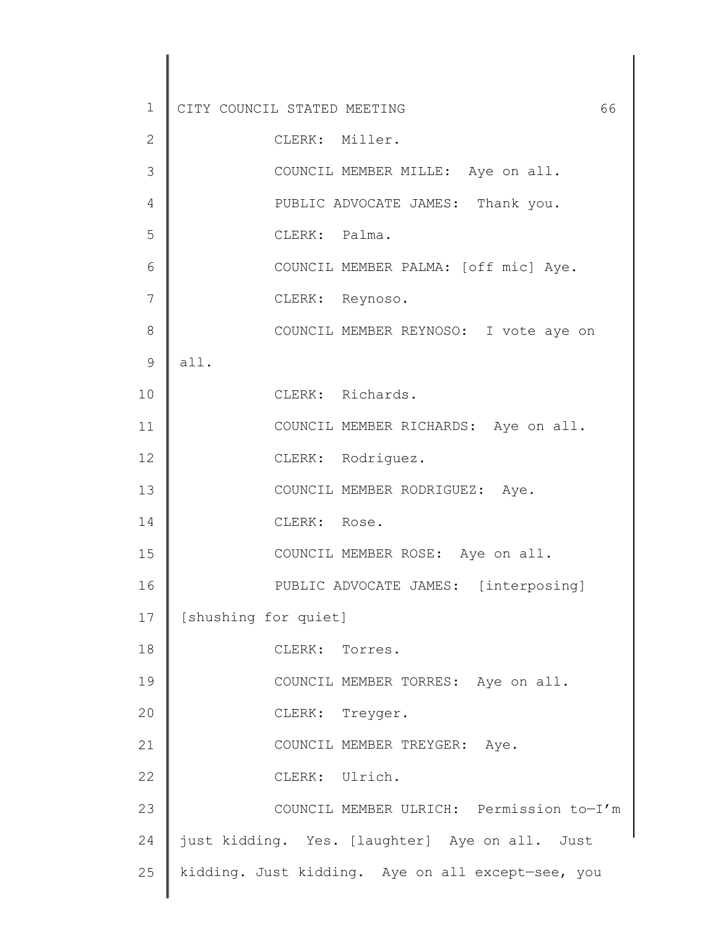1 2 3 4 5 6 7 8 9 10 11 12 13 14 15 16 17 18 19 20 21 22 23 24 25 CITY COUNCIL STATED MEETING 66 CLERK: Miller. COUNCIL MEMBER MILLE: Aye on all. PUBLIC ADVOCATE JAMES: Thank you. CLERK: Palma. COUNCIL MEMBER PALMA: [off mic] Aye. CLERK: Reynoso. COUNCIL MEMBER REYNOSO: I vote aye on all. CLERK: Richards. COUNCIL MEMBER RICHARDS: Aye on all. CLERK: Rodriguez. COUNCIL MEMBER RODRIGUEZ: Aye. CLERK: Rose. COUNCIL MEMBER ROSE: Aye on all. PUBLIC ADVOCATE JAMES: [interposing] [shushing for quiet] CLERK: Torres. COUNCIL MEMBER TORRES: Aye on all. CLERK: Treyger. COUNCIL MEMBER TREYGER: Aye. CLERK: Ulrich. COUNCIL MEMBER ULRICH: Permission to—I'm just kidding. Yes. [laughter] Aye on all. Just kidding. Just kidding. Aye on all except—see, you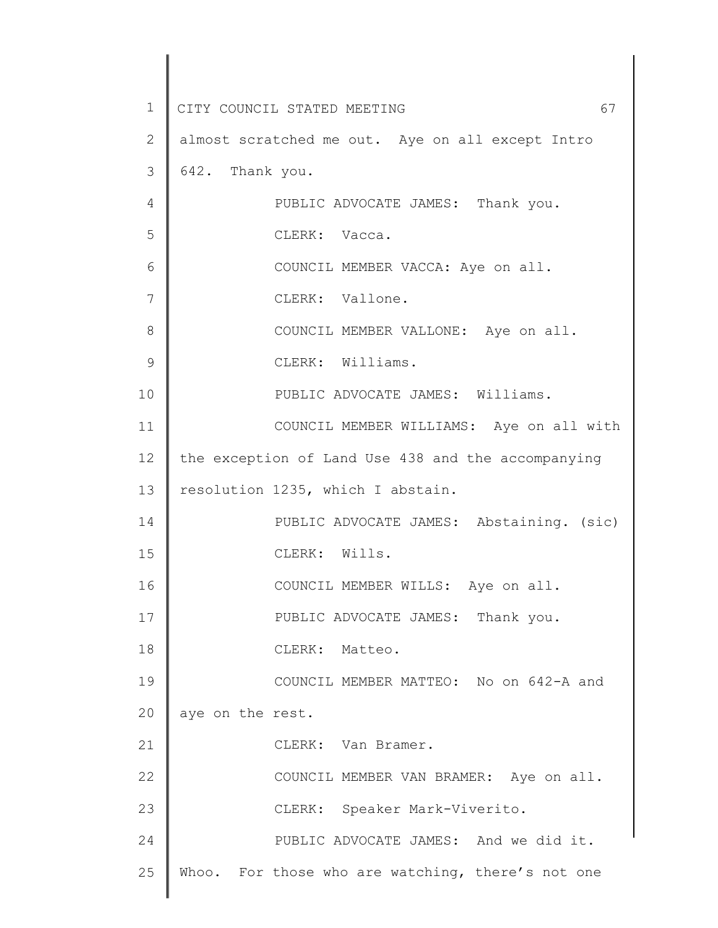1 2 3 4 5 6 7 8 9 10 11 12 13 14 15 16 17 18 19 20 21 22 23 24 25 CITY COUNCIL STATED MEETING 67 almost scratched me out. Aye on all except Intro 642. Thank you. PUBLIC ADVOCATE JAMES: Thank you. CLERK: Vacca. COUNCIL MEMBER VACCA: Aye on all. CLERK: Vallone. COUNCIL MEMBER VALLONE: Aye on all. CLERK: Williams. PUBLIC ADVOCATE JAMES: Williams. COUNCIL MEMBER WILLIAMS: Aye on all with the exception of Land Use 438 and the accompanying resolution 1235, which I abstain. PUBLIC ADVOCATE JAMES: Abstaining. (sic) CLERK: Wills. COUNCIL MEMBER WILLS: Aye on all. PUBLIC ADVOCATE JAMES: Thank you. CLERK: Matteo. COUNCIL MEMBER MATTEO: No on 642-A and aye on the rest. CLERK: Van Bramer. COUNCIL MEMBER VAN BRAMER: Aye on all. CLERK: Speaker Mark-Viverito. PUBLIC ADVOCATE JAMES: And we did it. Whoo. For those who are watching, there's not one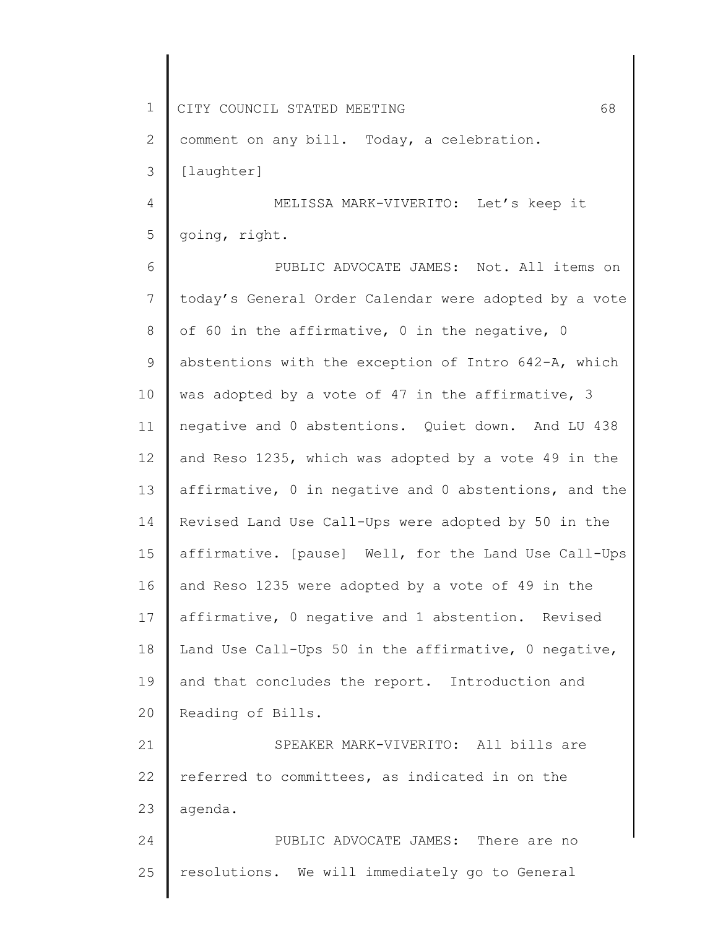1 2 3 4 5 6 7 8 9 10 11 12 13 14 15 16 17 18 19 20 21 22 23 24 25 CITY COUNCIL STATED MEETING 68 comment on any bill. Today, a celebration. [laughter] MELISSA MARK-VIVERITO: Let's keep it going, right. PUBLIC ADVOCATE JAMES: Not. All items on today's General Order Calendar were adopted by a vote of 60 in the affirmative, 0 in the negative, 0 abstentions with the exception of Intro 642-A, which was adopted by a vote of 47 in the affirmative, 3 negative and 0 abstentions. Quiet down. And LU 438 and Reso 1235, which was adopted by a vote 49 in the affirmative, 0 in negative and 0 abstentions, and the Revised Land Use Call-Ups were adopted by 50 in the affirmative. [pause] Well, for the Land Use Call-Ups and Reso 1235 were adopted by a vote of 49 in the affirmative, 0 negative and 1 abstention. Revised Land Use Call-Ups 50 in the affirmative, 0 negative, and that concludes the report. Introduction and Reading of Bills. SPEAKER MARK-VIVERITO: All bills are referred to committees, as indicated in on the agenda. PUBLIC ADVOCATE JAMES: There are no resolutions. We will immediately go to General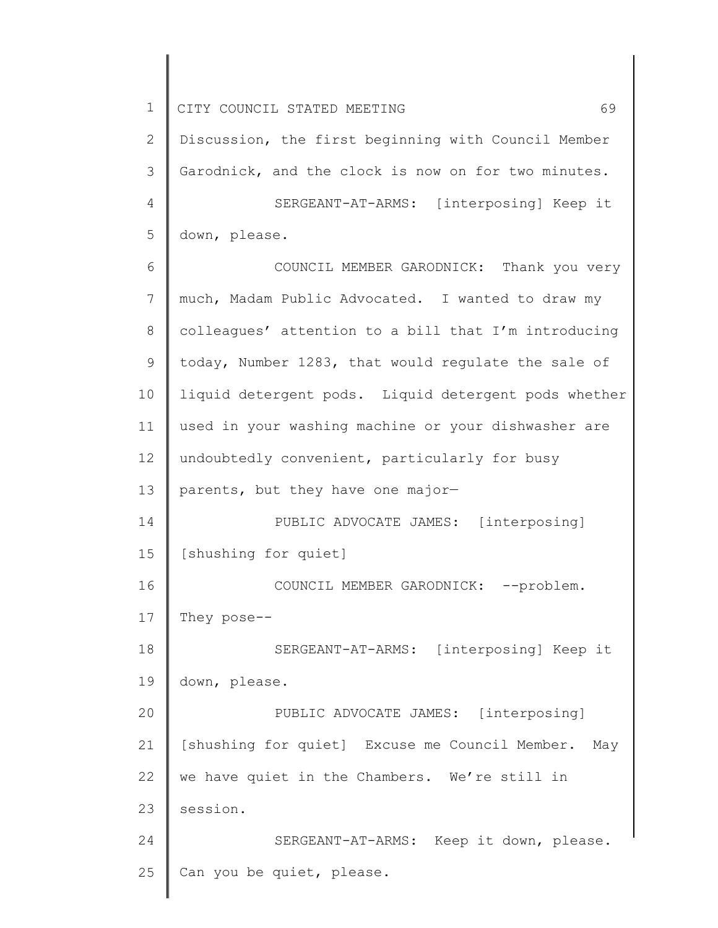1 2 3 4 5 6 7 8 9 10 11 12 13 14 15 16 17 18 19 20 21 22 23 24 25 CITY COUNCIL STATED MEETING 69 Discussion, the first beginning with Council Member Garodnick, and the clock is now on for two minutes. SERGEANT-AT-ARMS: [interposing] Keep it down, please. COUNCIL MEMBER GARODNICK: Thank you very much, Madam Public Advocated. I wanted to draw my colleagues' attention to a bill that I'm introducing today, Number 1283, that would regulate the sale of liquid detergent pods. Liquid detergent pods whether used in your washing machine or your dishwasher are undoubtedly convenient, particularly for busy parents, but they have one major— PUBLIC ADVOCATE JAMES: [interposing] [shushing for quiet] COUNCIL MEMBER GARODNICK: -- problem. They pose-- SERGEANT-AT-ARMS: [interposing] Keep it down, please. PUBLIC ADVOCATE JAMES: [interposing] [shushing for quiet] Excuse me Council Member. May we have quiet in the Chambers. We're still in session. SERGEANT-AT-ARMS: Keep it down, please. Can you be quiet, please.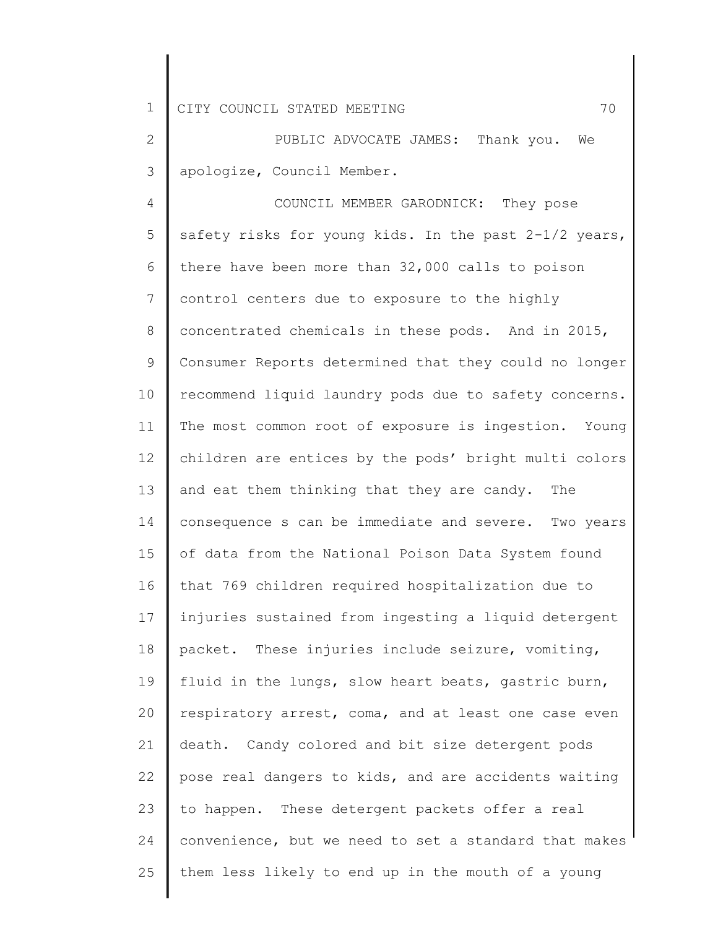2 3 PUBLIC ADVOCATE JAMES: Thank you. We apologize, Council Member.

4 5 6 7 8 9 10 11 12 13 14 15 16 17 18 19 20 21 22 23 24 25 COUNCIL MEMBER GARODNICK: They pose safety risks for young kids. In the past  $2-1/2$  years, there have been more than 32,000 calls to poison control centers due to exposure to the highly concentrated chemicals in these pods. And in 2015, Consumer Reports determined that they could no longer recommend liquid laundry pods due to safety concerns. The most common root of exposure is ingestion. Young children are entices by the pods' bright multi colors and eat them thinking that they are candy. The consequence s can be immediate and severe. Two years of data from the National Poison Data System found that 769 children required hospitalization due to injuries sustained from ingesting a liquid detergent packet. These injuries include seizure, vomiting, fluid in the lungs, slow heart beats, gastric burn, respiratory arrest, coma, and at least one case even death. Candy colored and bit size detergent pods pose real dangers to kids, and are accidents waiting to happen. These detergent packets offer a real convenience, but we need to set a standard that makes them less likely to end up in the mouth of a young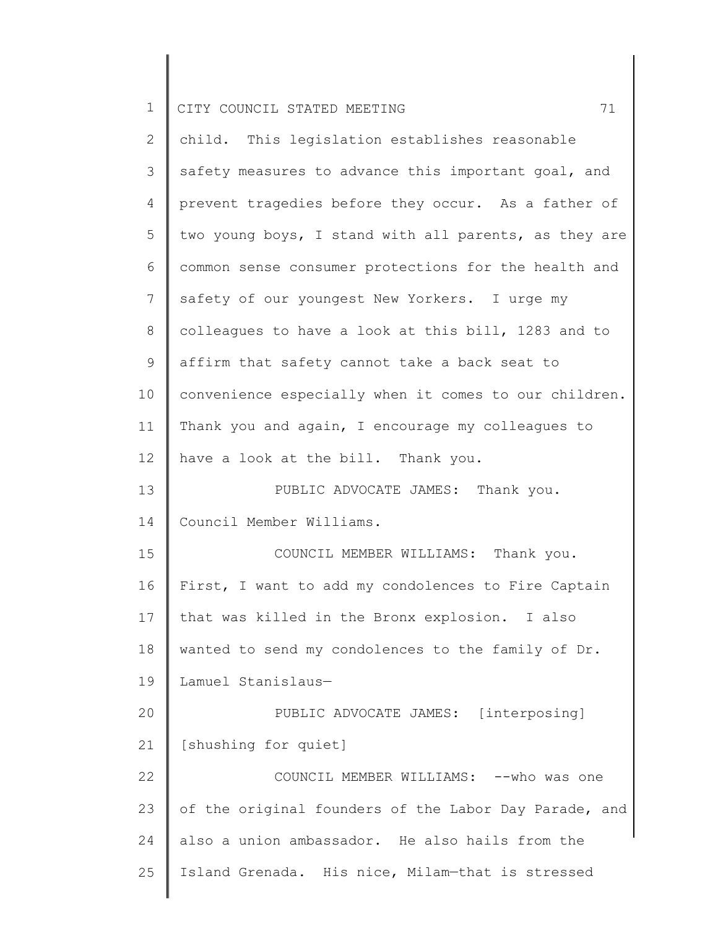| $\mathbf 1$    | 71<br>CITY COUNCIL STATED MEETING                     |
|----------------|-------------------------------------------------------|
| $\overline{2}$ | child. This legislation establishes reasonable        |
| 3              | safety measures to advance this important goal, and   |
| 4              | prevent tragedies before they occur. As a father of   |
| 5              | two young boys, I stand with all parents, as they are |
| 6              | common sense consumer protections for the health and  |
| 7              | safety of our youngest New Yorkers. I urge my         |
| 8              | colleagues to have a look at this bill, 1283 and to   |
| 9              | affirm that safety cannot take a back seat to         |
| 10             | convenience especially when it comes to our children. |
| 11             | Thank you and again, I encourage my colleagues to     |
| 12             | have a look at the bill. Thank you.                   |
| 13             | PUBLIC ADVOCATE JAMES: Thank you.                     |
| 14             | Council Member Williams.                              |
| 15             | COUNCIL MEMBER WILLIAMS: Thank you.                   |
| 16             | First, I want to add my condolences to Fire Captain   |
| 17             | that was killed in the Bronx explosion. I also        |
| 18             | wanted to send my condolences to the family of Dr.    |
| 19             | Lamuel Stanislaus-                                    |
| 20             | PUBLIC ADVOCATE JAMES: [interposing]                  |
| 21             | [shushing for quiet]                                  |
| 22             | COUNCIL MEMBER WILLIAMS: -- who was one               |
| 23             | of the original founders of the Labor Day Parade, and |
| 24             | also a union ambassador. He also hails from the       |
| 25             | Island Grenada. His nice, Milam-that is stressed      |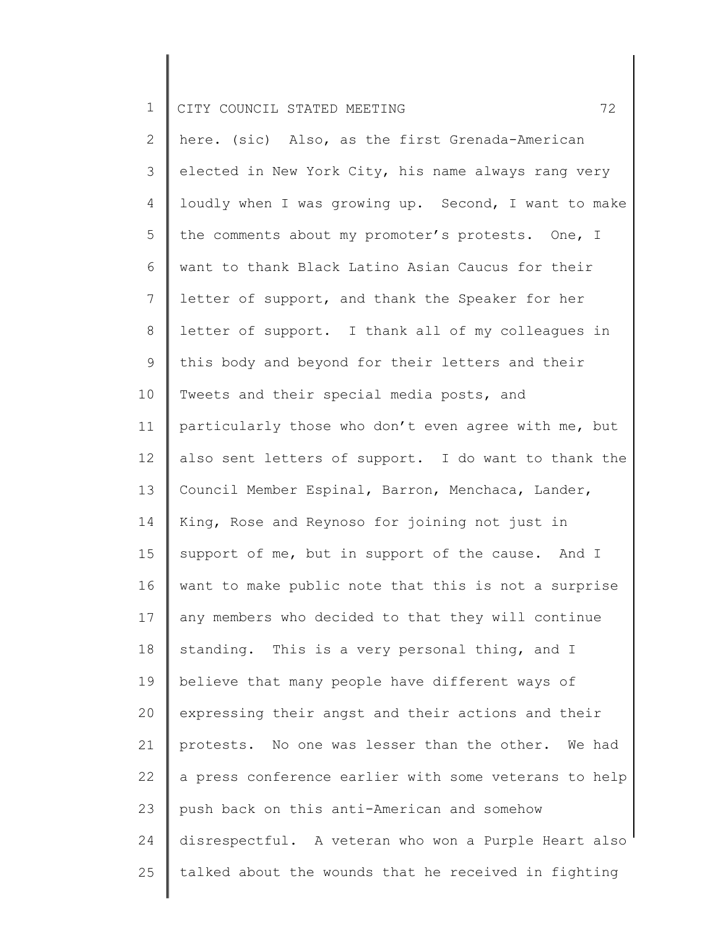2 3 4 5 6 7 8 9 10 11 12 13 14 15 16 17 18 19 20 21 22 23 24 25 here. (sic) Also, as the first Grenada-American elected in New York City, his name always rang very loudly when I was growing up. Second, I want to make the comments about my promoter's protests. One, I want to thank Black Latino Asian Caucus for their letter of support, and thank the Speaker for her letter of support. I thank all of my colleagues in this body and beyond for their letters and their Tweets and their special media posts, and particularly those who don't even agree with me, but also sent letters of support. I do want to thank the Council Member Espinal, Barron, Menchaca, Lander, King, Rose and Reynoso for joining not just in support of me, but in support of the cause. And I want to make public note that this is not a surprise any members who decided to that they will continue standing. This is a very personal thing, and I believe that many people have different ways of expressing their angst and their actions and their protests. No one was lesser than the other. We had a press conference earlier with some veterans to help push back on this anti-American and somehow disrespectful. A veteran who won a Purple Heart also talked about the wounds that he received in fighting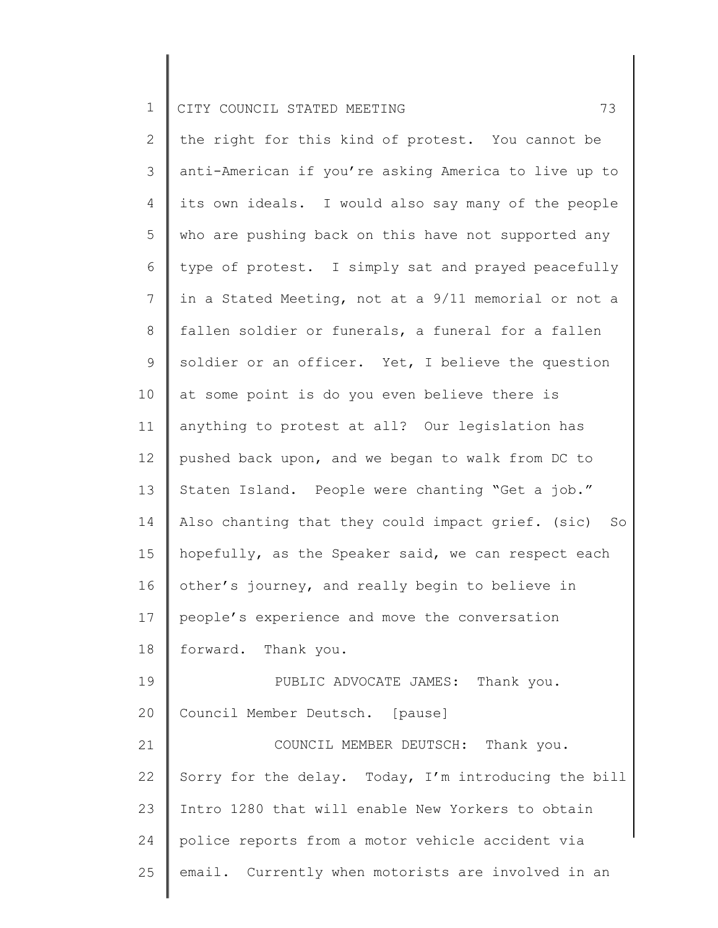2 3 4 5 6 7 8 9 10 11 12 13 14 15 16 17 18 19 20 21 22 23 24 25 the right for this kind of protest. You cannot be anti-American if you're asking America to live up to its own ideals. I would also say many of the people who are pushing back on this have not supported any type of protest. I simply sat and prayed peacefully in a Stated Meeting, not at a 9/11 memorial or not a fallen soldier or funerals, a funeral for a fallen soldier or an officer. Yet, I believe the question at some point is do you even believe there is anything to protest at all? Our legislation has pushed back upon, and we began to walk from DC to Staten Island. People were chanting "Get a job." Also chanting that they could impact grief. (sic) So hopefully, as the Speaker said, we can respect each other's journey, and really begin to believe in people's experience and move the conversation forward. Thank you. PUBLIC ADVOCATE JAMES: Thank you. Council Member Deutsch. [pause] COUNCIL MEMBER DEUTSCH: Thank you. Sorry for the delay. Today, I'm introducing the bill Intro 1280 that will enable New Yorkers to obtain police reports from a motor vehicle accident via email. Currently when motorists are involved in an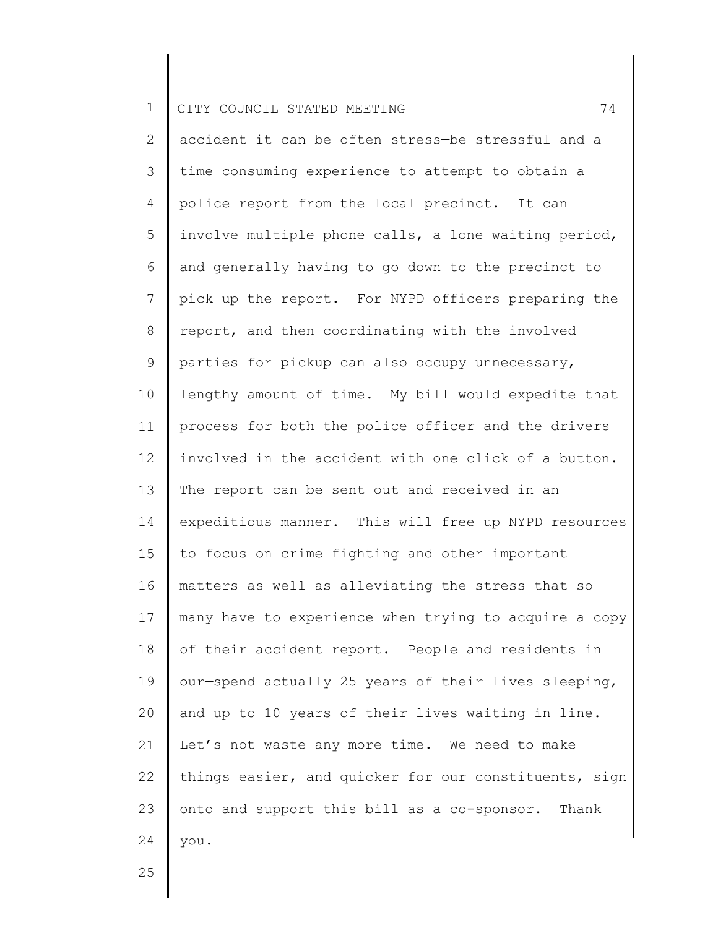2 3 4 5 6 7 8 9 10 11 12 13 14 15 16 17 18 19 20 21 22 23 24 accident it can be often stress—be stressful and a time consuming experience to attempt to obtain a police report from the local precinct. It can involve multiple phone calls, a lone waiting period, and generally having to go down to the precinct to pick up the report. For NYPD officers preparing the report, and then coordinating with the involved parties for pickup can also occupy unnecessary, lengthy amount of time. My bill would expedite that process for both the police officer and the drivers involved in the accident with one click of a button. The report can be sent out and received in an expeditious manner. This will free up NYPD resources to focus on crime fighting and other important matters as well as alleviating the stress that so many have to experience when trying to acquire a copy of their accident report. People and residents in our—spend actually 25 years of their lives sleeping, and up to 10 years of their lives waiting in line. Let's not waste any more time. We need to make things easier, and quicker for our constituents, sign onto—and support this bill as a co-sponsor. Thank you.

25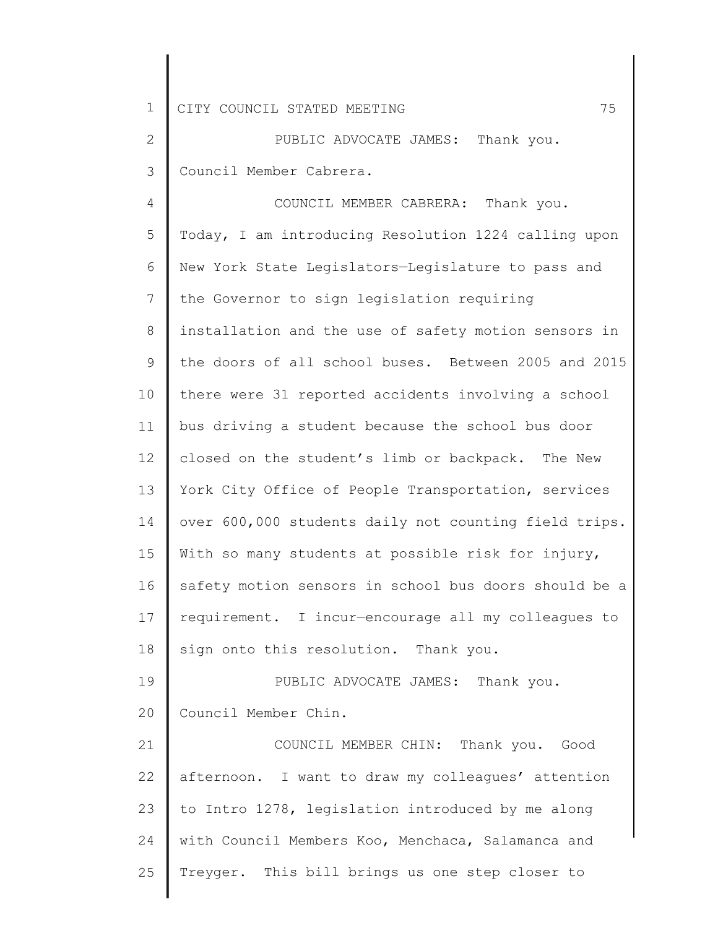2 3 PUBLIC ADVOCATE JAMES: Thank you. Council Member Cabrera.

4 5 6 7 8 9 10 11 12 13 14 15 16 17 18 19 20 21 COUNCIL MEMBER CABRERA: Thank you. Today, I am introducing Resolution 1224 calling upon New York State Legislators—Legislature to pass and the Governor to sign legislation requiring installation and the use of safety motion sensors in the doors of all school buses. Between 2005 and 2015 there were 31 reported accidents involving a school bus driving a student because the school bus door closed on the student's limb or backpack. The New York City Office of People Transportation, services over 600,000 students daily not counting field trips. With so many students at possible risk for injury, safety motion sensors in school bus doors should be a requirement. I incur—encourage all my colleagues to sign onto this resolution. Thank you. PUBLIC ADVOCATE JAMES: Thank you. Council Member Chin. COUNCIL MEMBER CHIN: Thank you. Good

22 23 24 25 afternoon. I want to draw my colleagues' attention to Intro 1278, legislation introduced by me along with Council Members Koo, Menchaca, Salamanca and Treyger. This bill brings us one step closer to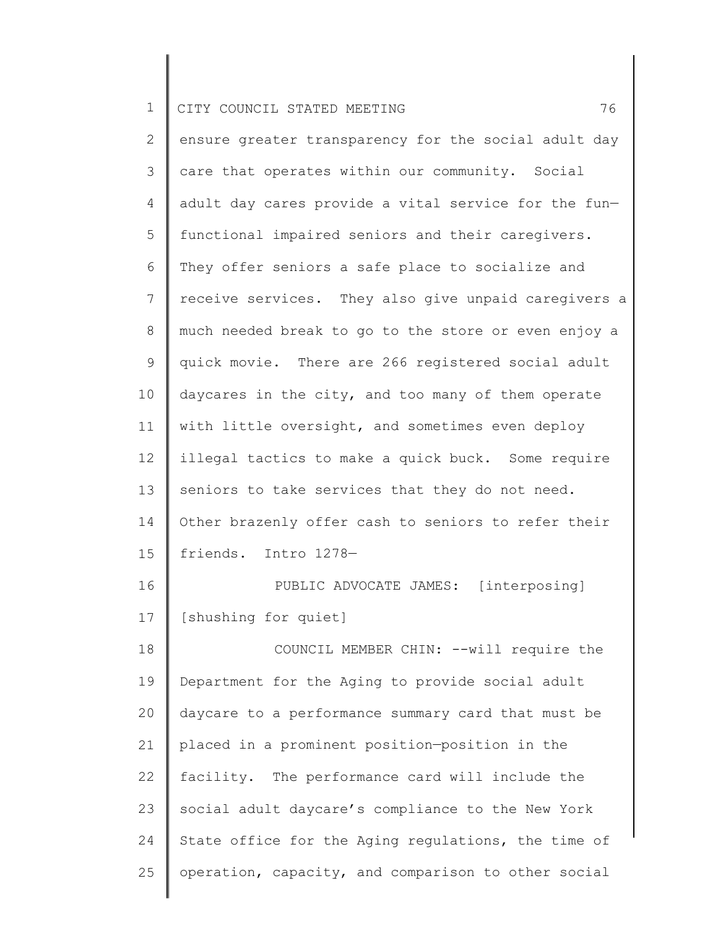|  | 1   CITY COUNCIL STATED MEETING |  |  |  |  |  |
|--|---------------------------------|--|--|--|--|--|
|--|---------------------------------|--|--|--|--|--|

2 3 4 5 6 7 8 9 10 11 12 13 14 15 16 17 18 19 20 21 ensure greater transparency for the social adult day care that operates within our community. Social adult day cares provide a vital service for the fun functional impaired seniors and their caregivers. They offer seniors a safe place to socialize and receive services. They also give unpaid caregivers a much needed break to go to the store or even enjoy a quick movie. There are 266 registered social adult daycares in the city, and too many of them operate with little oversight, and sometimes even deploy illegal tactics to make a quick buck. Some require seniors to take services that they do not need. Other brazenly offer cash to seniors to refer their friends. Intro 1278— PUBLIC ADVOCATE JAMES: [interposing] [shushing for quiet] COUNCIL MEMBER CHIN: --will require the Department for the Aging to provide social adult daycare to a performance summary card that must be placed in a prominent position—position in the

22 23 24 25 facility. The performance card will include the social adult daycare's compliance to the New York State office for the Aging regulations, the time of operation, capacity, and comparison to other social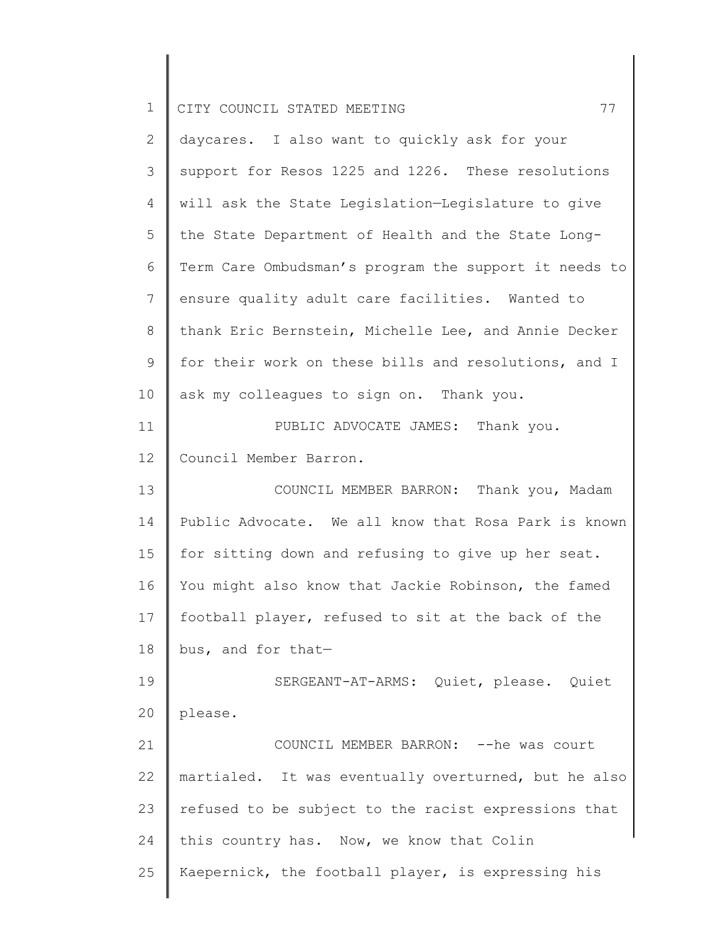| $\mathbf 1$  | 77<br>CITY COUNCIL STATED MEETING                     |
|--------------|-------------------------------------------------------|
| $\mathbf{2}$ | daycares. I also want to quickly ask for your         |
| 3            | support for Resos 1225 and 1226. These resolutions    |
| 4            | will ask the State Legislation-Legislature to give    |
| 5            | the State Department of Health and the State Long-    |
| 6            | Term Care Ombudsman's program the support it needs to |
| 7            | ensure quality adult care facilities. Wanted to       |
| $8\,$        | thank Eric Bernstein, Michelle Lee, and Annie Decker  |
| 9            | for their work on these bills and resolutions, and I  |
| 10           | ask my colleagues to sign on. Thank you.              |
| 11           | PUBLIC ADVOCATE JAMES: Thank you.                     |
| 12           | Council Member Barron.                                |
| 13           | COUNCIL MEMBER BARRON: Thank you, Madam               |
| 14           | Public Advocate. We all know that Rosa Park is known  |
| 15           | for sitting down and refusing to give up her seat.    |
| 16           | You might also know that Jackie Robinson, the famed   |
| 17           | football player, refused to sit at the back of the    |
| 18           | bus, and for that-                                    |
| 19           | SERGEANT-AT-ARMS: Quiet, please. Quiet                |
| 20           | please.                                               |
| 21           | COUNCIL MEMBER BARRON: -- he was court                |
| 22           | martialed. It was eventually overturned, but he also  |
| 23           | refused to be subject to the racist expressions that  |
| 24           | this country has. Now, we know that Colin             |
| 25           | Kaepernick, the football player, is expressing his    |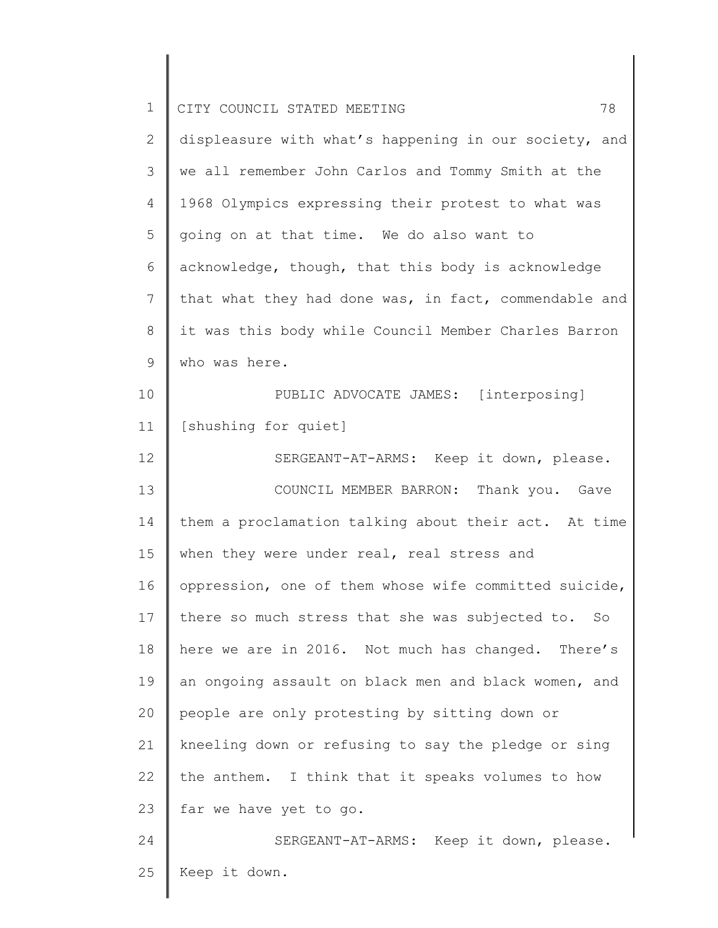| 78<br>CITY COUNCIL STATED MEETING                     |
|-------------------------------------------------------|
| displeasure with what's happening in our society, and |
| we all remember John Carlos and Tommy Smith at the    |
| 1968 Olympics expressing their protest to what was    |
| going on at that time. We do also want to             |
| acknowledge, though, that this body is acknowledge    |
| that what they had done was, in fact, commendable and |
| it was this body while Council Member Charles Barron  |
| who was here.                                         |
| PUBLIC ADVOCATE JAMES: [interposing]                  |
| [shushing for quiet]                                  |
| SERGEANT-AT-ARMS: Keep it down, please.               |
| COUNCIL MEMBER BARRON: Thank you. Gave                |
| them a proclamation talking about their act. At time  |
| when they were under real, real stress and            |
| oppression, one of them whose wife committed suicide, |
| there so much stress that she was subjected to. So    |
| here we are in 2016. Not much has changed. There's    |
| an ongoing assault on black men and black women, and  |
| people are only protesting by sitting down or         |
| kneeling down or refusing to say the pledge or sing   |
| the anthem. I think that it speaks volumes to how     |
| far we have yet to go.                                |
| SERGEANT-AT-ARMS: Keep it down, please.               |
| Keep it down.                                         |
|                                                       |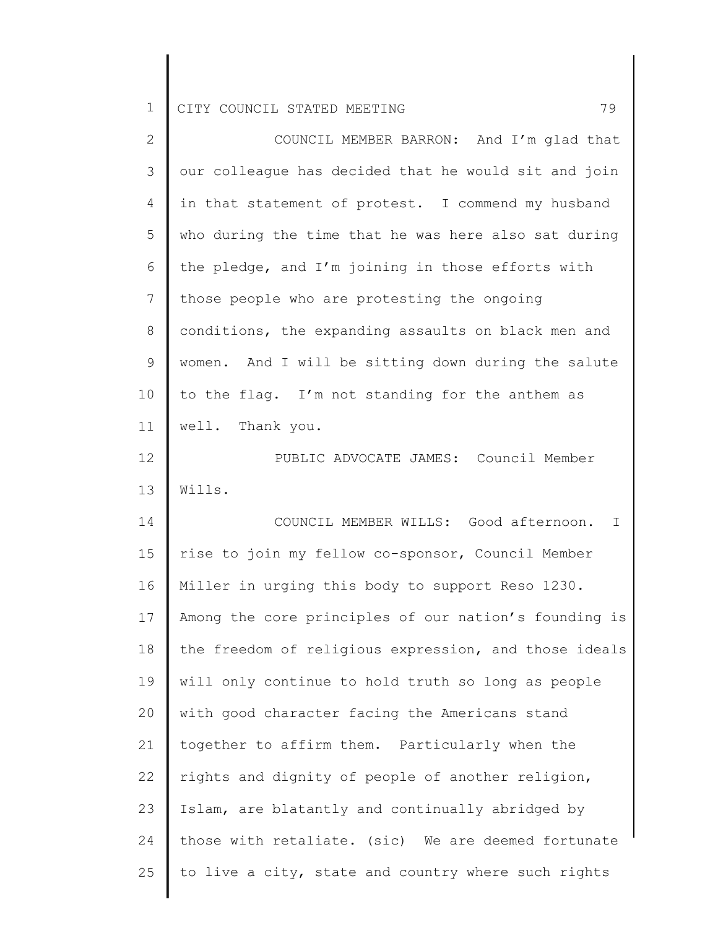| $\overline{2}$ | COUNCIL MEMBER BARRON: And I'm glad that              |
|----------------|-------------------------------------------------------|
| 3              | our colleague has decided that he would sit and join  |
| 4              | in that statement of protest. I commend my husband    |
| 5              | who during the time that he was here also sat during  |
| 6              | the pledge, and I'm joining in those efforts with     |
| 7              | those people who are protesting the ongoing           |
| 8              | conditions, the expanding assaults on black men and   |
| $\mathsf 9$    | women. And I will be sitting down during the salute   |
| 10             | to the flag. I'm not standing for the anthem as       |
| 11             | well. Thank you.                                      |
| 12             | PUBLIC ADVOCATE JAMES: Council Member                 |
| 13             | Wills.                                                |
| 14             | COUNCIL MEMBER WILLS: Good afternoon.<br>I            |
| 15             | rise to join my fellow co-sponsor, Council Member     |
| 16             | Miller in urging this body to support Reso 1230.      |
| 17             | Among the core principles of our nation's founding is |
| 18             | the freedom of religious expression, and those ideals |
| 19             | will only continue to hold truth so long as people    |
| 20             | with good character facing the Americans stand        |
| 21             | together to affirm them. Particularly when the        |
| 22             | rights and dignity of people of another religion,     |
| 23             | Islam, are blatantly and continually abridged by      |
| 24             | those with retaliate. (sic) We are deemed fortunate   |
| 25             | to live a city, state and country where such rights   |
|                |                                                       |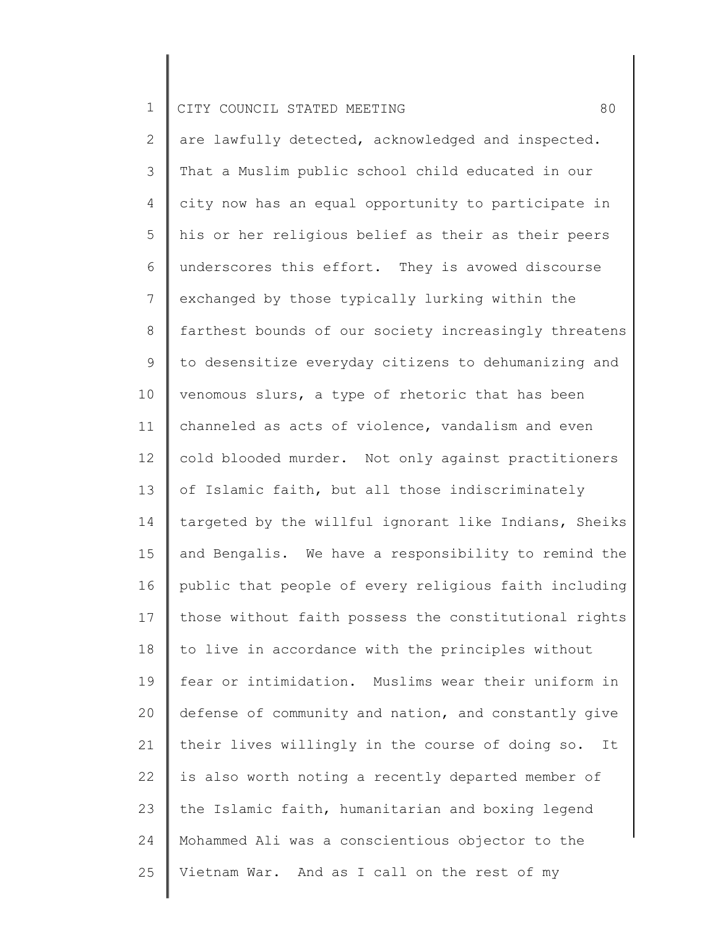2 3 4 5 6 7 8 9 10 11 12 13 14 15 16 17 18 19 20 21 22 23 24 25 are lawfully detected, acknowledged and inspected. That a Muslim public school child educated in our city now has an equal opportunity to participate in his or her religious belief as their as their peers underscores this effort. They is avowed discourse exchanged by those typically lurking within the farthest bounds of our society increasingly threatens to desensitize everyday citizens to dehumanizing and venomous slurs, a type of rhetoric that has been channeled as acts of violence, vandalism and even cold blooded murder. Not only against practitioners of Islamic faith, but all those indiscriminately targeted by the willful ignorant like Indians, Sheiks and Bengalis. We have a responsibility to remind the public that people of every religious faith including those without faith possess the constitutional rights to live in accordance with the principles without fear or intimidation. Muslims wear their uniform in defense of community and nation, and constantly give their lives willingly in the course of doing so. It is also worth noting a recently departed member of the Islamic faith, humanitarian and boxing legend Mohammed Ali was a conscientious objector to the Vietnam War. And as I call on the rest of my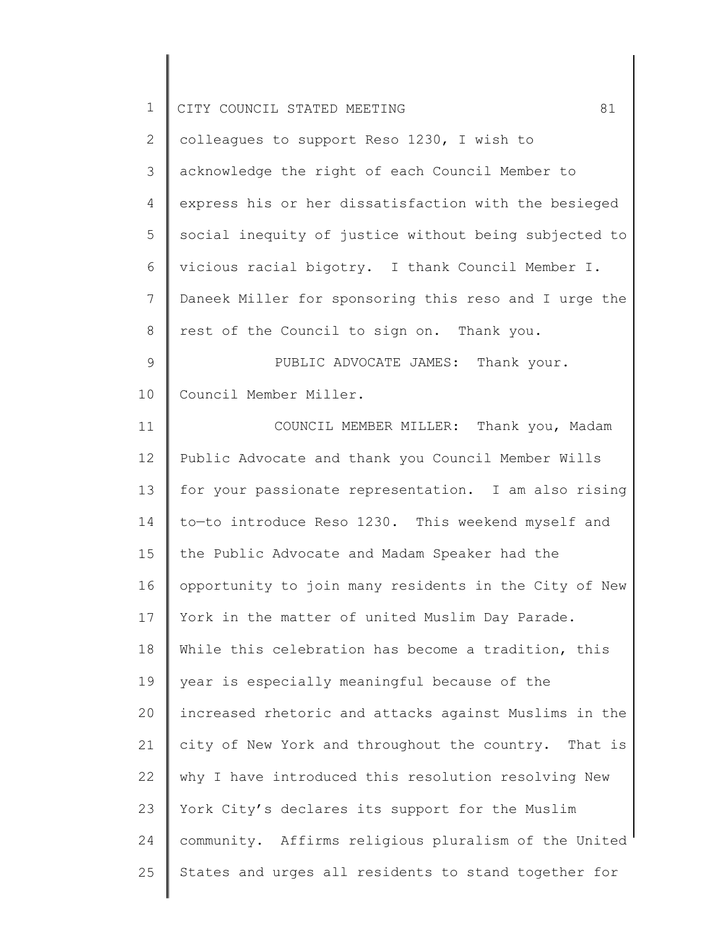| $\mathbf 1$  | 81<br>CITY COUNCIL STATED MEETING                     |
|--------------|-------------------------------------------------------|
| $\mathbf{2}$ | colleagues to support Reso 1230, I wish to            |
| 3            | acknowledge the right of each Council Member to       |
| 4            | express his or her dissatisfaction with the besieged  |
| 5            | social inequity of justice without being subjected to |
| 6            | vicious racial bigotry. I thank Council Member I.     |
| 7            | Daneek Miller for sponsoring this reso and I urge the |
| 8            | rest of the Council to sign on. Thank you.            |
| 9            | PUBLIC ADVOCATE JAMES: Thank your.                    |
| 10           | Council Member Miller.                                |
| 11           | COUNCIL MEMBER MILLER: Thank you, Madam               |
| 12           | Public Advocate and thank you Council Member Wills    |
| 13           | for your passionate representation. I am also rising  |
| 14           | to-to introduce Reso 1230. This weekend myself and    |
| 15           | the Public Advocate and Madam Speaker had the         |
| 16           | opportunity to join many residents in the City of New |
| 17           | York in the matter of united Muslim Day Parade.       |
| 18           | While this celebration has become a tradition, this   |
| 19           | year is especially meaningful because of the          |
| 20           | increased rhetoric and attacks against Muslims in the |
| 21           | city of New York and throughout the country. That is  |
| 22           | why I have introduced this resolution resolving New   |
| 23           | York City's declares its support for the Muslim       |
| 24           | community. Affirms religious pluralism of the United  |
| 25           | States and urges all residents to stand together for  |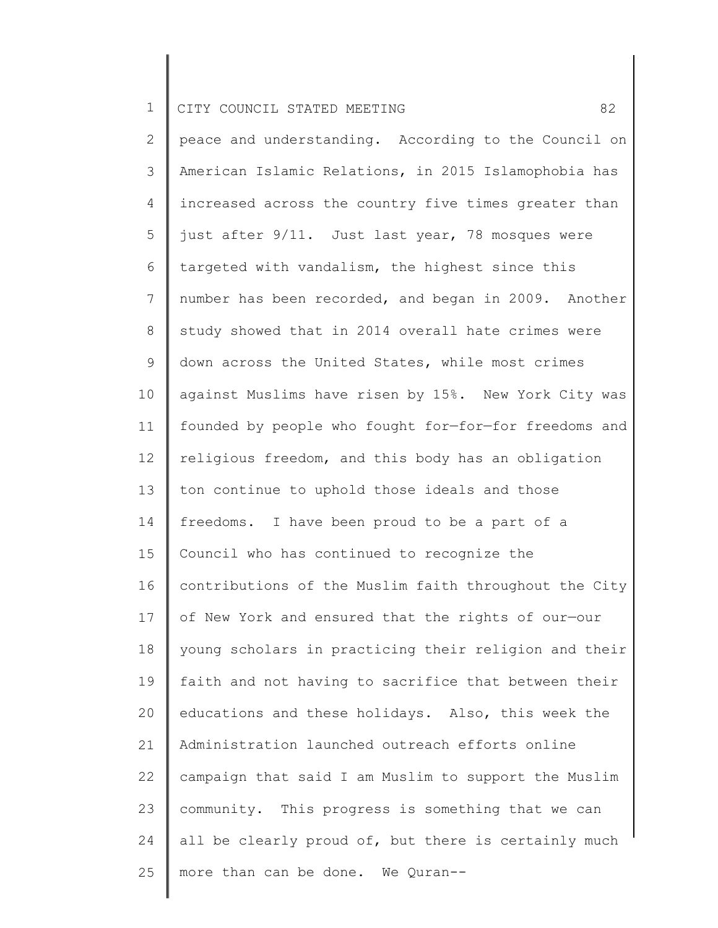2 3 4 5 6 7 8 9 10 11 12 13 14 15 16 17 18 19 20 21 22 23 24 25 peace and understanding. According to the Council on American Islamic Relations, in 2015 Islamophobia has increased across the country five times greater than just after 9/11. Just last year, 78 mosques were targeted with vandalism, the highest since this number has been recorded, and began in 2009. Another study showed that in 2014 overall hate crimes were down across the United States, while most crimes against Muslims have risen by 15%. New York City was founded by people who fought for—for—for freedoms and religious freedom, and this body has an obligation ton continue to uphold those ideals and those freedoms. I have been proud to be a part of a Council who has continued to recognize the contributions of the Muslim faith throughout the City of New York and ensured that the rights of our—our young scholars in practicing their religion and their faith and not having to sacrifice that between their educations and these holidays. Also, this week the Administration launched outreach efforts online campaign that said I am Muslim to support the Muslim community. This progress is something that we can all be clearly proud of, but there is certainly much more than can be done. We Quran--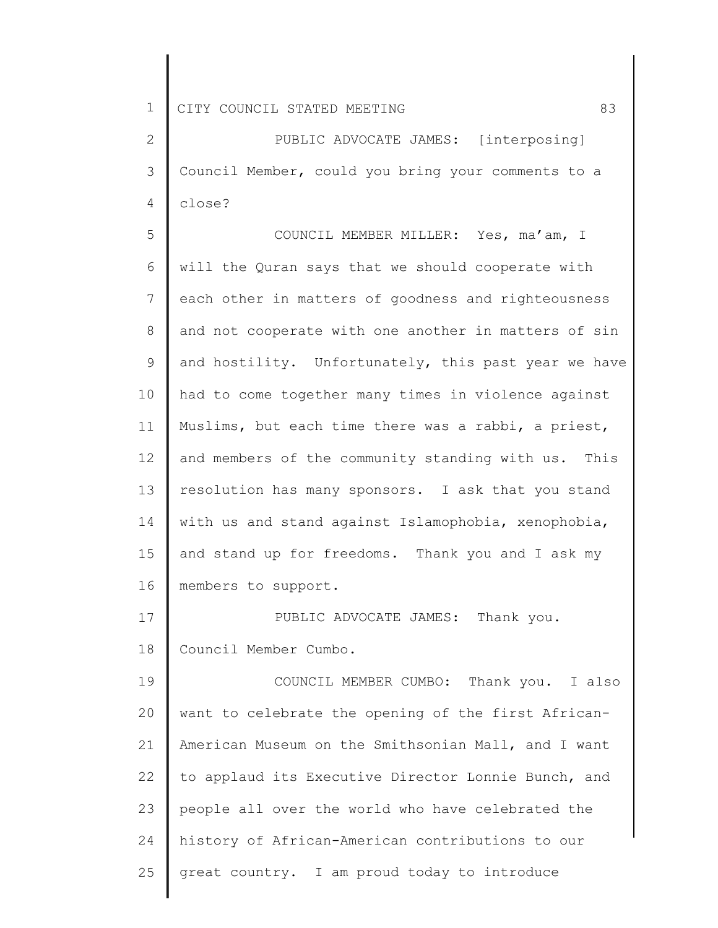2 3 4 PUBLIC ADVOCATE JAMES: [interposing] Council Member, could you bring your comments to a close?

5 6 7 8 9 10 11 12 13 14 15 16 COUNCIL MEMBER MILLER: Yes, ma'am, I will the Quran says that we should cooperate with each other in matters of goodness and righteousness and not cooperate with one another in matters of sin and hostility. Unfortunately, this past year we have had to come together many times in violence against Muslims, but each time there was a rabbi, a priest, and members of the community standing with us. This resolution has many sponsors. I ask that you stand with us and stand against Islamophobia, xenophobia, and stand up for freedoms. Thank you and I ask my members to support.

17 18 PUBLIC ADVOCATE JAMES: Thank you. Council Member Cumbo.

19 20 21 22 23 24 25 COUNCIL MEMBER CUMBO: Thank you. I also want to celebrate the opening of the first African-American Museum on the Smithsonian Mall, and I want to applaud its Executive Director Lonnie Bunch, and people all over the world who have celebrated the history of African-American contributions to our great country. I am proud today to introduce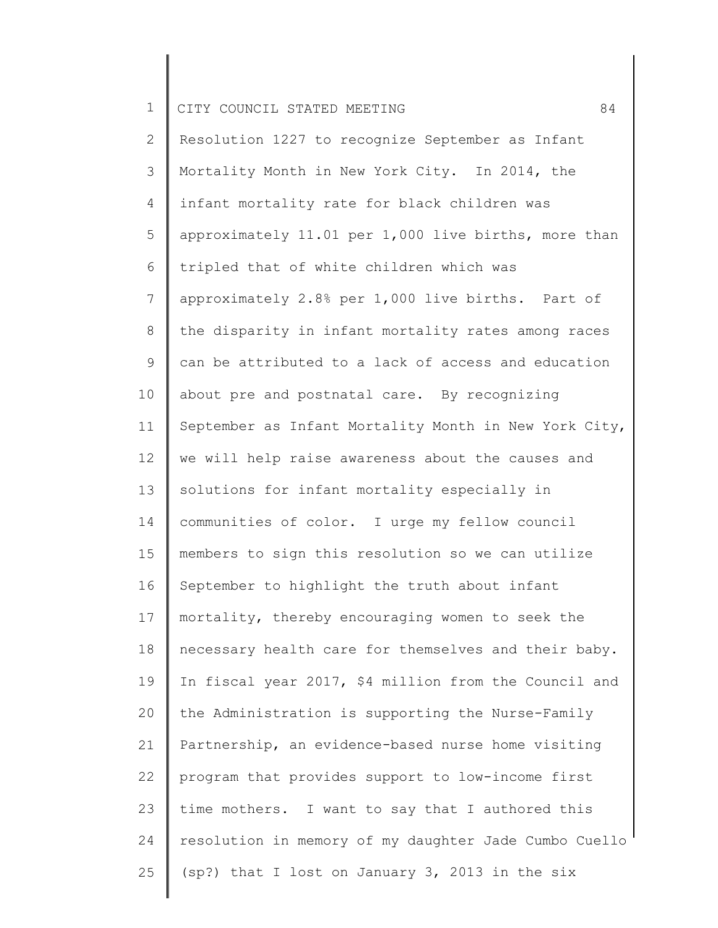| $\mathbf 1$     | 84<br>CITY COUNCIL STATED MEETING                     |
|-----------------|-------------------------------------------------------|
| $\mathbf{2}$    | Resolution 1227 to recognize September as Infant      |
| 3               | Mortality Month in New York City. In 2014, the        |
| 4               | infant mortality rate for black children was          |
| 5               | approximately 11.01 per 1,000 live births, more than  |
| 6               | tripled that of white children which was              |
| $7\phantom{.0}$ | approximately 2.8% per 1,000 live births. Part of     |
| $8\,$           | the disparity in infant mortality rates among races   |
| 9               | can be attributed to a lack of access and education   |
| 10              | about pre and postnatal care. By recognizing          |
| 11              | September as Infant Mortality Month in New York City, |
| 12              | we will help raise awareness about the causes and     |
| 13              | solutions for infant mortality especially in          |
| 14              | communities of color. I urge my fellow council        |
| 15              | members to sign this resolution so we can utilize     |
| 16              | September to highlight the truth about infant         |
| 17              | mortality, thereby encouraging women to seek the      |
| 18              | necessary health care for themselves and their baby.  |
| 19              | In fiscal year 2017, \$4 million from the Council and |
| 20              | the Administration is supporting the Nurse-Family     |
| 21              | Partnership, an evidence-based nurse home visiting    |
| 22              | program that provides support to low-income first     |
| 23              | time mothers. I want to say that I authored this      |
| 24              | resolution in memory of my daughter Jade Cumbo Cuello |
| 25              | (sp?) that I lost on January 3, 2013 in the six       |
|                 |                                                       |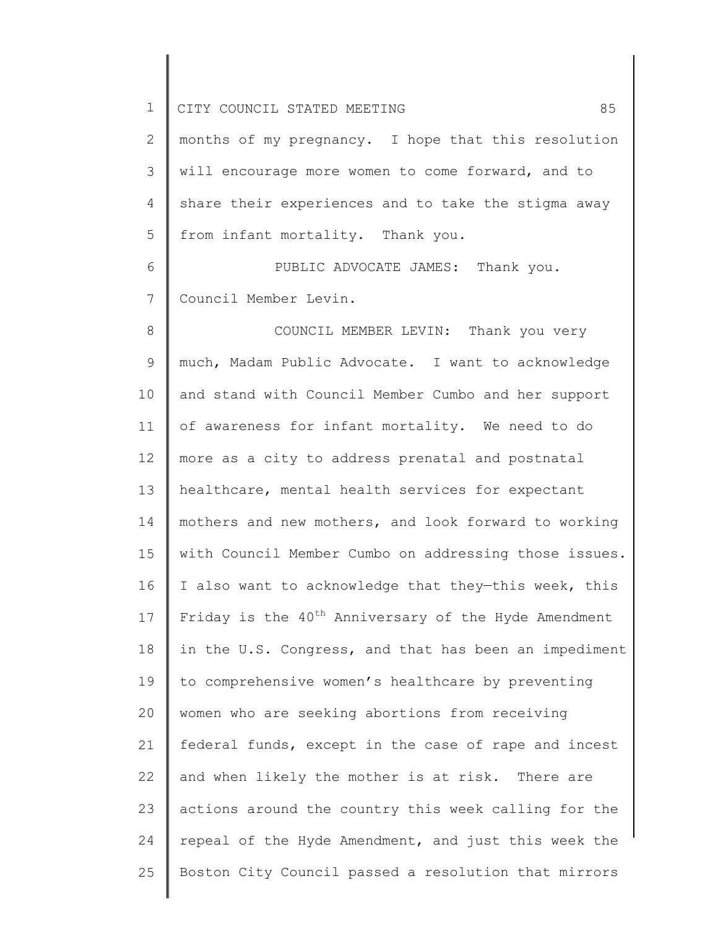| $\mathbf 1$    | 85<br>CITY COUNCIL STATED MEETING                                |
|----------------|------------------------------------------------------------------|
| $\mathbf{2}$   | months of my pregnancy. I hope that this resolution              |
| 3              | will encourage more women to come forward, and to                |
| $\overline{4}$ | share their experiences and to take the stigma away              |
| 5              | from infant mortality. Thank you.                                |
| 6              | PUBLIC ADVOCATE JAMES: Thank you.                                |
| $\overline{7}$ | Council Member Levin.                                            |
| 8              | COUNCIL MEMBER LEVIN: Thank you very                             |
| $\mathsf 9$    | much, Madam Public Advocate. I want to acknowledge               |
| 10             | and stand with Council Member Cumbo and her support              |
| 11             | of awareness for infant mortality. We need to do                 |
| 12             | more as a city to address prenatal and postnatal                 |
| 13             | healthcare, mental health services for expectant                 |
| 14             | mothers and new mothers, and look forward to working             |
| 15             | with Council Member Cumbo on addressing those issues.            |
| 16             | I also want to acknowledge that they-this week, this             |
| 17             | Friday is the 40 <sup>th</sup> Anniversary of the Hyde Amendment |
| 18             | in the U.S. Congress, and that has been an impediment            |
| 19             | to comprehensive women's healthcare by preventing                |
| 20             | women who are seeking abortions from receiving                   |
| 21             | federal funds, except in the case of rape and incest             |
| 22             | and when likely the mother is at risk. There are                 |
| 23             | actions around the country this week calling for the             |
| 24             | repeal of the Hyde Amendment, and just this week the             |
| 25             | Boston City Council passed a resolution that mirrors             |
|                |                                                                  |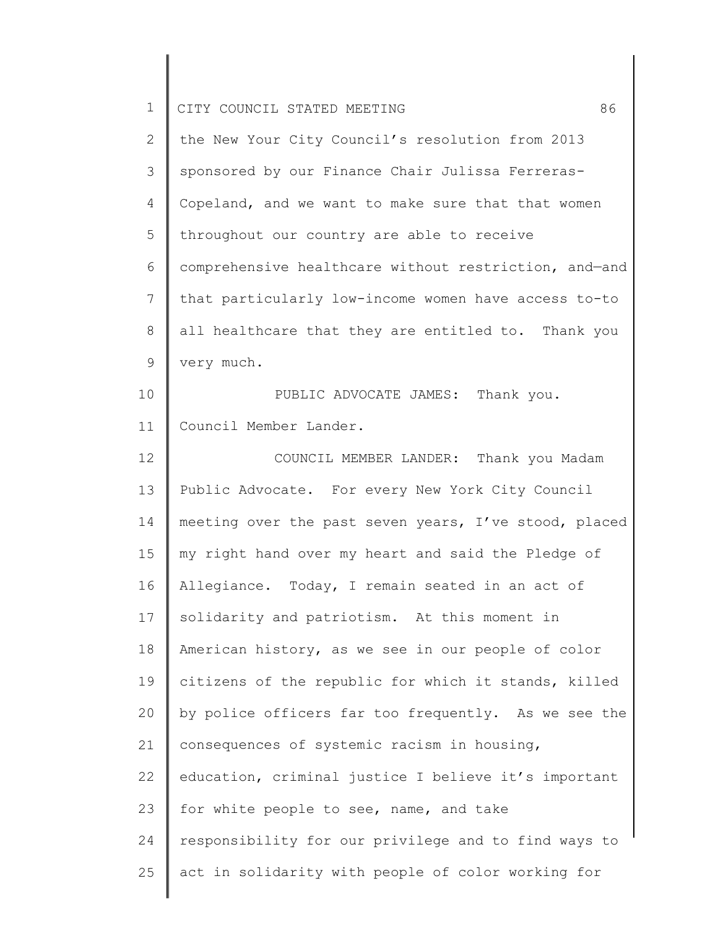| $\mathbf 1$    | 86<br>CITY COUNCIL STATED MEETING                     |
|----------------|-------------------------------------------------------|
| $\overline{2}$ | the New Your City Council's resolution from 2013      |
| 3              | sponsored by our Finance Chair Julissa Ferreras-      |
| 4              | Copeland, and we want to make sure that that women    |
| 5              | throughout our country are able to receive            |
| 6              | comprehensive healthcare without restriction, and-and |
| $\overline{7}$ | that particularly low-income women have access to-to  |
| 8              | all healthcare that they are entitled to. Thank you   |
| 9              | very much.                                            |
| 10             | PUBLIC ADVOCATE JAMES: Thank you.                     |
| 11             | Council Member Lander.                                |
| 12             | COUNCIL MEMBER LANDER: Thank you Madam                |
| 13             | Public Advocate. For every New York City Council      |
| 14             | meeting over the past seven years, I've stood, placed |
| 15             | my right hand over my heart and said the Pledge of    |
| 16             | Allegiance. Today, I remain seated in an act of       |
| 17             | solidarity and patriotism. At this moment in          |
| 18             | American history, as we see in our people of color    |
| 19             | citizens of the republic for which it stands, killed  |
| 20             | by police officers far too frequently. As we see the  |
| 21             | consequences of systemic racism in housing,           |
| 22             | education, criminal justice I believe it's important  |
| 23             | for white people to see, name, and take               |
| 24             | responsibility for our privilege and to find ways to  |
| 25             | act in solidarity with people of color working for    |

║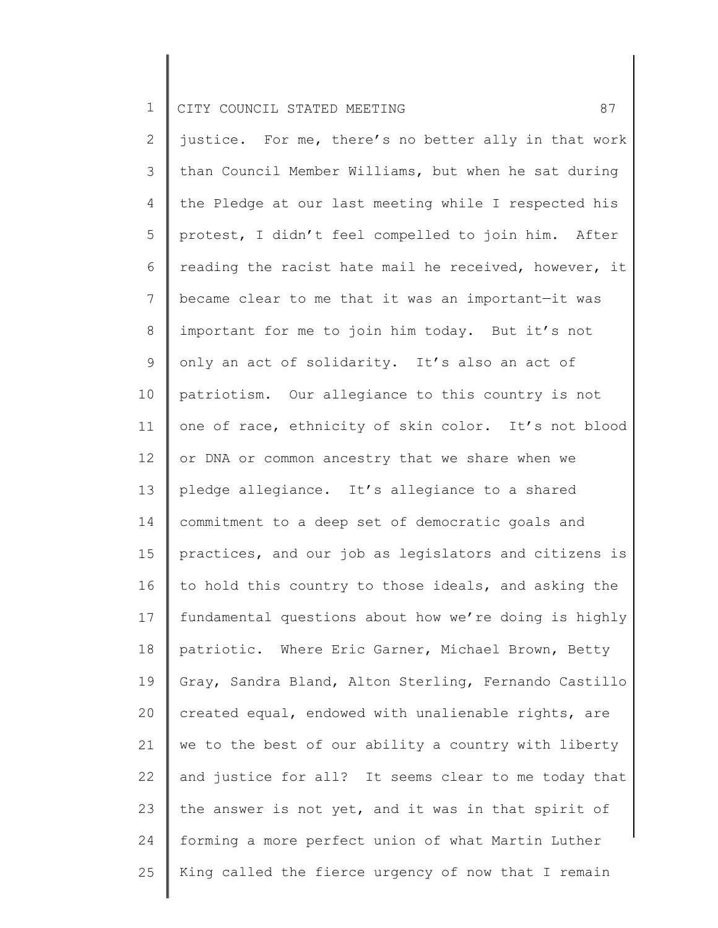2 3 4 5 6 7 8 9 10 11 12 13 14 15 16 17 18 19 20 21 22 23 24 25 justice. For me, there's no better ally in that work than Council Member Williams, but when he sat during the Pledge at our last meeting while I respected his protest, I didn't feel compelled to join him. After reading the racist hate mail he received, however, it became clear to me that it was an important—it was important for me to join him today. But it's not only an act of solidarity. It's also an act of patriotism. Our allegiance to this country is not one of race, ethnicity of skin color. It's not blood or DNA or common ancestry that we share when we pledge allegiance. It's allegiance to a shared commitment to a deep set of democratic goals and practices, and our job as legislators and citizens is to hold this country to those ideals, and asking the fundamental questions about how we're doing is highly patriotic. Where Eric Garner, Michael Brown, Betty Gray, Sandra Bland, Alton Sterling, Fernando Castillo created equal, endowed with unalienable rights, are we to the best of our ability a country with liberty and justice for all? It seems clear to me today that the answer is not yet, and it was in that spirit of forming a more perfect union of what Martin Luther King called the fierce urgency of now that I remain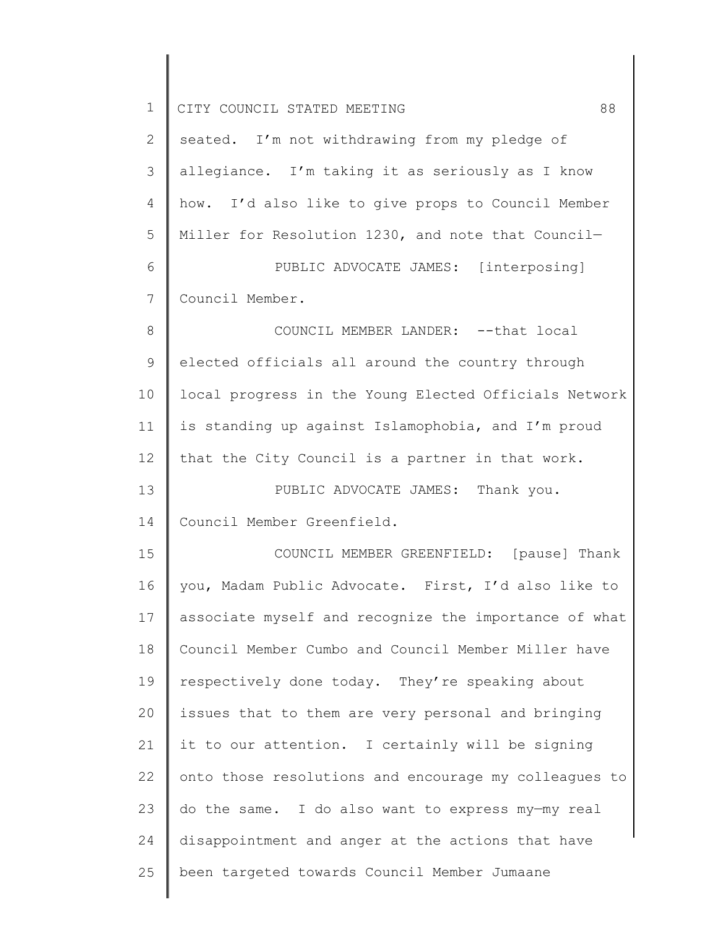| $\mathbf 1$    | 88<br>CITY COUNCIL STATED MEETING                     |
|----------------|-------------------------------------------------------|
| $\mathbf{2}$   | seated. I'm not withdrawing from my pledge of         |
| 3              | allegiance. I'm taking it as seriously as I know      |
| $\overline{4}$ | how. I'd also like to give props to Council Member    |
| 5              | Miller for Resolution 1230, and note that Council-    |
| 6              | PUBLIC ADVOCATE JAMES: [interposing]                  |
| 7              | Council Member.                                       |
| 8              | COUNCIL MEMBER LANDER: -- that local                  |
| $\mathsf 9$    | elected officials all around the country through      |
| 10             | local progress in the Young Elected Officials Network |
| 11             | is standing up against Islamophobia, and I'm proud    |
| 12             | that the City Council is a partner in that work.      |
| 13             | PUBLIC ADVOCATE JAMES: Thank you.                     |
| 14             | Council Member Greenfield.                            |
| 15             | COUNCIL MEMBER GREENFIELD: [pause] Thank              |
| 16             | you, Madam Public Advocate. First, I'd also like to   |
| 17             | associate myself and recognize the importance of what |
| 18             | Council Member Cumbo and Council Member Miller have   |
| 19             | respectively done today. They're speaking about       |
| 20             | issues that to them are very personal and bringing    |
| 21             | it to our attention. I certainly will be signing      |
| 22             | onto those resolutions and encourage my colleagues to |
| 23             | do the same. I do also want to express my-my real     |
| 24             | disappointment and anger at the actions that have     |
| 25             | been targeted towards Council Member Jumaane          |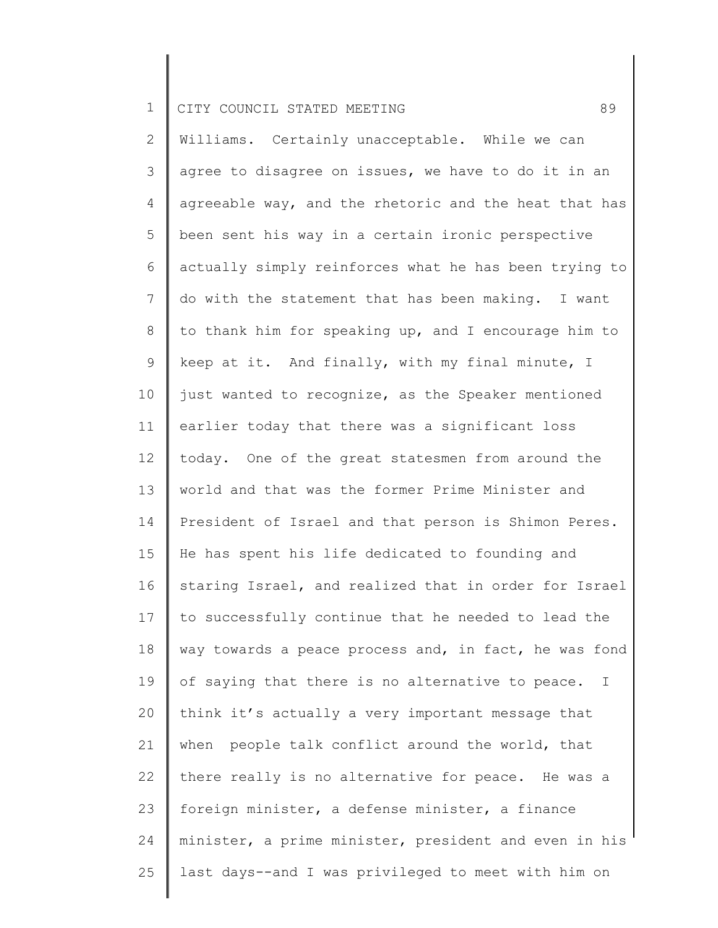2 3 4 5 6 7 8 9 10 11 12 13 14 15 16 17 18 19 20 21 22 23 24 25 Williams. Certainly unacceptable. While we can agree to disagree on issues, we have to do it in an agreeable way, and the rhetoric and the heat that has been sent his way in a certain ironic perspective actually simply reinforces what he has been trying to do with the statement that has been making. I want to thank him for speaking up, and I encourage him to keep at it. And finally, with my final minute, I just wanted to recognize, as the Speaker mentioned earlier today that there was a significant loss today. One of the great statesmen from around the world and that was the former Prime Minister and President of Israel and that person is Shimon Peres. He has spent his life dedicated to founding and staring Israel, and realized that in order for Israel to successfully continue that he needed to lead the way towards a peace process and, in fact, he was fond of saying that there is no alternative to peace. I think it's actually a very important message that when people talk conflict around the world, that there really is no alternative for peace. He was a foreign minister, a defense minister, a finance minister, a prime minister, president and even in his last days--and I was privileged to meet with him on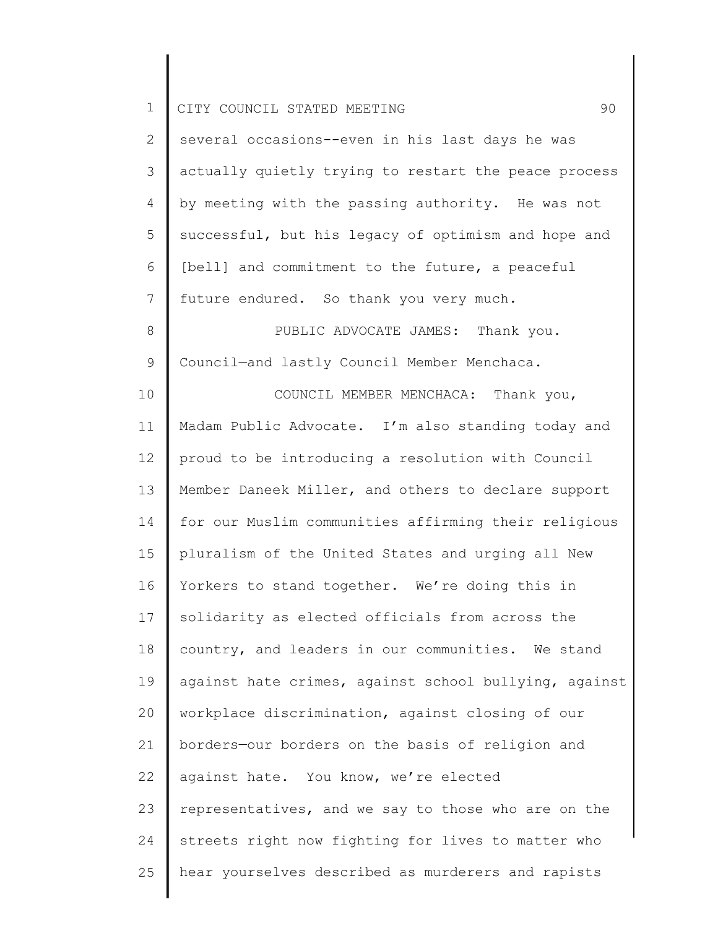| $\mathbf 1$    | 90<br>CITY COUNCIL STATED MEETING                     |
|----------------|-------------------------------------------------------|
| $\overline{2}$ | several occasions--even in his last days he was       |
| 3              | actually quietly trying to restart the peace process  |
| 4              | by meeting with the passing authority. He was not     |
| 5              | successful, but his legacy of optimism and hope and   |
| 6              | [bell] and commitment to the future, a peaceful       |
| $\overline{7}$ | future endured. So thank you very much.               |
| $\,8\,$        | PUBLIC ADVOCATE JAMES: Thank you.                     |
| $\mathsf 9$    | Council-and lastly Council Member Menchaca.           |
| 10             | COUNCIL MEMBER MENCHACA: Thank you,                   |
| 11             | Madam Public Advocate. I'm also standing today and    |
| 12             | proud to be introducing a resolution with Council     |
| 13             | Member Daneek Miller, and others to declare support   |
| 14             | for our Muslim communities affirming their religious  |
| 15             | pluralism of the United States and urging all New     |
| 16             | Yorkers to stand together. We're doing this in        |
| 17             | solidarity as elected officials from across the       |
| 18             | country, and leaders in our communities. We stand     |
| 19             | against hate crimes, against school bullying, against |
| 20             | workplace discrimination, against closing of our      |
| 21             | borders-our borders on the basis of religion and      |
| 22             | against hate. You know, we're elected                 |
| 23             | representatives, and we say to those who are on the   |
| 24             | streets right now fighting for lives to matter who    |
| 25             | hear yourselves described as murderers and rapists    |
|                |                                                       |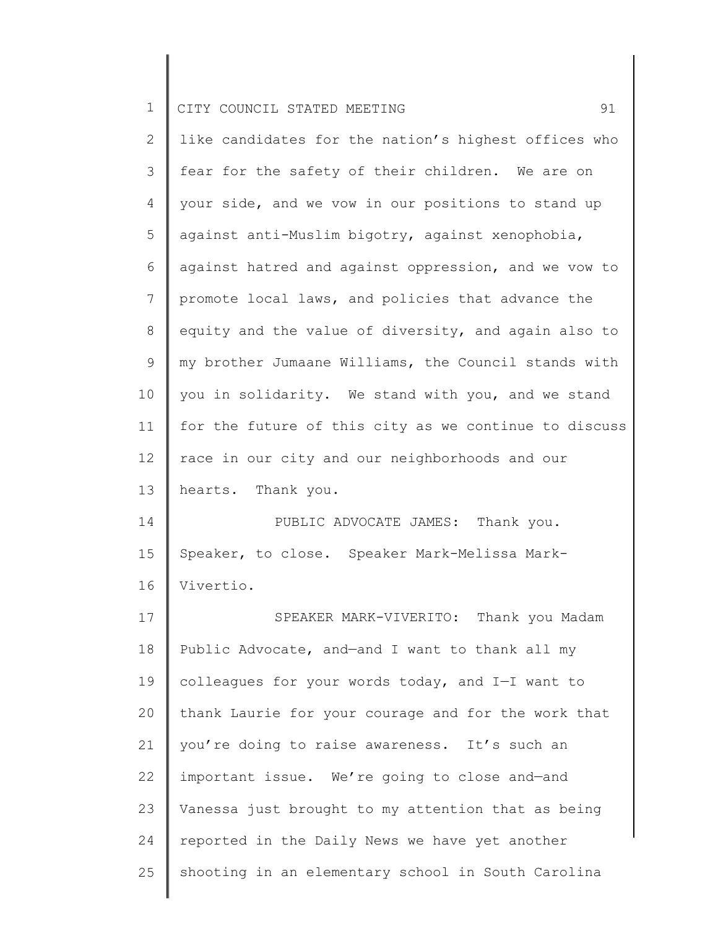2 3 4 5 6 7 8 9 10 11 12 13 like candidates for the nation's highest offices who fear for the safety of their children. We are on your side, and we vow in our positions to stand up against anti-Muslim bigotry, against xenophobia, against hatred and against oppression, and we vow to promote local laws, and policies that advance the equity and the value of diversity, and again also to my brother Jumaane Williams, the Council stands with you in solidarity. We stand with you, and we stand for the future of this city as we continue to discuss race in our city and our neighborhoods and our hearts. Thank you.

14 15 16 PUBLIC ADVOCATE JAMES: Thank you. Speaker, to close. Speaker Mark-Melissa Mark-Vivertio.

17 18 19 20 21 22 23 24 25 SPEAKER MARK-VIVERITO: Thank you Madam Public Advocate, and—and I want to thank all my colleagues for your words today, and I—I want to thank Laurie for your courage and for the work that you're doing to raise awareness. It's such an important issue. We're going to close and—and Vanessa just brought to my attention that as being reported in the Daily News we have yet another shooting in an elementary school in South Carolina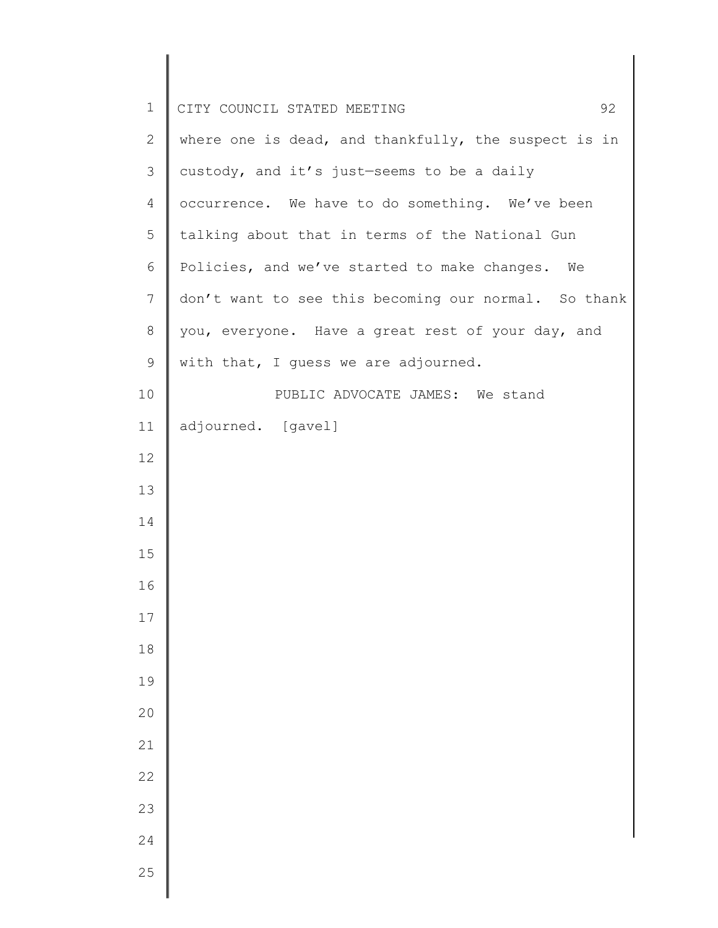| $\mathbf 1$    | CITY COUNCIL STATED MEETING<br>92                    |
|----------------|------------------------------------------------------|
| $\overline{2}$ | where one is dead, and thankfully, the suspect is in |
| 3              | custody, and it's just-seems to be a daily           |
| 4              | occurrence. We have to do something. We've been      |
| 5              | talking about that in terms of the National Gun      |
| 6              | Policies, and we've started to make changes. We      |
| 7              | don't want to see this becoming our normal. So thank |
| $8\,$          | you, everyone. Have a great rest of your day, and    |
| 9              | with that, I guess we are adjourned.                 |
| 10             | PUBLIC ADVOCATE JAMES: We stand                      |
| 11             | adjourned. [gavel]                                   |
| 12             |                                                      |
| 13             |                                                      |
| 14             |                                                      |
| 15             |                                                      |
| 16             |                                                      |
| $17$           |                                                      |
| $18\,$         |                                                      |
| 19             |                                                      |
| 20             |                                                      |
| 21             |                                                      |
| 22             |                                                      |
| 23             |                                                      |
| 24             |                                                      |
| 25             |                                                      |